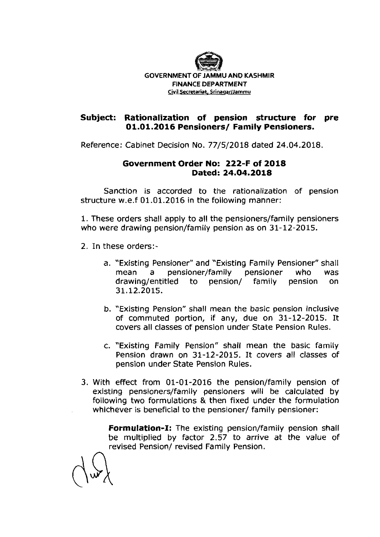

## **Subject: Rationalization of pension structure for pre 01.01.2016 Pensioners/ Family Pensioners.**

Reference: Cabinet Decision No. 77/5/2018 dated 24.04.2018.

## **Government Order No: 222-F of 2018 Dated: 24.04.2018**

Sanction is accorded to the rationalization of pension structure w.e.f 01.01.2016 in the following manner:

1. These orders shall apply to all the pensioners/family pensioners who were drawing pension/family pension as on 31-12-2015.

- 2. In these orders:
	- a. "Existing Pensioner" and "Existing Family Pensioner" shall mean a pensioner/family pensioner who was drawing/entitled to pension/ family pension on 31.12.2015.
	- b. "Existing Pension" shall mean the basic pension inclusive of commuted portion, if any, due on 31-12-2015. It covers all classes of pension under State Pension Rules.
	- c. "Existing Family Pension" shall mean the basic family Pension drawn on 31-12-2015. It covers all classes of pension under State Pension Rules.
- 3. With effect from 01-01-2016 the pension/family pension of existing pensioners/family pensioners will be calculated by following two formulations & then fixed under the formulation whichever is beneficial to the pensioner/ family pensioner:

**Formulation-I:** The existing pension/family pension shall be multiplied by factor 2.57 to arrive at the value of revised Pension/ revised Family Pension.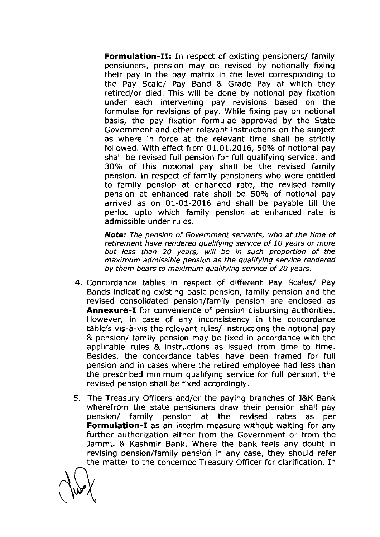**Formulation-11:** In respect of existing pensioners/ family pensioners, pension may be revised by notionally fixing their pay in the pay matrix in the level corresponding to the Pay Scale/ Pay Band & Grade Pay at which they retired/or died. This will be done by notional pay fixation under each intervening pay revisions based on the formulae for revisions of pay. While fixing pay on notional basis, the pay fixation formulae approved by the State Government and other relevant instructions on the subject as where in force at the relevant time shall be strictly followed. With effect from 01.01.2016, 50% of notional pay shall be revised full pension for full qualifying service, and 30% of this notional pay shall be the revised family pension. In respect of family pensioners who were entitled to family pension at enhanced rate, the revised family pension at enhanced rate shall be 50% of notional pay arrived as on 01-01-2016 and shall be payable till the period upto which family pension at enhanced rate is admissible under rules.

**Note: The pension of Government servants, who at the time of retirement have rendered qualifying service of 10 years or more but less than 20 years, will be in such proportion of the maximum admissible pension as the qualifying service rendered by them bears to maximum qualifying service of 20 years.** 

- 4. Concordance tables in respect of different Pay Scales/ Pay Bands indicating existing basic pension, family pension and the revised consolidated pension/family pension are enclosed as **Annexure-I** for convenience of pension disbursing authorities. However, in case of any inconsistency in the concordance table's vis-a-vis the relevant rules/ instructions the notional pay & pension/ family pension may be fixed in accordance with the applicable rules & instructions as issued from time to time. Besides, the concordance tables have been framed for full pension and in cases where the retired employee had less than the prescribed minimum qualifying service for full pension, the revised pension shall be fixed accordingly.
- 5. The Treasury Officers and/or the paying branches of J&K Bank wherefrom the state pensioners draw their pension shall pay pension/ family pension at the revised rates as per **Formulation-I** as an interim measure without waiting for any further authorization either from the Government or from the Jammu & Kashmir Bank. Where the bank feels any doubt in revising pension/family pension in any case, they should refer the matter to the concerned Treasury Officer for clarification. In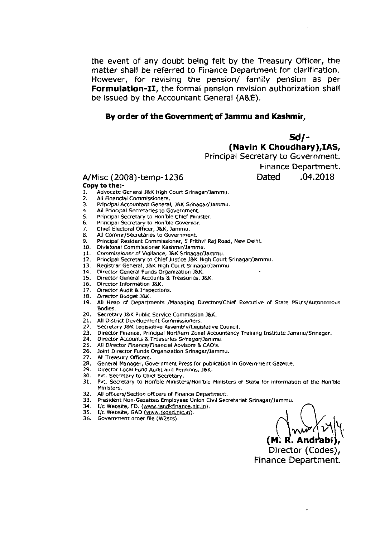the event of any doubt being felt by the Treasury Officer, the matter shall be referred to Finance Department for clarification. However, for revising the pension/ family pension as per **Formulation-11,** the formal pension revision authorization shall be issued by the Accountant General (A&E).

## **By order of the Government of Jammu and Kashmir,**

**Sd/- (Navin K Choudhary),IAS,** 

Principal Secretary to Government. Finance Department.

A/Misc (2008)-temp-1236 Dated **.04.2018** 

## **Copy to the:-**

- 1. Advocate General J&K High Court Srinagar/Jammu.<br>2. All Financial Commissioners.
- 2. All Financial Commissioners.<br>3. Principal Accountant General
- 3. Principal Accountant General, J&K Srinagar/Jammu.<br>4. All Principal Secretaries to Government
- **4. All Principal Secretaries to Government.**<br>**5.** Principal Secretary to Hon'ble Chief Mini
- **5.** Principal Secretary to Hon'bie Chief Minister.
- **6.** Principal Secretary **to** Hon'bie Governor.
- 7. Chief Electoral Officer, J&K, Jammu.<br>8. All Commr/Secretaries to Governme
- 8. All Commr/Secretaries to Government.<br>9. Principal Pesident Commissioner, 5 Prit
- 9. Principal Resident Commissioner, 5 Prithvi Raj Road, New Delhi.<br>10. Divisional Commissioner Kashmir/Jammu
- 10. Divisional commissioner Kashmir/Jammu.
- 11. Commissioner of Vigilance, J&K Srinagar/Jammu.<br>12. Principal Secretary to Chief Justice J&K High Cour
- 12. Principal Secretary to Chief Justice J&K High Court Srinagar/Jammu.<br>13. Registrar General, J&K High Court Srinagar/Jammu.
- 13. Registrar General, J&K High Court Srinagar/Jammu.<br>14. Director General Funds Organization J&K.
- Director General Funds Organization J&K.
- 15. Director General Accounts & Treasuries, J&K.
- 16. Director Information **J&K.**
- 17. Director Audit & Inspections.
- 18. Director Budget J&K.<br>19. All Head of Departn
- All Head of Departments /Managing Directors/Chief Executive of State PSU's/Autonomous Bodies.
- **20.** secretary I&K Public Service Commission l&K.
- 
- 21. All District Development Commissioners.<br>22. Secretary J&K Legislative Assembly/Legi: 22. Secretary J&K Legislative Assembly/Legislative Council.<br>23. Director Finance, Principal Northern Zonal Accountancy
- Director Finance, Principal Northern Zonal Accountancy Training Institute Jammu/Srinagar.
- 24. Director Accounts & Treasuries Srinagar/Jammu.<br>25. All Director Finance/Financial Advisors & CAO's.
- 
- 25. All Director Finance/Financial Advisors & CAO's.<br>26. Joint Director Funds Organization Srinagar/Jam **26. Joint Director Funds Organization Srinagar/Jammu.**<br>27. All Treasury Officers
- 
- **27.** All Treasury Officers. 28. General Manager, Government Press for publication in Government Gazette.<br>29. Director Local Fund Audit and Pensions, J&K.
- 29. Director Local Fund Audit and Pensions, J&K.<br>30. Pyt. Secretary to Chief Secretary.
- 30. Pvt. Secretary to Chief Secretary.<br>31. Pvt. Secretary to Hon'ble Ministe
- Pvt. Secretary to Hon'ble Ministers/Hon'ble Ministers of State for information of the Hon'ble Ministers.
- 32. All officers/Section officers of Finance Department.
- 33. President Non-Gazetted Employees Union Civil Secretariat Srinagar/Jammu.<br>34. I/c Website, FD. (www.jandkfinance.nic.in).
- 
- 35. I/c Website, GAD (<u>www.jkgad.nic.in</u>).
- 36. Government order file (W2scs).

(M. R. Andı

Director (Codes), Finance Department.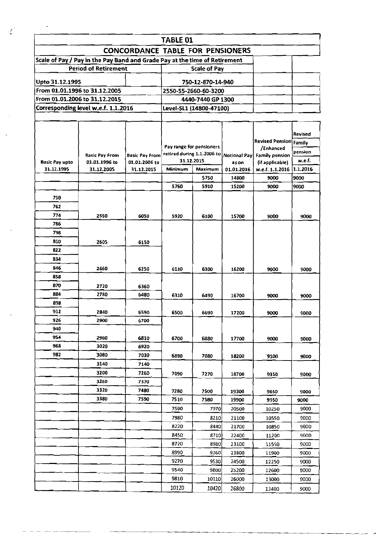|                       |                                                                            |                                         | <b>TABLE 01</b>          |                            |                       |                                   |                |
|-----------------------|----------------------------------------------------------------------------|-----------------------------------------|--------------------------|----------------------------|-----------------------|-----------------------------------|----------------|
|                       |                                                                            | <b>CONCORDANCE TABLE FOR PENSIONERS</b> |                          |                            |                       |                                   |                |
|                       | Scale of Pay / Pay in the Pay Band and Grade Pay at the time of Retirement |                                         |                          |                            |                       |                                   |                |
|                       | <b>Period of Retirement</b>                                                |                                         |                          | <b>Scale of Pay</b>        |                       |                                   |                |
| Upto 31.12.1995       |                                                                            |                                         |                          | 750-12-870-14-940          |                       |                                   |                |
|                       | From 01.01.1996 to 31.12.2005                                              |                                         |                          | 2550-55-2660-60-3200       |                       |                                   |                |
|                       | From 01.01.2006 to 31.12.2015                                              |                                         |                          | 4440-7440 GP 1300          |                       |                                   |                |
|                       | Corresponding level w.e.f. 1.1.2016                                        |                                         |                          | Level-SL1 (14800-47100)    |                       |                                   |                |
|                       |                                                                            |                                         |                          |                            |                       |                                   |                |
|                       |                                                                            |                                         |                          |                            |                       |                                   |                |
|                       |                                                                            |                                         |                          |                            |                       |                                   | <b>Revised</b> |
|                       |                                                                            |                                         |                          |                            |                       | <b>Revised Pension Family</b>     |                |
|                       |                                                                            |                                         | Pay range for pensioners | retired during 1.1.2006 to |                       | /Enhanced                         | pension        |
| <b>Basic Pay upto</b> | <b>Basic Pay From</b><br>01.01.1996 to                                     | <b>Basic Pay From</b><br>01.01.2006 to  |                          | 31.12.2015                 | Notional Pay<br>as on | Family pension<br>(if applicable) | w.e.f.         |
| 31.12.1995            | 31.12.2005                                                                 | 31.12.2015                              | Minimum                  | Maximum                    | 01.01.2016            | w.e.f. 1.1.2016 1.1.2016          |                |
|                       |                                                                            |                                         |                          | 5750                       | 14800                 | 9000                              | 9000           |
|                       |                                                                            |                                         | 5760                     | 5910                       | 15200                 | 9000                              | 9000           |
| 750                   |                                                                            |                                         |                          |                            |                       |                                   |                |
| 762                   |                                                                            |                                         |                          |                            |                       |                                   |                |
| 774                   | 2550                                                                       | 6050                                    | 5920                     | 6100                       | 15700                 |                                   | 9000           |
| 786                   |                                                                            |                                         |                          |                            |                       | 9000                              |                |
| 798                   |                                                                            |                                         |                          |                            |                       |                                   |                |
| 810                   | 2605                                                                       | 6150                                    |                          |                            |                       |                                   |                |
| 822                   |                                                                            |                                         |                          |                            |                       |                                   |                |
| 834                   |                                                                            |                                         |                          |                            |                       |                                   |                |
| 846                   |                                                                            |                                         |                          |                            |                       |                                   |                |
| 858                   | 2660                                                                       | 6250                                    | 6110                     | 6300                       | 16200                 | 9000                              | 9000           |
| <b>B70</b>            |                                                                            |                                         |                          |                            |                       |                                   |                |
| 884                   | 2720<br>2780                                                               | 6360<br>6480                            |                          |                            |                       |                                   |                |
| 898                   |                                                                            |                                         | 6310                     | 6490                       | 16700                 | 9000                              | 9000           |
| 912                   | 2840                                                                       | 6590                                    |                          |                            |                       |                                   |                |
| 926                   | 2900                                                                       | 6700                                    | 6500                     | 6690                       | 17200                 | 9000                              | 9000           |
| 940                   |                                                                            |                                         |                          |                            |                       |                                   |                |
| 954                   | 2960                                                                       | 6810                                    | 6700                     | 6880                       | 17700                 | 9000                              | 9000           |
| 968                   | 3020                                                                       | 6920                                    |                          |                            |                       |                                   |                |
| 982                   | 3080                                                                       | 7030                                    | 6890                     | 7080                       | 18200                 | <b>9100</b>                       | 9000           |
|                       | 3140                                                                       | 7140                                    |                          |                            |                       |                                   |                |
|                       | 3200                                                                       | 7260                                    | 7090                     | 7270                       | 18700                 | 9350                              | 9000           |
|                       | 3260                                                                       | 7370                                    |                          |                            |                       |                                   |                |
|                       | 3320                                                                       | 7480                                    | 7280                     | 7500                       | 19300                 | 9650                              | 9000           |
|                       | 3380                                                                       | 7590                                    | 7510                     | 75B0                       | 19900                 | 9950                              | 9000           |
|                       |                                                                            |                                         | 7590                     | 7970                       | 20500                 | 10250                             | 9000           |
|                       |                                                                            |                                         | 7980                     | 8210                       | 21100                 | 10550                             | 9000           |
|                       |                                                                            |                                         | 8220                     | 8440                       | 21700                 | 10850                             | 9000           |
|                       |                                                                            |                                         | 8450                     | 8710)                      | 22400                 | 11200                             | 9000           |
|                       |                                                                            |                                         | 8720                     | 8980                       | 23100                 | 11550                             | 9000           |
|                       |                                                                            |                                         | 8990                     | 9260                       | 23800                 | 11900                             | 9000           |
|                       |                                                                            |                                         | 9270                     | 9530                       | 24500                 | 12250                             | 9000           |
|                       |                                                                            |                                         | 9540                     | 9800                       | 25200                 | 12600                             | 9000           |
|                       |                                                                            |                                         | 9810                     | 10110                      | 26000                 | 13000                             | 9000           |
|                       |                                                                            |                                         | 10120                    | 10420                      |                       |                                   |                |
|                       |                                                                            |                                         |                          |                            | 26800                 | 13400                             | 9000           |

 $\ddot{\phantom{a}}$ 

 $\frac{d^2}{dt}$ 

 $\ddot{\phantom{0}}$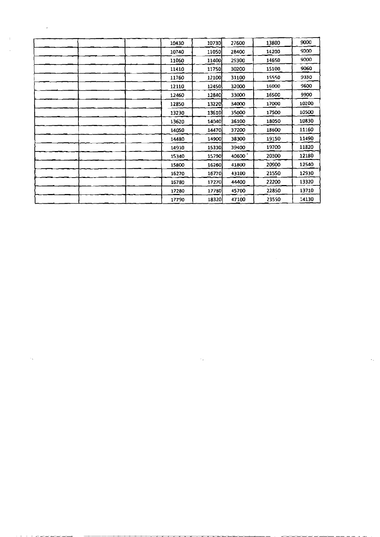| $\bullet$ |       |       |       |       |       |
|-----------|-------|-------|-------|-------|-------|
|           | 10430 | 10730 | 27600 | 13800 | 9000  |
|           | 10740 | 11050 | 28400 | 14200 | 9000  |
|           | 11060 | 11400 | 29300 | 14650 | 9000  |
|           | 11410 | 11750 | 30200 | 15100 | 9060  |
|           | 11760 | 12100 | 31100 | 15550 | 9330  |
|           | 12110 | 12450 | 32000 | 16000 | 9600  |
|           | 12460 | 12840 | 33000 | 16500 | 9900  |
|           | 12850 | 13220 | 34000 | 17000 | 10200 |
|           | 13230 | 13610 | 35000 | 17500 | 10500 |
|           | 13620 | 14040 | 36100 | 18050 | 10830 |
|           | 14050 | 14470 | 37200 | 18600 | 11160 |
|           | 14480 | 14900 | 38300 | 19150 | 11490 |
|           | 14910 | 15330 | 39400 | 19700 | 11820 |
|           | 15340 | 15790 | 40600 | 20300 | 12180 |
|           | 15800 | 16260 | 41800 | 20900 | 12540 |
|           | 16270 | 16770 | 43100 | 21550 | 12930 |
|           | 16780 | 17270 | 44400 | 22200 | 13320 |
|           | 17280 | 17780 | 45700 | 22850 | 13710 |
|           | 17790 | 18320 | 47100 | 23550 | 14130 |

 $\label{eq:2.1} \frac{1}{\sqrt{2}}\left(\frac{1}{\sqrt{2}}\right)^{2} \frac{1}{\sqrt{2}}\left(\frac{1}{\sqrt{2}}\right)^{2} \frac{1}{\sqrt{2}}\left(\frac{1}{\sqrt{2}}\right)^{2} \frac{1}{\sqrt{2}}\left(\frac{1}{\sqrt{2}}\right)^{2} \frac{1}{\sqrt{2}}\left(\frac{1}{\sqrt{2}}\right)^{2} \frac{1}{\sqrt{2}}\left(\frac{1}{\sqrt{2}}\right)^{2} \frac{1}{\sqrt{2}}\left(\frac{1}{\sqrt{2}}\right)^{2} \frac{1}{\sqrt{2}}\left(\frac{$ 

 $\frac{1}{2}$  $\frac{1}{2}$ 

 $\mathcal{A}_{\mathbf{S}}$  , and  $\mathcal{A}_{\mathbf{S}}$  , and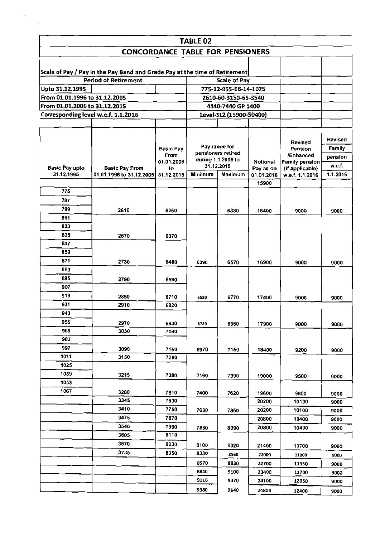|                                     |                                                                            |                          | <b>TABLE 02</b> |                              |                     |                      |                   |
|-------------------------------------|----------------------------------------------------------------------------|--------------------------|-----------------|------------------------------|---------------------|----------------------|-------------------|
|                                     | <b>CONCORDANCE TABLE FOR PENSIONERS</b>                                    |                          |                 |                              |                     |                      |                   |
|                                     |                                                                            |                          |                 |                              |                     |                      |                   |
|                                     | Scale of Pay / Pay in the Pay Band and Grade Pay at the time of Retirement |                          |                 |                              |                     |                      |                   |
|                                     | <b>Period of Retirement</b>                                                |                          |                 | <b>Scale of Pay</b>          |                     |                      |                   |
| Upto 31.12.1995                     |                                                                            |                          |                 | 775-12-955-EB-14-1025        |                     |                      |                   |
| From 01.01.1996 to 31.12.2005       |                                                                            |                          |                 | 2610-60-3150-65-3540         |                     |                      |                   |
| From 01.01.2006 to 31.12.2015       |                                                                            |                          |                 | 4440-7440 GP 1400            |                     |                      |                   |
|                                     | Corresponding level w.e.f. 1.1.2016                                        |                          |                 | Level-SL2 (15900-50400)      |                     |                      |                   |
|                                     |                                                                            |                          |                 |                              |                     |                      |                   |
|                                     |                                                                            |                          |                 |                              |                     |                      |                   |
|                                     |                                                                            |                          |                 | Pay range for                |                     | <b>Revised</b>       | Revised           |
|                                     |                                                                            | <b>Basic Pav</b><br>From |                 | pensioners retired           |                     | Pension<br>/Enhanced | Family            |
|                                     |                                                                            | 01.01.2006               |                 | during 1.1.2006 to           | <b>Notional</b>     | Family pension       | pension<br>w.e.f. |
| <b>Basic Pay upto</b><br>31.12.1995 | <b>Basic Pay From</b><br>01.01.1996 to 31.12.2005                          | to                       | <b>Minimum</b>  | 31.12.2015<br><b>Maximum</b> | Pay as on           | (if applicable)      | 1.1.2016          |
|                                     |                                                                            | 31.12.2015               |                 |                              | 01.01.2016<br>15900 | w.e.f. 1.1.2016      |                   |
| 775                                 |                                                                            |                          |                 |                              |                     |                      |                   |
| 787                                 |                                                                            |                          |                 |                              |                     |                      |                   |
| 799                                 | 2610                                                                       | 6260                     |                 | 6380                         | 16400               | 9000                 | 9000              |
| 811                                 |                                                                            |                          |                 |                              |                     |                      |                   |
| 823                                 |                                                                            |                          |                 |                              |                     |                      |                   |
| 835                                 | 2670                                                                       | 6370                     |                 |                              |                     |                      |                   |
| 847                                 |                                                                            |                          |                 |                              |                     |                      |                   |
| 859                                 |                                                                            |                          |                 |                              |                     |                      |                   |
| 871                                 | 2730                                                                       | 6480                     | 6390            | 6570                         | 16900               | 9000                 | 9000              |
| 883                                 |                                                                            |                          |                 |                              |                     |                      |                   |
| 895                                 | 2790                                                                       | 6590                     |                 |                              |                     |                      |                   |
| 907                                 |                                                                            |                          |                 |                              |                     |                      |                   |
| 919                                 | 2850                                                                       | 6710                     | 6580            | 6770                         | 17400               | 9000                 | 9000              |
| 931                                 | 2910                                                                       | 6820                     |                 |                              |                     |                      |                   |
| 943                                 |                                                                            |                          |                 |                              |                     |                      |                   |
| 955                                 | 2970                                                                       | 6930                     | 6780            | 6960                         | 17900               | 9000                 | 9000              |
| 969                                 | 3030                                                                       | 7040                     |                 |                              |                     |                      |                   |
| 983                                 |                                                                            |                          |                 |                              |                     |                      |                   |
| 997<br>1011                         | 3090<br>$\gamma_{\rm{in}}$                                                 | 7150                     | 6970            | 7150                         | 18400               | 9200                 | 9000              |
|                                     | 3150                                                                       | 7260                     |                 |                              |                     |                      |                   |
| 1025<br>1039                        |                                                                            |                          |                 |                              |                     |                      |                   |
| 1053                                | 3215                                                                       | 7380                     | 7160            | 7390                         | 19000               | 9500                 | 9000              |
| 1067                                | 3280                                                                       |                          |                 |                              |                     |                      |                   |
|                                     | 3345                                                                       | 7510<br>7630             | 7400            | 7620                         | 19600<br>20200      | 9800<br>10100        | 9000              |
|                                     | 3410                                                                       | 7750                     | 7630            | 7850                         | 20200               | 10100                | 9000<br>9000      |
|                                     | 3475                                                                       | 7870                     |                 |                              | 20800               | 10400                | 9000              |
|                                     | 3540                                                                       | 7990                     | 7860            | 8090                         | 20800               | 10400                | 9000              |
|                                     | 3605                                                                       | 8110                     |                 |                              |                     |                      |                   |
|                                     | 3670                                                                       | 8230                     | 8100            | 8320                         | 21400               | 10700                | 9000              |
|                                     | 3735                                                                       | 8350                     | 8330            | 8560                         | 22000               | 11000                | 9000              |
|                                     |                                                                            |                          | 8570            | 8830                         | 22700               | 11350                | 9000              |
|                                     |                                                                            |                          | 8840            | 9100                         | 23400               | 11700                | 9000              |
|                                     |                                                                            |                          | 9110            | 9370                         | 24100               | 12050                | 9000              |
|                                     |                                                                            |                          |                 |                              |                     |                      |                   |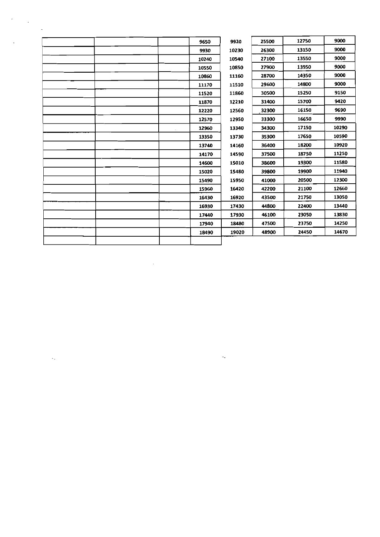|  |  | 9650  | 9920  | 25500 | 12750 | 9000  |
|--|--|-------|-------|-------|-------|-------|
|  |  | 9930  | 10230 | 26300 | 13150 | 9000  |
|  |  | 10240 | 10540 | 27100 | 13550 | 9000  |
|  |  | 10550 | 10850 | 27900 | 13950 | 9000  |
|  |  | 10860 | 11160 | 28700 | 14350 | 9000  |
|  |  | 11170 | 11510 | 29600 | 14800 | 9000  |
|  |  | 11520 | 11860 | 30500 | 15250 | 9150  |
|  |  | 11870 | 12210 | 31400 | 15700 | 9420  |
|  |  | 12220 | 12560 | 32300 | 16150 | 9690  |
|  |  | 12570 | 12950 | 33300 | 16650 | 9990  |
|  |  | 12960 | 13340 | 34300 | 17150 | 10290 |
|  |  | 13350 | 13730 | 35300 | 17650 | 10590 |
|  |  | 13740 | 14160 | 36400 | 18200 | 10920 |
|  |  | 14170 | 14590 | 37500 | 18750 | 11250 |
|  |  | 14600 | 15010 | 38600 | 19300 | 11580 |
|  |  | 15020 | 15480 | 39800 | 19900 | 11940 |
|  |  | 15490 | 15950 | 41000 | 20500 | 12300 |
|  |  | 15960 | 16420 | 42200 | 21100 | 12660 |
|  |  | 16430 | 16920 | 43500 | 21750 | 13050 |
|  |  | 16930 | 17430 | 44800 | 22400 | 13440 |
|  |  | 17440 | 17930 | 46100 | 23050 | 13830 |
|  |  | 17940 | 18480 | 47500 | 23750 | 14250 |
|  |  | 18490 | 19020 | 48900 | 24450 | 14670 |
|  |  |       |       |       |       |       |

 $\label{eq:2.1} \frac{1}{\sqrt{2}}\int_{\mathbb{R}^3}\frac{1}{\sqrt{2}}\left(\frac{1}{\sqrt{2}}\right)^2\frac{1}{\sqrt{2}}\left(\frac{1}{\sqrt{2}}\right)^2\frac{1}{\sqrt{2}}\left(\frac{1}{\sqrt{2}}\right)^2\frac{1}{\sqrt{2}}\left(\frac{1}{\sqrt{2}}\right)^2\frac{1}{\sqrt{2}}\left(\frac{1}{\sqrt{2}}\right)^2.$ 

 $\label{eq:2.1} \frac{1}{\sqrt{2}}\int_{\mathbb{R}^3}\frac{1}{\sqrt{2}}\left(\frac{1}{\sqrt{2}}\right)^2\frac{1}{\sqrt{2}}\left(\frac{1}{\sqrt{2}}\right)^2\frac{1}{\sqrt{2}}\left(\frac{1}{\sqrt{2}}\right)^2\frac{1}{\sqrt{2}}\left(\frac{1}{\sqrt{2}}\right)^2.$ 

 $\Delta\phi$  and  $\phi$  and  $\phi$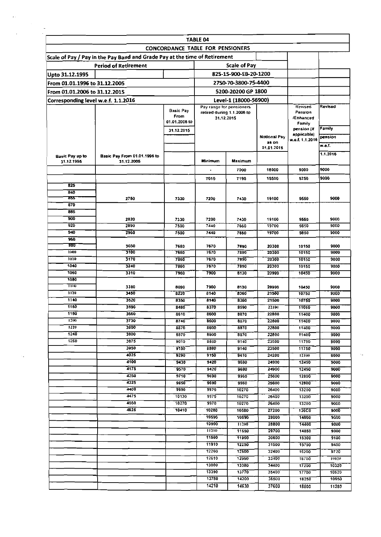|                                      |                                                                            |                                         | <b>TABLE 04</b>                                                      |                      |                                        |                                      |                |
|--------------------------------------|----------------------------------------------------------------------------|-----------------------------------------|----------------------------------------------------------------------|----------------------|----------------------------------------|--------------------------------------|----------------|
|                                      |                                                                            | <b>CONCORDANCE TABLE FOR PENSIONERS</b> |                                                                      |                      |                                        |                                      |                |
|                                      | Scale of Pay / Pay in the Pay Band and Grade Pay at the time of Retirement |                                         |                                                                      |                      |                                        |                                      |                |
|                                      | <b>Period of Retirement</b>                                                |                                         |                                                                      | <b>Scale of Pay</b>  |                                        |                                      |                |
|                                      | 825-15-900-EB-20-1200                                                      |                                         |                                                                      |                      |                                        |                                      |                |
| Upto 31.12.1995                      |                                                                            |                                         |                                                                      |                      |                                        |                                      |                |
| From 01.01.1996 to 31.12.2005        |                                                                            |                                         |                                                                      | 2750-70-3800-75-4400 |                                        |                                      |                |
| From 01.01.2006 to 31.12.2015        |                                                                            |                                         |                                                                      | 5200-20200 GP 1800   |                                        |                                      |                |
| Corresponding level w.e.f. 1.1.2016  | Level-1 (18000-56900)                                                      |                                         |                                                                      |                      |                                        |                                      |                |
|                                      |                                                                            | <b>Basic Pay</b><br>From                | Pay range for pensioners<br>retired during 1.1.2006 to<br>31.12.2015 |                      | Revised<br>Pension<br><b>/Ennanced</b> | Revised                              |                |
|                                      |                                                                            | 01.01.2006 to<br>31.12.2015             |                                                                      |                      |                                        | Family<br>pension (if<br>applicable) | <b>Family</b>  |
|                                      |                                                                            |                                         |                                                                      |                      | Notional Pay<br>as on                  | w.e.f. 1.1.2016                      | pension        |
|                                      |                                                                            |                                         |                                                                      |                      | 01.01.2016                             |                                      | w.e.f.         |
| <b>Basic Pay up to</b><br>31.12.1995 | Basic Pay From 01.01.1996 to<br>31.12.2005                                 |                                         | Minimum                                                              | Maximum              |                                        |                                      | 1.1.2016       |
|                                      |                                                                            |                                         | $\blacksquare$                                                       | 7000                 | 18000                                  | 9000                                 | 9000           |
|                                      |                                                                            |                                         | 7010                                                                 | 7190                 | 18500                                  | 9250                                 | 9000           |
| 825                                  |                                                                            |                                         |                                                                      |                      |                                        |                                      |                |
| 840<br>रुङ                           |                                                                            |                                         |                                                                      |                      |                                        |                                      | 9000           |
| 870                                  | 2750                                                                       | 7330                                    | 7200                                                                 | 7430                 | 19100                                  | 9550                                 |                |
| 885                                  |                                                                            |                                         |                                                                      |                      |                                        |                                      |                |
| 900                                  | 2820                                                                       | 7330                                    | 7200                                                                 | 7430                 | 19100                                  | 9550                                 | 9000           |
| 920                                  | 2890                                                                       | 7500                                    | 7440                                                                 | 7660                 | 19700                                  | 9850                                 | 9000           |
| 940                                  | 2960                                                                       | 7500                                    | 7440                                                                 | 7650                 | 19700                                  | 9850                                 | 9000           |
| 960<br>980                           |                                                                            |                                         |                                                                      |                      |                                        |                                      |                |
| 1000                                 | 3030<br>3100                                                               | 7680<br>7680                            | 7670<br>7670                                                         | 7890<br>7890         | 20300<br>20300                         | 10150<br>10150                       | 9000<br>9000   |
| 1020                                 | 3170                                                                       | 7860                                    | 7670                                                                 | 7890                 | 20300                                  | 10150                                | 9000           |
| 1040                                 | 3240                                                                       | 7860                                    | 7670                                                                 | 7890                 | 20300                                  | 10150                                | 9000           |
| 1060                                 | 3310                                                                       | 7960                                    | 7900                                                                 | 8130                 | 20900                                  | 10450                                | 9000           |
| 1080                                 |                                                                            |                                         |                                                                      |                      |                                        |                                      |                |
| 1100<br>1120                         | 3380<br>3450                                                               | 8090                                    | 7900<br>8140                                                         | 8130                 | 20900<br>21500                         | 10450                                | 9000           |
| 1140                                 | 3520                                                                       | 8220<br>8350                            | 8140                                                                 | 8360<br>8360         | 21500                                  | 10750<br>10750                       | 9000<br>9000   |
| 1160                                 | 3590                                                                       | 8480                                    | 8370                                                                 | 8590                 | 22100                                  | 11050                                | 9000           |
| 1180                                 | 3660                                                                       | 8610                                    | 8600                                                                 | 8870                 | 22800                                  | 11400                                | 9000           |
| 1200                                 | 3730                                                                       | 8740                                    | 8600                                                                 | 8870                 | 22800                                  | 11400                                | 9000           |
| 1220                                 | 3800                                                                       | 8870                                    | 8600                                                                 | 8870                 | 22800                                  | 11400                                | 9000           |
| 1240                                 | 3800                                                                       | 8870                                    | 8600                                                                 | 8870                 | 22800                                  | 11400                                | <b>9000</b>    |
| 1260                                 | 3875<br>3950                                                               | 9010                                    | 5880                                                                 | 9140                 | 23500                                  | 11750                                | 9000           |
|                                      | 4025                                                                       | 9150<br>9290                            | 8880<br>9150                                                         | 9140<br>9410         | 23500<br>24200                         | 11750<br>12100                       | 9000<br>9000   |
|                                      | 4100                                                                       | 9430                                    | 9420                                                                 | 9680                 | 24900                                  | 12450                                | 9000           |
|                                      | 4175                                                                       | 9570                                    | 9420                                                                 | 9680                 | 24900                                  | 12450                                | <b>9000</b>    |
|                                      | 4250                                                                       | 9710                                    | 9690                                                                 | 9960                 | 25600                                  | 12800                                | 9000           |
|                                      | 4325                                                                       | 9850                                    | 9690                                                                 | 9960                 | 25600                                  | 12800                                | 9000           |
|                                      | 4400<br>4475                                                               | 9990                                    | 9970                                                                 | 10270                | 26400                                  | 13200                                | 9000           |
|                                      | 4550                                                                       | 10130<br>10270                          | 9970<br>9970                                                         | 10270<br>10270       | 26400<br>26400                         | 13200<br>13200                       | 9000<br>9000   |
|                                      | 4625                                                                       | 10410                                   | 10280                                                                | 10580                | 27200                                  | <b>136C0</b>                         | 8000           |
|                                      |                                                                            |                                         | 10590                                                                | 10890                | 28000                                  | 14000                                | 9000           |
|                                      |                                                                            |                                         | 10900                                                                | 11200                | 28800                                  | 14400                                | 9000           |
|                                      |                                                                            |                                         | 11210                                                                | 11550                | 29700                                  | 14850                                | 9000           |
|                                      |                                                                            |                                         | 11560                                                                | 11900                | 30600                                  | 15300                                | 9180           |
|                                      |                                                                            |                                         | 11910                                                                | 12250                | 31500                                  | 15750                                | 9450           |
|                                      |                                                                            |                                         | 12260                                                                | 12600                | 32400                                  | 16200                                | 9720           |
|                                      |                                                                            |                                         | 12610<br>13000                                                       | 12990<br>13380       | 33400                                  | 16700                                | 10020          |
|                                      |                                                                            |                                         | 13390                                                                | 13770                | 34400<br>35400                         | 17200<br>17700                       | 10320<br>10620 |
|                                      |                                                                            |                                         | 13780                                                                | 14200                | 36500                                  | 18250                                | 10950          |
|                                      |                                                                            |                                         | 14210                                                                | 14630                | 37600                                  | 18800                                | 11280          |

 $\beta_{\sigma}$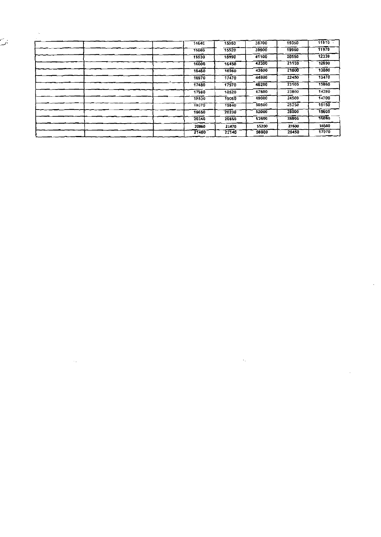| $\cdots$ |       |       |       |       |       |
|----------|-------|-------|-------|-------|-------|
|          | 14640 | 15050 | 38700 | 19350 | 11610 |
|          | 15060 | 15520 | 39900 | 19950 | 11970 |
|          | 15530 | 15990 | 41100 | 20550 | 12330 |
|          | 16000 | 16450 | 42300 | 21150 | 12690 |
|          | 16460 | 16960 | 43600 | 21800 | 13080 |
|          | 16970 | 17470 | 44900 | 22450 | 13470 |
|          | 17480 | 17970 | 46200 | 23100 | 13860 |
|          | 17980 | 18520 | 47600 | 23800 | 14280 |
|          | 18530 | 19060 | 49000 | 24500 | 14700 |
|          | 19070 | 19640 | 50500 | 25250 | 15150 |
|          | 19650 | 20230 | 52000 | 26000 | 15600 |
|          | 20240 | 20850 | 53600 | 26800 | ৰৱেষ্ |
|          | 20860 | 21470 | 55200 | 27600 | 16560 |
|          | 21480 | 22140 | 56900 | 28450 | 17070 |

the contract of the contract of the

 $\label{eq:2.1} \mathcal{L}(\mathcal{L}^{\text{max}}_{\mathcal{L}}(\mathcal{L}^{\text{max}}_{\mathcal{L}})) \leq \mathcal{L}(\mathcal{L}^{\text{max}}_{\mathcal{L}}(\mathcal{L}^{\text{max}}_{\mathcal{L}}))$ 

 $\mathcal{L}_{\mathcal{A}}$ 

 $\hat{\mathcal{L}}$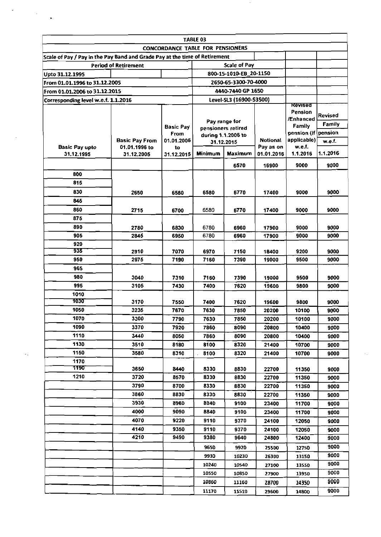|                                                                            |                             | <b>CONCORDANCE TABLE FOR PENSIONERS</b> | TABLE 03                                 |                         |                 |                      |                |
|----------------------------------------------------------------------------|-----------------------------|-----------------------------------------|------------------------------------------|-------------------------|-----------------|----------------------|----------------|
| Scale of Pay / Pay in the Pay Band and Grade Pay at the time of Retirement |                             |                                         |                                          |                         |                 |                      |                |
|                                                                            | <b>Period of Retirement</b> |                                         |                                          | <b>Scale of Pay</b>     |                 |                      |                |
| Upto 31.12.1995                                                            |                             |                                         |                                          | 800-15-1010-EB 20-1150  |                 |                      |                |
| From 01.01.1996 to 31.12.2005                                              |                             |                                         | 2650-65-3300-70-4000                     |                         |                 |                      |                |
| From 01.01.2006 to 31.12.2015                                              |                             |                                         | 4440-7440 GP 1650                        |                         |                 |                      |                |
| Corresponding level w.e.f. 1.1.2016                                        |                             |                                         |                                          | Level-SL3 (16900-53500) |                 |                      |                |
|                                                                            |                             |                                         |                                          |                         |                 | Revised              |                |
|                                                                            |                             |                                         |                                          |                         |                 | Pension<br>/Enhanced | <b>Revised</b> |
|                                                                            |                             | <b>Basic Pay</b>                        |                                          | Pay range for           |                 | Family               | <b>Family</b>  |
|                                                                            |                             | From                                    | pensioners retired<br>during 1.1.2006 to |                         |                 | pension (if pension  |                |
|                                                                            | <b>Basic Pay From</b>       | 01.01.2006                              |                                          | 31.12.2015              | <b>Notional</b> | applicable)          | w.e.f.         |
| <b>Basic Pay upto</b>                                                      | 01.01.1996 to               | to                                      |                                          |                         | Pay as on       | w.e.f.               | 1.1.2016       |
| 31.12.1995                                                                 | 31.12.2005                  | 31.12.2015                              | Minimum                                  | Maximum                 | 01.01.2016      | 1.1.2016             |                |
|                                                                            |                             |                                         |                                          | 6570                    | 16900           | 9000                 | 9000           |
| 800                                                                        |                             |                                         |                                          |                         |                 |                      |                |
| 815                                                                        |                             |                                         |                                          |                         |                 |                      |                |
| 830                                                                        | 2650                        | 6580                                    | 6580                                     | 6770                    | 17400           | 9000                 | 9000           |
| 845                                                                        |                             |                                         |                                          |                         |                 |                      |                |
| 860                                                                        | 2715                        | 6700                                    | 6580                                     | 6770                    | 17400           | 9000                 | 9000           |
| 875                                                                        |                             |                                         |                                          |                         |                 |                      |                |
| 890                                                                        | 2780                        | 6830                                    | 6780                                     | 6960                    | 17900           | 9000                 | 9000           |
| 905                                                                        | 2845                        | 6950                                    | 6780                                     | 6960                    | 17900           | 9000                 | 9000           |
| 920                                                                        |                             |                                         |                                          |                         |                 |                      |                |
| 935                                                                        | 2910                        | 7070                                    | 6970                                     | 7150                    | 18400           | 9200                 | 9000           |
| 950                                                                        | 2975                        | 7190                                    | 7160                                     | 7390                    | 19000           | 9500                 | 9000           |
| 965                                                                        |                             |                                         |                                          |                         |                 |                      |                |
| 980                                                                        | 3040                        | 7310                                    | 7160                                     | 7390                    | 19000           | 9500                 | 9000           |
| 995                                                                        | 3105                        | 7430                                    | 7400                                     | 7620                    | 19600           | 9800                 | 9000           |
| 1010                                                                       |                             |                                         |                                          |                         |                 |                      |                |
| 1030                                                                       | 3170                        | 7550                                    | 7400                                     | 7620                    | 19600           | 9800                 | 9000           |
| 1050                                                                       | 3235                        | 7670                                    | 7630                                     | 7850                    | 20200           | 10100                | 9000           |
| 1070                                                                       | 3300                        | 7790                                    | 7630                                     | 7850                    | 20200           | 10100                | 9000           |
| 1090                                                                       | 3370                        | 7920                                    | 7860                                     | 8090                    | 20800           | 10400                | 9000           |
| 1110                                                                       | 3440                        | 8050                                    | 7860                                     | 8090                    | 20800           | 10400                | 9000           |
| 1130                                                                       | 3510                        | 8180                                    | 8100                                     | 8320                    | 21400           | 10700                | 9000           |
| 1150                                                                       | 3580                        | 8310                                    | 8100                                     | 8320                    | 21400           | 10700                | 9000           |
| 1170                                                                       |                             |                                         |                                          |                         |                 |                      |                |
| 1190                                                                       | 3650                        | 8440                                    | 8330                                     | 8830                    | 22700           | 11350                | 9000           |
| 1210                                                                       | 3720                        | 8570                                    | 8330                                     | 8830                    | 22700           | 11350                | 9000           |
|                                                                            | 3790                        | 8700                                    | 8330                                     | 8830                    | 22700           | 11350                | 9000           |
|                                                                            | 3860                        | 8830                                    | 8330                                     | 8830                    | 22700           | 11350                | 9000           |
|                                                                            | 3930                        | 8960                                    | 8840                                     | 9100                    | 23400           | 11700                | 9000           |
|                                                                            | 4000                        | 9090                                    | 8840                                     | 9100                    | 23400           | 11700                | 9000           |
|                                                                            | 4070                        | 9220                                    | 9110                                     | 9370                    | 24100           | 12050                | 9000           |
|                                                                            | 4140                        | 9350                                    | 9110                                     | 9370                    | 24100           | 12050                | 9000           |
|                                                                            | 4210                        | 9490                                    | 9380                                     | 9640                    | 24800           | 12400                | 9000           |
|                                                                            |                             |                                         | 9650                                     | 9920                    | 25500           | 12750                | 9000           |
|                                                                            |                             |                                         | 9930                                     | 10230                   | 26300           | 13150                | 9000           |
|                                                                            |                             |                                         | 10240                                    | 10540                   | 27100           | 13550                | 9000           |
|                                                                            |                             |                                         | 10550                                    | 10850                   | 27900           | 13950                | 9000           |
|                                                                            |                             |                                         | 10860                                    | 11160                   | 28700           | 14350                | 9000           |
|                                                                            |                             |                                         | 11170                                    | 11510                   | 29600           | 14800                | 9000           |

 $\sim$ 

k.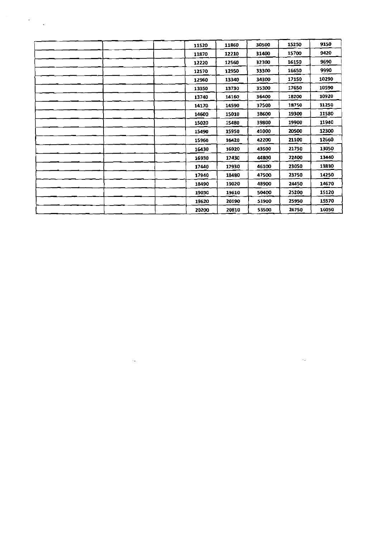| 11520 | 11860 | 30500 | 15250 | 9150  |
|-------|-------|-------|-------|-------|
| 11870 | 12210 | 31400 | 15700 | 9420  |
| 12220 | 12560 | 32300 | 16150 | 9690  |
| 12570 | 12950 | 33300 | 16650 | 9990  |
| 12960 | 13340 | 34300 | 17150 | 10290 |
| 13350 | 13730 | 35300 | 17650 | 10590 |
| 13740 | 14160 | 36400 | 18200 | 10920 |
| 14170 | 14590 | 37500 | 18750 | 11250 |
| 14600 | 15010 | 38600 | 19300 | 11580 |
| 15020 | 15480 | 39800 | 19900 | 11940 |
| 15490 | 15950 | 41000 | 20500 | 12300 |
| 15960 | 16420 | 42200 | 21100 | 12660 |
| 16430 | 16920 | 43500 | 21750 | 13050 |
| 16930 | 17430 | 44800 | 22400 | 13440 |
| 17440 | 17930 | 46100 | 23050 | 13830 |
| 17940 | 18480 | 47500 | 23750 | 14250 |
| 18490 | 19020 | 48900 | 24450 | 14670 |
| 19030 | 19610 | 50400 | 25200 | 15120 |
| 19620 | 20190 | 51900 | 25950 | 15570 |
| 20200 | 20810 | 53500 | 26750 | 16050 |

 $\mathcal{L}(\mathcal{L}(\mathcal{L}))$  and  $\mathcal{L}(\mathcal{L}(\mathcal{L}))$  . The contribution of  $\mathcal{L}(\mathcal{L})$  is a subset of  $\mathcal{L}(\mathcal{L})$ 

 $\label{eq:2.1} \frac{d\mathbf{r}}{d\mathbf{r}} = \frac{1}{2} \sum_{i=1}^n \frac{d\mathbf{r}}{d\mathbf{r}} \frac{d\mathbf{r}}{d\mathbf{r}} \frac{d\mathbf{r}}{d\mathbf{r}} \frac{d\mathbf{r}}{d\mathbf{r}} \frac{d\mathbf{r}}{d\mathbf{r}} \frac{d\mathbf{r}}{d\mathbf{r}} \frac{d\mathbf{r}}{d\mathbf{r}} \frac{d\mathbf{r}}{d\mathbf{r}} \frac{d\mathbf{r}}{d\mathbf{r}} \frac{d\mathbf{r}}{d\math$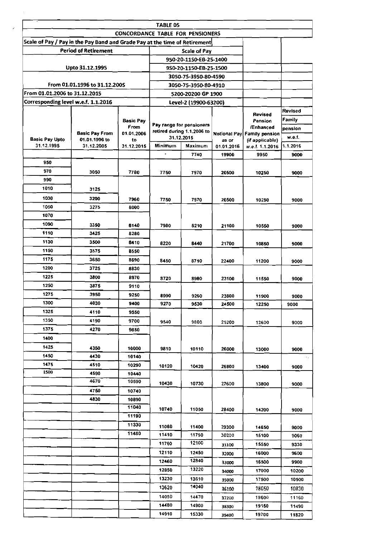|                                     |                                                                            |                  | <b>TABLE 05</b><br><b>CONCORDANCE TABLE FOR PENSIONERS</b> |                                          |                     |                                    |                   |
|-------------------------------------|----------------------------------------------------------------------------|------------------|------------------------------------------------------------|------------------------------------------|---------------------|------------------------------------|-------------------|
|                                     | Scale of Pay / Pay in the Pay Band and Grade Pay at the time of Retirement |                  |                                                            |                                          |                     |                                    |                   |
|                                     | <b>Period of Retirement</b>                                                |                  |                                                            | Scale of Pay                             |                     |                                    |                   |
|                                     |                                                                            |                  |                                                            | 950-20-1150-EB-25-1400                   |                     |                                    |                   |
|                                     | Upto 31.12.1995                                                            |                  |                                                            | 9S0-20-1150-EB-25-1500                   |                     |                                    |                   |
|                                     |                                                                            |                  |                                                            | 3050-75-3950-80-4590                     |                     |                                    |                   |
|                                     | From 01.01.1996 to 31.12.200S                                              |                  |                                                            | 3050-75-3950-80-4910                     |                     |                                    |                   |
| From 01.01.2006 to 31.12.2015       |                                                                            |                  |                                                            | 5200-20200 GP 1900                       |                     |                                    |                   |
| Corresponding level w.e.f. 1.1.2016 |                                                                            |                  |                                                            | Level-2 (19900-63200)                    |                     |                                    |                   |
|                                     |                                                                            |                  |                                                            |                                          |                     |                                    | <b>Revised</b>    |
|                                     |                                                                            | <b>Basic Pay</b> |                                                            |                                          |                     | Revised<br>Pension                 | Family            |
|                                     |                                                                            | From             |                                                            | Pay range for pensioners                 |                     | /Enhanced                          | pension           |
|                                     | <b>Basic Pay From</b>                                                      | 01.01.2006       |                                                            | retired during 1.1.2006 to<br>31.12.2015 |                     | Notional Pay Family pension        | w.e.f.            |
| <b>Basic Pay Upto</b><br>31.12.1995 | 01.01.1996 to<br>31.12.2005                                                | to<br>31.12,2015 | Minimum                                                    | Maximum                                  | as or<br>01.01.2016 | (if applicable)<br>w.e.f. 1.1.2016 | 1.1.2016          |
|                                     |                                                                            |                  | $\blacksquare$                                             | 7740                                     | 19900               | 9950                               | 9000              |
| 950                                 |                                                                            |                  |                                                            |                                          |                     |                                    |                   |
| 970                                 |                                                                            |                  |                                                            |                                          |                     |                                    |                   |
| 990                                 | 3050                                                                       | 7780             | 7750                                                       | 7970                                     | 20500               | 10250                              | 9000              |
| 1010                                |                                                                            |                  |                                                            |                                          |                     |                                    |                   |
|                                     | 3125                                                                       |                  |                                                            |                                          |                     |                                    |                   |
| 1030                                | 3200                                                                       | 7960             | 7750                                                       | 7970                                     | 20500               | 10250                              | 9000              |
| 1050                                | 3275                                                                       | 8000             |                                                            |                                          |                     |                                    |                   |
| 1070                                |                                                                            |                  |                                                            |                                          |                     |                                    |                   |
| 1090                                | 3350                                                                       | 8140             | 7980                                                       | 8210                                     | 21100               | 10550                              | 9000              |
| 1110                                | 3425                                                                       | 8280             |                                                            |                                          |                     |                                    |                   |
| 1130                                | 3500                                                                       | 8410             | 8220                                                       | 8440                                     | 21700               | 10850                              | 9000              |
| 1150                                | 3575                                                                       | 8550             |                                                            |                                          |                     |                                    |                   |
| 1175                                | 3650                                                                       | 8690             | 8450                                                       | 8710                                     | 22400               | 11200                              | 9000              |
| 1200                                | 3725                                                                       | 8830             |                                                            |                                          |                     |                                    |                   |
| 1225                                | 3800                                                                       | 8970             | 8720                                                       | 8980                                     | 23100               | 11550                              | 9000              |
| 1250                                | 3875                                                                       | 9110             |                                                            |                                          |                     |                                    |                   |
| 1275                                | 3950                                                                       | 9250             | 8990                                                       | 9260                                     | 23800               | 11900                              | 9000              |
| 1300                                | 4030                                                                       | 9400             | 9270                                                       | 9530                                     | 24500               | 12250                              | 9000              |
| 1325                                | 4110                                                                       | 9550             |                                                            |                                          |                     |                                    |                   |
| 1350                                | 4190                                                                       | 9700             | 9540                                                       | 9800                                     | 25200               | 12600                              | 9000              |
| 1375                                | 4270                                                                       | 9850             |                                                            |                                          |                     |                                    |                   |
| 1400                                |                                                                            |                  |                                                            |                                          |                     |                                    |                   |
| 1425                                |                                                                            |                  |                                                            |                                          |                     |                                    |                   |
| 1450                                | 4350                                                                       | 10000            | 9810                                                       | 10110                                    | 26000               | 13000                              | 9000              |
|                                     | 4430                                                                       | 10140            |                                                            |                                          |                     |                                    | $\sim$ $_{\rm m}$ |
| 1475<br>1500                        | 4510                                                                       | 10290            | 10120                                                      | 10420                                    | 26800               | 13400                              | 9000              |
|                                     | 4590<br>4670                                                               | 10440<br>10590   |                                                            |                                          |                     |                                    |                   |
|                                     |                                                                            |                  | 10430                                                      | 10730                                    | 27600               | 13800                              | 9000              |
|                                     | 4750                                                                       | 10740            |                                                            |                                          |                     |                                    |                   |
|                                     | 4830                                                                       | 10890            |                                                            |                                          |                     |                                    |                   |
|                                     |                                                                            | 11040            | 10740                                                      | 11050                                    | 28400               | 14200                              | 9000              |
|                                     |                                                                            | 11190            |                                                            |                                          |                     |                                    |                   |
|                                     |                                                                            | 11330            | 11060                                                      | 11400                                    | 29300               | 14650                              | 9000              |
|                                     |                                                                            | 11480            | 11410                                                      | 11750                                    | 30200               | 15100                              | 9060              |
|                                     |                                                                            |                  | 11760                                                      | 12100                                    | 31100               | 15550                              | 9330              |
|                                     |                                                                            |                  | 12110                                                      | 12450                                    | 32000               | 16000                              | 9600              |
|                                     |                                                                            |                  | 12460                                                      | 12840                                    | 33000               | 16500                              | 9900              |
|                                     |                                                                            |                  | 12850                                                      | 13220                                    | 34000               | 17000                              | 10200             |
|                                     |                                                                            |                  | 13230                                                      | 13610                                    | 35000               | 17500                              | 10500             |
|                                     |                                                                            |                  | 13620                                                      | 14040                                    | 36100               | 18050                              | 10830             |
|                                     |                                                                            |                  | 14050                                                      | 14470                                    | 37200               | 18600                              | 11160             |
|                                     |                                                                            |                  | 14480                                                      | 14900                                    |                     | 19150                              | 11490             |
|                                     |                                                                            |                  | 14910                                                      | 15330                                    | 38300<br>39400      | 19700                              | 11820             |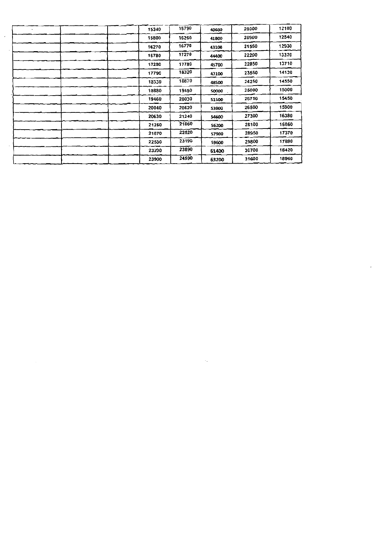| 15340 | 15790 | 40600 | 20300 | 12180 |
|-------|-------|-------|-------|-------|
| 15800 | 16260 | 41800 | 20900 | 12540 |
| 16270 | 16770 | 43100 | 21550 | 12930 |
| 16780 | 17270 | 44400 | 22200 | 13320 |
| 17280 | 17780 | 45700 | 22850 | 13710 |
| 17790 | 18320 | 47100 | 23550 | 14130 |
| 18330 | 18870 | 48500 | 24250 | 14550 |
| 18880 | 19450 | 50000 | 25000 | 15000 |
| 19460 | 20030 | 51500 | 25756 | 15450 |
| 20040 | 20620 | 53000 | 26500 | 15900 |
| 20630 | 21240 | 54600 | 27300 | 16380 |
| 21250 | 21860 | 56200 | 28100 | 16860 |
| 21870 | 22520 | 57900 | 28950 | 17370 |
| 22530 | 23190 | 59600 | 29800 | 17880 |
| 23200 | 23890 | 61400 | 30700 | 16420 |
| 23900 | 24590 | 63200 | 31600 | 18960 |

 $\label{eq:2.1} \mathcal{L}_{\mathcal{A}}(x) = \mathcal{L}_{\mathcal{A}}(x) + \mathcal{L}_{\mathcal{A}}(x) + \mathcal{L}_{\mathcal{A}}(x) + \mathcal{L}_{\mathcal{A}}(x)$ 

 $\sim$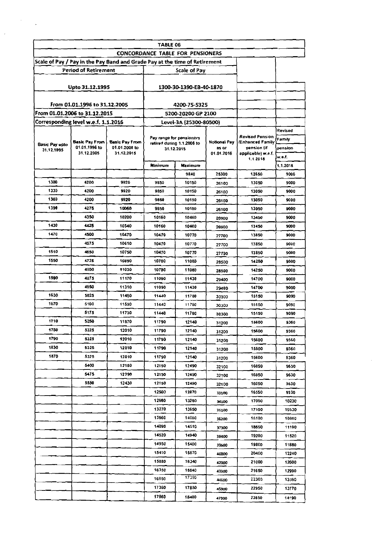|                                     |                               |                                                                            | TABLE 06       |                                                        |                     |                                               |
|-------------------------------------|-------------------------------|----------------------------------------------------------------------------|----------------|--------------------------------------------------------|---------------------|-----------------------------------------------|
|                                     |                               |                                                                            |                | <b>CONCORDANCE TABLE FOR PENSIONERS</b>                |                     |                                               |
|                                     |                               | Scale of Pay / Pay in the Pay Band and Grade Pay at the time of Retirement |                |                                                        |                     |                                               |
|                                     | <b>Period of Retirement</b>   |                                                                            |                | Scale of Pay                                           |                     |                                               |
|                                     | Upto 31.12.1995               |                                                                            |                | 1300-30-1390-EB-40-1870                                |                     |                                               |
|                                     | From 01.01.1996 to 31.12.2005 |                                                                            |                | 4200-75-5325                                           |                     |                                               |
| From 01.01.2006 to 31.12.2015       |                               |                                                                            |                | 5200-20200 GP 2100                                     |                     |                                               |
| Corresponding level w.e.f. 1.1.2016 |                               |                                                                            |                | Level-3A (25300-80500)                                 |                     |                                               |
| <b>Basic Pay upto</b><br>31.12.1995 | Basic Pay From                | <b>Basic Pay From</b>                                                      |                | Pay range for pensioners<br>retired during 1.1.2006 to | <b>Notional Pay</b> | <b>Revised Pension</b><br>/Enhanced Family    |
|                                     | 01.01.1996 to<br>31.12.2005   | 01.01.2005 to<br>31.12.2015                                                |                | 31.12.2015                                             | as or<br>01.01.2016 | pension (if<br>appliceble) w.e.f.<br>1.1.2018 |
|                                     |                               |                                                                            | Minimum        | <b>Maximum</b>                                         |                     |                                               |
|                                     |                               |                                                                            |                | 9840                                                   | 25300               | 12650                                         |
| 1300                                | 4200                          | 9920                                                                       | 9850           | 10150                                                  | 26100               | 13050                                         |
| 1330                                | 4200                          | 9920                                                                       | 9850           | 10150                                                  | 26100               | 13050                                         |
| 1360                                | 4200                          | 9920                                                                       | 9850           | 10150                                                  | 26100               | 13050                                         |
| 1390                                | 4275                          | 10060                                                                      | 9850           | 10150                                                  | 26100               | 13050                                         |
|                                     | 4350                          | 10200                                                                      | 10160          | 10460                                                  | 26900               | 13450                                         |
| 1430                                | 4425                          | 10340                                                                      | 10160          | 10460                                                  | 26900               | 13450                                         |
| 1470                                | 4500                          | 10470                                                                      | 10470          | 10770                                                  | 27700               | 13850                                         |
|                                     | 4575                          | 10610                                                                      | 10470          | 10770                                                  | 27700               | 13850                                         |
| 1510                                | 4650                          | 10750                                                                      | 10470          | 10770                                                  | 27700               | 13850                                         |
| 1550                                | 4725                          | 10890                                                                      | 10780          | 11080                                                  | 28500               | 14250                                         |
|                                     | 4800                          | 11030                                                                      | 10780          | 11080                                                  | 28500               | 14250                                         |
| 1590                                | 4875                          | 11170                                                                      | 11090          | 11430                                                  | 29400               | 14700                                         |
|                                     | 4950                          | 11310                                                                      | 11090          | 11430                                                  | 29400               | 14700                                         |
| 1630                                | 5025                          | 11450                                                                      | 11440          | 11780                                                  | 30300               | 15150                                         |
| 1670                                | 5100                          | 11590                                                                      | 11440          | 11780                                                  | 30300               | 15150                                         |
|                                     | 5175                          | 11730                                                                      | 11440          | 11780                                                  | 30300               | 15150                                         |
| 1710                                | 5250                          | 11870                                                                      | 11790          | 12140                                                  | 31200               | 15600                                         |
| 1750                                | 5325                          | 12010                                                                      | 11790          | 12140                                                  | 31200               | 15600                                         |
| 1790                                | 5325                          | 12010                                                                      | 11790          | 12140                                                  | 31200               | 15600                                         |
| 1830                                | 5325                          | 12010                                                                      | 11790          | 12140                                                  | 31200               | 15600                                         |
| 1870                                | 5325                          | 12010                                                                      | 11790          | 12140                                                  | 31200               | 15600                                         |
|                                     | 5400                          | 12150                                                                      | 12150          | 12490                                                  | 32100               | 16050                                         |
|                                     | 5475                          | 12290                                                                      | 12150          | 12490                                                  | 32100               | 16050                                         |
|                                     | 5550                          | 12430                                                                      | 12150          | 12490                                                  | 32100               | 16050                                         |
|                                     |                               |                                                                            | 12500          | 12870                                                  | 33100               | 16550                                         |
|                                     |                               |                                                                            | 12880          | 13260                                                  | 34100               | 17050                                         |
|                                     |                               |                                                                            | 13270          | 13650                                                  | 35100               | 17550                                         |
|                                     |                               |                                                                            | 13660          | 14080                                                  | 36200               | 18100                                         |
|                                     |                               |                                                                            | 14090          | 14510                                                  | 37300               | 18650                                         |
|                                     |                               |                                                                            | 14520          | 14940                                                  | 38400               | 19200                                         |
|                                     |                               |                                                                            | 14950          | 15400                                                  | 39600               | 19800                                         |
|                                     |                               |                                                                            | 15410          | 15870                                                  | 40800               | 20400                                         |
|                                     |                               |                                                                            | 15880          | 16340                                                  | 42000               | 21000                                         |
|                                     |                               |                                                                            | 16350          | 16840<br>17350                                         | 43300               | 21650                                         |
|                                     |                               |                                                                            |                |                                                        |                     |                                               |
|                                     |                               |                                                                            | 16850<br>17360 | 17850                                                  | 44600               | 22300<br>22950                                |

 $\sim$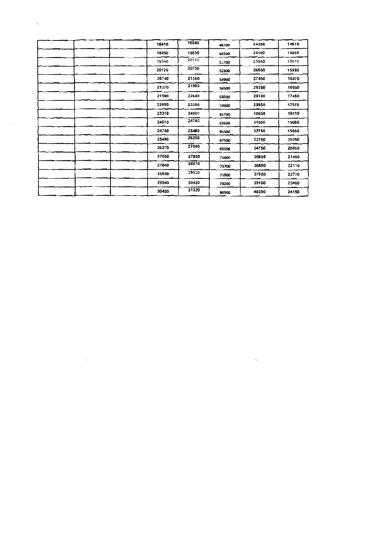| 18410 | 18940 | 48700        | 24350 | 14610 |
|-------|-------|--------------|-------|-------|
| 18950 | 19530 | 50200        | 25100 | 15060 |
| 19540 | 20110 | 5.700        | 25850 | 15510 |
| 20120 | 20730 | 53300        | 26650 | 15990 |
| 20748 | 21360 | 54900        | 27450 | 16470 |
| 21370 | 21980 | 56500        | 28250 | 16950 |
| 21990 | 22640 | 58200        | 29100 | 17460 |
| 22650 | 23300 | 59900        | 29950 | 17970 |
| 23310 | 24000 | 61700        | 30850 | 18510 |
| 24010 | 24740 | 63600        | 31800 | 19080 |
| 24750 | 25480 | 65500        | 32750 | 19650 |
| 25490 | 26260 | 67500        | 33750 | 20250 |
| 26270 | 27040 | 69500        | 34750 | 20850 |
| 27050 | 27850 | 71600        | 35800 | 21480 |
| 27860 | 28670 | 73700        | 36850 | 22110 |
| 28680 | 29530 | 75900        | 37950 | 22770 |
| 29540 | 30420 | 78700        | 39100 | 23460 |
| 30430 | 31320 | <b>B0500</b> | 40250 | 24150 |

 $\mathcal{L}(\mathcal{L}(\mathcal{L}(\mathcal{L}(\mathcal{L}(\mathcal{L}(\mathcal{L}(\mathcal{L}(\mathcal{L}(\mathcal{L}(\mathcal{L}(\mathcal{L}(\mathcal{L}(\mathcal{L}(\mathcal{L}(\mathcal{L}(\mathcal{L}(\mathcal{L}(\mathcal{L}(\mathcal{L}(\mathcal{L}(\mathcal{L}(\mathcal{L}(\mathcal{L}(\mathcal{L}(\mathcal{L}(\mathcal{L}(\mathcal{L}(\mathcal{L}(\mathcal{L}(\mathcal{L}(\mathcal{L}(\mathcal{L}(\mathcal{L}(\mathcal{L}(\mathcal{L}(\mathcal{$ 

 $\mathcal{O}(\mathcal{O}_\mathcal{O})$  .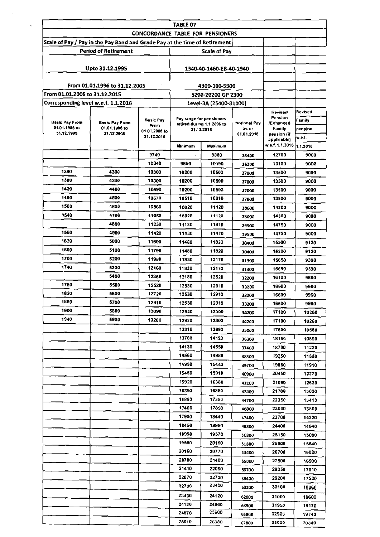|                                                                            |                                        | <b>CONCORDANCE TABLE FOR PENSIONERS</b> | TABLE 07       |                                                        |                |                                          |                         |
|----------------------------------------------------------------------------|----------------------------------------|-----------------------------------------|----------------|--------------------------------------------------------|----------------|------------------------------------------|-------------------------|
| Scale of Pay / Pay in the Pay Band and Grade Pay at the time of Retirement |                                        |                                         |                |                                                        |                |                                          |                         |
|                                                                            | <b>Period of Retirement</b>            |                                         |                | <b>Scale of Pay</b>                                    |                |                                          |                         |
|                                                                            |                                        |                                         |                |                                                        |                |                                          |                         |
|                                                                            | Upto 31.12.1995                        |                                         |                | 1340-40-1460-EB-40-1940                                |                |                                          |                         |
|                                                                            |                                        |                                         |                |                                                        |                |                                          |                         |
|                                                                            | From 01.01.1996 to 31.12.2005          |                                         |                | 4300-100-5900                                          |                |                                          |                         |
| From 01.01.2006 to 31.12.2015                                              |                                        |                                         |                | 5200-20200 GP 2300                                     |                |                                          |                         |
| Corresponding level w.e.f. 1.1.2016                                        |                                        |                                         |                | Level-3A (25400-81000)                                 |                |                                          |                         |
| <b>Basic Pay From</b><br>01.01.1986 to                                     | <b>Basic Pay From</b><br>01.01.1996 to | Basic Pay<br><b>From</b>                |                | Pay range for pensioners<br>retired during 1.1.2006 to | Notional Pay   | Revised<br>Pension<br>Enhanced<br>Family | Revised<br>Family       |
| 31.12.1995                                                                 | 31.12.2005                             | 01.01.2006 to<br>31.12.2015             |                | as or<br>31.12.2015<br>01.01.2016                      |                |                                          | pension                 |
|                                                                            |                                        |                                         | Minimum        | Maximum                                                |                | applicable)<br>w.e.f. 1.1.2016 1.1.2016  | w.e.f.                  |
|                                                                            |                                        | 9740                                    |                | 9880                                                   | 25400          | 12700                                    | 9000                    |
|                                                                            |                                        | 10040                                   | 9890           | 10190                                                  |                | 13100                                    | 9000                    |
| 1340                                                                       | 4300                                   | 10300                                   | 10200          | 10500                                                  | 26200          | 13500                                    | 9000                    |
| 1380                                                                       | 4300                                   | 10300                                   | 10200          | 10500                                                  | 27000<br>27000 | 13500                                    | 9000                    |
| 1420                                                                       | 4400                                   | 10490                                   | 10200          | 10500                                                  | 27000          | 13500                                    | 9000                    |
| 1460                                                                       | 4500                                   | 10670                                   | 10510          | 10810                                                  |                | 13900                                    | 9000                    |
| 1500                                                                       | 4600                                   | 10860                                   | 10820          | 11120                                                  | 27800          | 14300                                    | 9000                    |
| 1540                                                                       | 4700                                   | 11050                                   | 10820          | 11120                                                  | 28600<br>28600 | 14300                                    | 9000                    |
|                                                                            | 4800                                   | 11230                                   | 11130          | 11470                                                  | 29500          | 14750                                    | 9000                    |
| 1580                                                                       | 4900                                   | 11420                                   | 11130          | 11470                                                  |                | 14750                                    | 9000                    |
| 1620                                                                       | 5000                                   | 11600                                   | 11480          | 11820                                                  | 29500          | 15200                                    | 9120                    |
| 1660                                                                       | 5100                                   | 11790                                   | 11480          | 11820                                                  | 30400          | 15200                                    |                         |
| 1700                                                                       | 5200                                   | 11980                                   | 11830          | 12170                                                  | 30400          |                                          | 9120                    |
| 1740                                                                       | 5300                                   | 12160                                   | 11830          |                                                        | 31300          | 15650                                    | 9390                    |
|                                                                            | 5400                                   | 12350                                   |                | 12170                                                  | 31300          | 15650                                    | 9390                    |
| 1780                                                                       | 5500                                   | 12530                                   | 12180          | 12520                                                  | 32200          | 16100                                    | 9660                    |
| 1820                                                                       | 5600                                   | 12720                                   | 12530          | 12910                                                  | 33200          | 16600                                    | 9960                    |
| 1860                                                                       | 5700                                   | 12910                                   | 12530          | 12910                                                  | 33200          | 16600                                    | 9960                    |
| 1900                                                                       | 5800                                   | 13090                                   | 12530<br>12920 | 12910<br>13300                                         | 33200          | 16500                                    | 9960                    |
| 1940                                                                       | 5900                                   | 13280                                   |                |                                                        | 34200          | 17100                                    | 10260                   |
|                                                                            |                                        |                                         | 12920          | 13300                                                  | 34200          | 17100                                    | 10260                   |
|                                                                            |                                        |                                         | 13310          | 13690                                                  | 35200          | 17600                                    | 10560                   |
|                                                                            |                                        |                                         | 13700<br>14130 | 14120                                                  | 36300          | 18150                                    | 10890                   |
|                                                                            |                                        |                                         |                | 14550                                                  | 37400          | 18700                                    | 11220                   |
|                                                                            |                                        |                                         | 14560          | 14980                                                  | 38500          | 19250                                    | 11550                   |
|                                                                            |                                        |                                         | 14990          | 15440                                                  | 39700          | 19850                                    | 11910                   |
|                                                                            |                                        |                                         | 15450          | 15910                                                  | 40900          | 20450                                    | 12270                   |
|                                                                            |                                        |                                         | 15920          | 16380                                                  | 42100          | 21050                                    | 12630                   |
|                                                                            |                                        |                                         | 16390          | 16880                                                  | 43400          | 21700                                    | 13020                   |
|                                                                            |                                        |                                         | 16890<br>17400 | 17390<br>17890                                         | 44700          | 22350                                    | 13410                   |
|                                                                            |                                        |                                         | 17900          | 18440                                                  | 46000          | 23000                                    | 13800                   |
|                                                                            |                                        |                                         | 18450          | 18980                                                  | 47400          | 23700                                    | 14220                   |
|                                                                            |                                        |                                         | 18990          | 19570                                                  | 48800          | 24400                                    | 14640                   |
|                                                                            |                                        |                                         | 19580          | 20150                                                  | 50300          | 25150                                    | 15090                   |
|                                                                            |                                        |                                         | 20160          | 20770                                                  | 51800          | 25900                                    | 15540                   |
|                                                                            |                                        |                                         | 20780          | 21400                                                  | 53400          | 26700                                    | 16020                   |
|                                                                            |                                        |                                         | 21410          | 22060                                                  | 55000          | 27500                                    | 16500                   |
|                                                                            |                                        |                                         | 22070          | 22720                                                  | 56700          | 28350                                    | 17010                   |
|                                                                            |                                        |                                         |                |                                                        | 58400          | 29200                                    | 17520                   |
|                                                                            |                                        |                                         |                |                                                        |                |                                          |                         |
|                                                                            |                                        |                                         | 22730          | 23420                                                  | 60200          | 30100                                    |                         |
|                                                                            |                                        |                                         | 23430          | 24120                                                  | 62000          | 31000                                    |                         |
|                                                                            |                                        |                                         | 24130<br>24870 | 24860<br>25600                                         | 63900          | 31950<br>32900                           | 18060<br>18600<br>19170 |

 $\sim$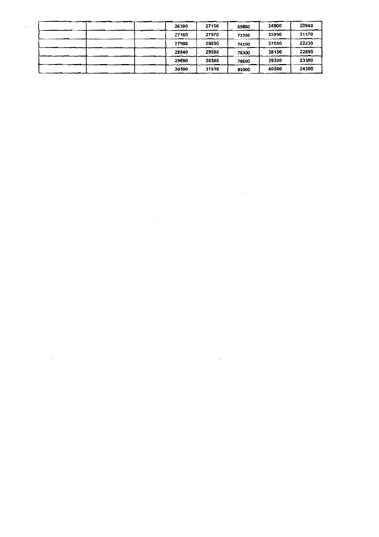|  | 26390 | 27150 | 69800 | 34900 | 20940 |
|--|-------|-------|-------|-------|-------|
|  | 27160 | 27970 | 71900 | 35950 | 21570 |
|  | 27980 | 28830 | 74100 | 37050 | 22230 |
|  | 28840 | 29680 | 76300 | 38150 | 22890 |
|  | 29690 | 30580 | 78600 | 39300 | 23580 |
|  | 30590 | 31510 | 81000 | 40500 | 24300 |

 $\label{eq:2.1} \frac{1}{\sqrt{2}}\int_{\mathbb{R}^3}\frac{1}{\sqrt{2}}\left(\frac{1}{\sqrt{2}}\right)^2\frac{1}{\sqrt{2}}\left(\frac{1}{\sqrt{2}}\right)^2\frac{1}{\sqrt{2}}\left(\frac{1}{\sqrt{2}}\right)^2\frac{1}{\sqrt{2}}\left(\frac{1}{\sqrt{2}}\right)^2.$ 

 $\mathcal{L}(\mathcal{L}(\mathcal{L}(\mathcal{L}(\mathcal{L}(\mathcal{L}(\mathcal{L}(\mathcal{L}(\mathcal{L}(\mathcal{L}(\mathcal{L}(\mathcal{L}(\mathcal{L}(\mathcal{L}(\mathcal{L}(\mathcal{L}(\mathcal{L}(\mathcal{L}(\mathcal{L}(\mathcal{L}(\mathcal{L}(\mathcal{L}(\mathcal{L}(\mathcal{L}(\mathcal{L}(\mathcal{L}(\mathcal{L}(\mathcal{L}(\mathcal{L}(\mathcal{L}(\mathcal{L}(\mathcal{L}(\mathcal{L}(\mathcal{L}(\mathcal{L}(\mathcal{L}(\mathcal{$ 

 $\label{eq:2.1} \mathcal{L}(\mathcal{L}^{\mathcal{L}}_{\mathcal{L}}(\mathcal{L}^{\mathcal{L}}_{\mathcal{L}})) \leq \mathcal{L}(\mathcal{L}^{\mathcal{L}}_{\mathcal{L}}(\mathcal{L}^{\mathcal{L}}_{\mathcal{L}})) \leq \mathcal{L}(\mathcal{L}^{\mathcal{L}}_{\mathcal{L}}(\mathcal{L}^{\mathcal{L}}_{\mathcal{L}}))$ 

 $\label{eq:2.1} \frac{1}{\sqrt{2}}\int_{\mathbb{R}^3} \frac{1}{\sqrt{2}}\left(\frac{1}{\sqrt{2}}\right)^2\left(\frac{1}{\sqrt{2}}\right)^2\left(\frac{1}{\sqrt{2}}\right)^2\left(\frac{1}{\sqrt{2}}\right)^2.$ 

 $\label{eq:2.1} \frac{1}{\sqrt{2\pi}}\int_{\mathbb{R}^3}\frac{1}{\sqrt{2\pi}}\left(\frac{1}{\sqrt{2\pi}}\right)^2\frac{1}{\sqrt{2\pi}}\int_{\mathbb{R}^3}\frac{1}{\sqrt{2\pi}}\frac{1}{\sqrt{2\pi}}\frac{1}{\sqrt{2\pi}}\frac{1}{\sqrt{2\pi}}\frac{1}{\sqrt{2\pi}}\frac{1}{\sqrt{2\pi}}\frac{1}{\sqrt{2\pi}}\frac{1}{\sqrt{2\pi}}\frac{1}{\sqrt{2\pi}}\frac{1}{\sqrt{2\pi}}\frac{1}{\sqrt{2\pi}}\frac{$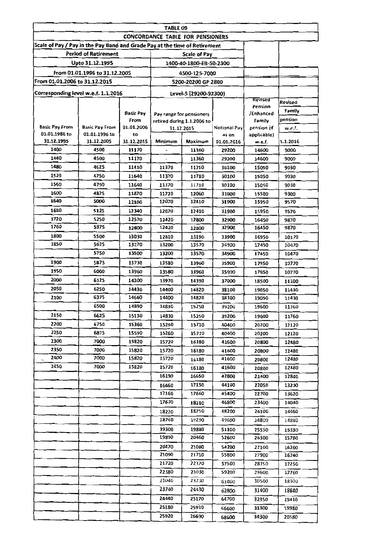|                                                                            |                               |                    | TABLE 09                         |                                     |                       |                            |                |
|----------------------------------------------------------------------------|-------------------------------|--------------------|----------------------------------|-------------------------------------|-----------------------|----------------------------|----------------|
| Scale of Pay / Pay in the Pay Band and Grade Pay at the time of Retirement |                               |                    | CONCORDANCE TABLE FOR PENSIONERS |                                     |                       |                            |                |
|                                                                            | <b>Period of Retirement</b>   |                    |                                  | <b>Scale of Pay</b>                 |                       |                            |                |
|                                                                            | Upto 31.12.1995               |                    |                                  | 1400-40-1800-EB-50-2300             |                       |                            |                |
|                                                                            |                               |                    |                                  |                                     |                       |                            |                |
| From 01.01.2006 to 31.12.2015                                              | From 01.01.1996 to 31.12.2005 |                    |                                  | 4500-125-7000<br>5200-20200 GP 2800 |                       |                            |                |
|                                                                            |                               |                    |                                  |                                     |                       |                            |                |
| Corresponding level w.e.f. 1.1.2016                                        |                               |                    |                                  | Level-5 (29200-92300)               |                       | Revised                    |                |
|                                                                            |                               |                    |                                  |                                     |                       | Pension                    | Revised        |
|                                                                            |                               | <b>Basic Pay</b>   |                                  | Pay range for pensioners            |                       | /Enhanced                  | Family         |
| <b>Basic Pay From</b>                                                      | <b>Basic Pay From</b>         | From<br>01.01.2006 |                                  | retired during 1.1.2006 to          |                       | Family                     | pension        |
| 01.01.1986 to                                                              | 01.01.1996 to                 | to                 |                                  | 31.12.2015                          | Notional Pay<br>as on | pension (if<br>applicable) | w.e.f.         |
| 31.12.1995                                                                 | 31.12.2005                    | 31.12.2015         | Minimum                          | Maximum                             | 01.01.2016            | w.e.f.                     | 1.1.2016       |
| 1400                                                                       | 4500                          | 11170              |                                  | 11360                               | 29200                 | 14600                      | 9000           |
| 1440                                                                       | 4500                          | 11170              |                                  | 11360                               | 29200                 | 14600                      | 9000           |
| 1480                                                                       | 4625                          | 11410              | 11370                            | 11710                               | 30100                 | 15050                      | 9030           |
| 1520                                                                       | 4750                          | 11640              | 11370                            | 11710                               | 30100                 | 15050                      | 9030           |
| 1560                                                                       | 4750                          | 11640              | 11370                            | 11710                               | 30100                 | 15050                      | 9030           |
| 1600                                                                       | 4875                          | 11870              | 11720                            | 12060                               | 31000                 | 15500                      | 9300           |
| 1640                                                                       | 5000                          | 12100              | 12070                            | 12410                               | 31900                 | 15950                      | 9570           |
| 1680                                                                       | 5125                          | 12340              | 12070                            | 12410                               | 31900                 | 15950                      | 9570           |
| 1720                                                                       | 5250                          | 12570              | 12420                            | 12800                               | 32900                 | 16450                      | 9870           |
| 1760                                                                       | 5375                          | 12800              | 12420                            | 12800                               | 32900                 | 16450                      | 9870           |
| 1800                                                                       | 5500                          | 13030              | 12810                            | 13190                               | 33900                 | 16950                      | 10170          |
| 1850                                                                       | 5625                          | 13270              | 13200                            | 13570                               |                       | 17450                      | 10470          |
|                                                                            | 5750                          | 13500              | 13200                            | 13570                               | 34900                 | 17450                      | 10470          |
| 1900                                                                       | 5875                          | 13730              | 13580                            | 13960                               | 35900                 | 17950                      | 10770          |
| 1950                                                                       | 6000                          | 13960              | 13580                            | 13960                               | 35900                 | 17950                      | 10770          |
| 2000                                                                       | 6125                          | 14200              | 13970                            | 14390                               | 37000                 | 18500                      | 11100          |
| 2050                                                                       | 6250                          | 14430              | 14400                            | 14820                               | 38100                 | 19050                      | 11430          |
| 2100                                                                       | 6375                          | 14660              | 14400                            | 14820                               | 38100                 | 19050                      | 11430          |
|                                                                            | 6500                          | 14890              | 14830                            | 15250                               | 39200                 | 19600                      | 11760          |
| 2150                                                                       | 6625                          | 15130              | 14830                            | 15250                               | 39200                 | 19600                      | 11760          |
| 2200                                                                       | 6750                          | 15360              | 15260                            | 15710                               | 40400                 | 20200                      | 12120          |
| 2250                                                                       | 6875                          | 15590              | 15260                            | 15710                               | 40400                 | 20200                      | 12120          |
| 2300                                                                       | 7000                          | 15820              | 15720                            | 16180                               | 41600                 | 20800                      | 12480          |
| 2350<br>2400                                                               | 7000<br>7000                  | 15820<br>15820     | 15720                            | 16180                               | 41600                 | 20800                      | 12480          |
| 2450                                                                       | 7000                          | 15820              | 15720                            | 16180                               | 41600                 | 20800                      | 12480          |
|                                                                            |                               |                    | 15720<br>16190                   | 16180<br>16650                      | 41600<br>42800        | 20800<br>21400             | 12480          |
|                                                                            |                               |                    | 16660                            | 17150                               | 44100                 | 22050                      | 12840<br>13230 |
|                                                                            |                               |                    | 17160                            | 17660                               | 45400                 | 22700                      | 13620          |
|                                                                            |                               |                    | 17670                            | 18210                               | 46800                 | 23400                      | 14040          |
|                                                                            |                               |                    | 18220                            | 18750                               | 48200                 | 24100                      | 14460          |
|                                                                            |                               |                    | 18760                            | 19290                               | 49600                 | 24800                      | 14880          |
|                                                                            |                               |                    | 19300                            | 19880                               | 51100                 | 25550                      | 15330          |
|                                                                            |                               |                    | 19890                            | 20460                               | 52600                 | 26300                      | 15780          |
|                                                                            |                               |                    | 20470                            | 21080                               | 54200                 | 27100                      | 16260          |
|                                                                            |                               |                    | 21090                            | 21710                               | 55800                 | 27900                      | 16740          |
|                                                                            |                               |                    | 21720                            | 22370                               | 57500                 | 287SO                      | 17250          |
|                                                                            |                               |                    | 22380                            | 23030                               | 59200                 | 29600                      | 17760          |
|                                                                            |                               |                    | 23040                            | 23730                               | 61000                 | 30500                      | 18300          |
|                                                                            |                               |                    | 23740                            | 24430                               | 62800                 | 31400                      | 18840          |
|                                                                            |                               |                    | 24440                            | 25170                               | 64700                 | 32350                      | 19410          |
|                                                                            |                               |                    | 25180                            | 25910                               | 66600                 | 33300                      | 19980          |
|                                                                            |                               |                    | 25920                            | 26690                               | 68600                 | 34300                      | 20580          |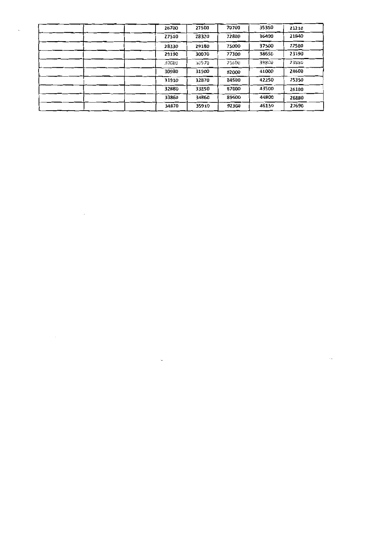| 26700 | 27500 | 70700 | 35350 | 21210 |
|-------|-------|-------|-------|-------|
| 27510 | 28320 | 72800 | 36400 | 21840 |
| 28330 | 29180 | 75000 | 37500 | 22500 |
| 29190 | 30070 | 77300 | 38650 | 23190 |
| 30080 | 30970 | 79600 | 39800 | 23880 |
| 30980 | 31900 | 82000 | 41000 | 24600 |
| 31910 | 32870 | 84500 | 42250 | 25350 |
| 32880 | 33850 | 87000 | 43500 | 26100 |
| 33860 | 34860 | 89600 | 44800 | 26880 |
| 34870 | 35910 | 92300 | 46150 | 27690 |

 $\hat{\boldsymbol{\beta}}$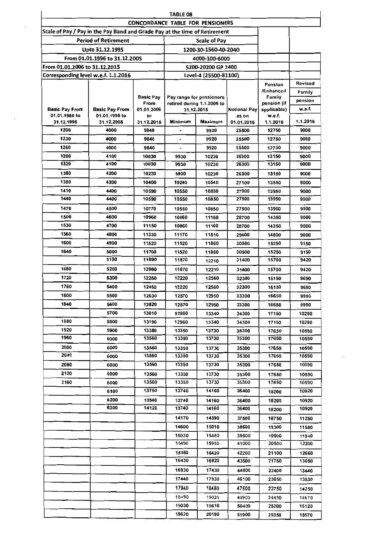|                                                                            | TABLE 08                      |                          |                                         |                                                        |                     |                       |          |  |  |  |  |
|----------------------------------------------------------------------------|-------------------------------|--------------------------|-----------------------------------------|--------------------------------------------------------|---------------------|-----------------------|----------|--|--|--|--|
|                                                                            |                               |                          | <b>CONCORDANCE TABLE FOR PENSIONERS</b> |                                                        |                     |                       |          |  |  |  |  |
| Scale of Pay / Pay in the Pay Band and Grade Pay at the time of Retirement |                               |                          |                                         |                                                        |                     |                       |          |  |  |  |  |
|                                                                            | <b>Period of Retirement</b>   |                          |                                         | <b>Scale of Pay</b>                                    |                     |                       |          |  |  |  |  |
|                                                                            | Upto 31.12.1995               |                          |                                         | 1200-30-1560-40-2040                                   |                     |                       |          |  |  |  |  |
|                                                                            | From 01.01.1996 to 31.12.200S |                          |                                         | 4000-100-6000                                          |                     |                       |          |  |  |  |  |
| From 01.01.2006 to 31.12.2015                                              |                               |                          |                                         | 5200-20200 GP 2400                                     |                     |                       |          |  |  |  |  |
| Corresponding level w.e.f. 1.1.2016                                        |                               |                          |                                         | Level-4 (25500-81100)                                  |                     |                       |          |  |  |  |  |
|                                                                            |                               |                          |                                         |                                                        |                     | Pension               | Revised  |  |  |  |  |
|                                                                            |                               |                          |                                         |                                                        |                     | /Enhanced             | Family   |  |  |  |  |
|                                                                            |                               | <b>Basic Pay</b><br>From |                                         | Pay range for pensioners<br>retired during 1.1.2006 to |                     | Family<br>pension (if | pension  |  |  |  |  |
| <b>Basic Pay From</b>                                                      | <b>Basic Pay From</b>         | 01.01.2006               |                                         | 31.12.2015                                             | <b>Notional Pay</b> | applicable)           | w.e.f.   |  |  |  |  |
| 01.01.1986 to                                                              | 01.01.1996 to                 | to                       |                                         |                                                        | as on               | w.e.f.                |          |  |  |  |  |
| 31.12.1995                                                                 | 31.12.2005                    | 31.12.2015               | Minimum                                 | Maximum                                                | 01.01.2016          | 1.1.2016              | 1.1.2016 |  |  |  |  |
| 1200                                                                       | 4000                          | 9840                     |                                         | 9920                                                   | 25500               | 12750                 | 9000     |  |  |  |  |
| 1230                                                                       | 4000                          | 9840                     |                                         | 9920                                                   | 25500               | 12750                 | 9000     |  |  |  |  |
| 1260                                                                       | 4000                          | 9840                     |                                         | 9920                                                   | 25500               | 12750                 | 9000     |  |  |  |  |
| 1290                                                                       | 4100                          | 10030                    | 9930                                    | 10230                                                  | 26300               | 13150                 | 9000     |  |  |  |  |
| 1320                                                                       | 4100                          | 10030                    | 9930                                    | 10230                                                  | 26300               | 13150                 | 9000     |  |  |  |  |
| 1350                                                                       | 4200                          | 10220                    | 9930                                    | 10230                                                  | 26300               | 13150                 | 9000     |  |  |  |  |
| 1380                                                                       | 4300                          | 10400                    | 10240                                   | 10540                                                  | 27100               | 13550                 | 9000     |  |  |  |  |
| 1410                                                                       | 4400                          | 10590                    | 10550                                   | 10850                                                  | 27900               | 13950                 | 9000     |  |  |  |  |
| 1440                                                                       | 4400                          | 10590                    | 10550                                   | 10850                                                  | 27900               | 13950                 | 9000     |  |  |  |  |
| 1470                                                                       | 4500                          | 10770                    | 10550                                   | 10850                                                  | 27900               | 13950                 | 9000     |  |  |  |  |
| 1500                                                                       | 4600                          | 10960                    | 10860                                   | 11160                                                  | 28700               | 14350                 | 9000     |  |  |  |  |
| 1530                                                                       | 4700                          | 11150                    | 10860                                   | 11160                                                  | 28700               | 14350                 | 9000     |  |  |  |  |
| 1560                                                                       | 4800                          | 11330                    | 11170                                   | 11510                                                  | 29600               | 14800                 | 9000     |  |  |  |  |
| 1600                                                                       | 4900                          | 11520                    | 11520                                   | 11860                                                  | 30500               | 15250                 | 9150     |  |  |  |  |
| 1640                                                                       | 5000                          | 11700                    | 11520                                   | 11860                                                  | 30500               | 15250                 | 9150     |  |  |  |  |
|                                                                            | 5100                          | 11890                    | 11870                                   | 12210                                                  | 31400               | 15700                 | 9420     |  |  |  |  |
| 1680                                                                       | 5200                          | 12080                    | 11870                                   | 12210                                                  | 31400               | 15700                 | 9420     |  |  |  |  |
| 1720                                                                       | 5300                          | 12260                    | 12220                                   | 12560                                                  | 32300               | 16150                 | 9690     |  |  |  |  |
| 1760                                                                       | 5400                          | 12450                    | 12220                                   | 12560                                                  | 32300               | 16150                 | 9690     |  |  |  |  |
| 1800                                                                       | 5500                          | 12630                    | 12570                                   | 12950                                                  | 33300               | 16650                 | 9990     |  |  |  |  |
| 1840                                                                       | 5600                          | 12820                    | 12570                                   | 12950                                                  | 33300               | 16650                 | 9990     |  |  |  |  |
|                                                                            | 5700                          | 13010                    | 12960                                   | 13340                                                  | 34300               | 17150                 | 10290    |  |  |  |  |
| 1880                                                                       | 5800                          | 13190                    | 12960                                   | 13340                                                  | 34300               | 17150                 | 10290    |  |  |  |  |
| 1920                                                                       | 5900                          | 13380                    | 13350                                   | 13730                                                  | 35300               | 17650                 | 10590    |  |  |  |  |
| 1960                                                                       | 6000                          | 13560                    | 13350                                   | 13730                                                  | 35300               | 17650                 | 10590    |  |  |  |  |
| 2000                                                                       | 6000                          | 13560                    | 13350                                   | 13730                                                  | 35300               | 17650                 | 10590    |  |  |  |  |
| 2040                                                                       | 6000                          | 13560                    | $-13350$                                | 13730                                                  | 35300               | 17650                 | 10590    |  |  |  |  |
| 2080                                                                       | 6000                          | 13560                    | 13350                                   | 13730                                                  | 35300               | 17650                 | 10590    |  |  |  |  |
| 2120                                                                       | 6000                          | 13560                    | 13350                                   | 13730                                                  | 35300               | 17650                 | 10590    |  |  |  |  |
| 2160                                                                       | 6000                          | 13560                    | 13350                                   | 13730                                                  | 35300               | 17650                 | 10590    |  |  |  |  |
|                                                                            | 6100                          | 13750                    | 13740                                   | 14160                                                  | 36400               | 18200                 | 10920    |  |  |  |  |
|                                                                            | 6200                          | 13940                    | 13740                                   | 14160                                                  | 36400               | 18200                 | 10920    |  |  |  |  |
|                                                                            | 6300                          | 14120                    | 13740                                   | 14160                                                  | 36400               | 18200                 | 10920    |  |  |  |  |
|                                                                            |                               |                          | 14170                                   | 14590                                                  | 37500               | 18750                 | 11250    |  |  |  |  |
|                                                                            |                               |                          | 14600                                   | 15010                                                  | 38600               | 19300                 | 11580    |  |  |  |  |
|                                                                            |                               |                          | 15020                                   | 15480                                                  | 39800               | 19900                 | 11940    |  |  |  |  |
|                                                                            |                               |                          | 15490                                   | 15950                                                  | 41000               | 20500                 | 12300    |  |  |  |  |
|                                                                            |                               |                          | 15960                                   | 16420                                                  | 42200               | 21100                 | 12660    |  |  |  |  |
|                                                                            |                               |                          | 16430                                   | 16920                                                  | 43500               | 21750                 | 13050    |  |  |  |  |
|                                                                            |                               |                          | 16930                                   | 17430                                                  | 44800               | 22400                 |          |  |  |  |  |
|                                                                            |                               |                          | 17440                                   | 17930                                                  |                     |                       | 13440    |  |  |  |  |
|                                                                            |                               |                          |                                         |                                                        | 46100               | 23050                 | 13830    |  |  |  |  |
|                                                                            |                               |                          | 17940                                   | 18480                                                  | 47500               | 23750                 | 14250    |  |  |  |  |
|                                                                            |                               |                          | 18490                                   | 19020                                                  | 48900               | 24450                 | 14670    |  |  |  |  |
|                                                                            |                               |                          | 19030                                   | 19610                                                  | 50400               | 25200                 | 15120    |  |  |  |  |
|                                                                            |                               |                          | 19620                                   | 20190                                                  | 51900               | 25950                 | 15570    |  |  |  |  |

 $\ddot{\phantom{a}}$  .

 $\mathcal{L}^{\text{max}}$ 

 $\sim$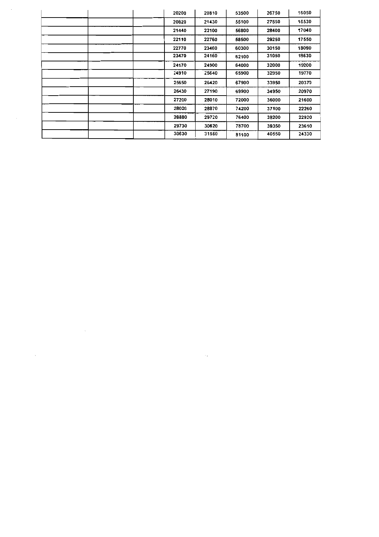| 20200 | 20810 | 53500 | 26750 | 16050 |
|-------|-------|-------|-------|-------|
| 20820 | 21430 | 55100 | 27550 | 16530 |
| 21440 | 22100 | 56800 | 28400 | 17040 |
| 22110 | 22760 | 58500 | 29250 | 17550 |
| 22770 | 23460 | 60300 | 30150 | 18090 |
| 23470 | 24160 | 62100 | 31050 | 18630 |
| 24170 | 24900 | 64000 | 32000 | 19200 |
| 24910 | 25640 | 65900 | 32950 | 19770 |
| 25650 | 26420 | 67900 | 33950 | 20370 |
| 26430 | 27190 | 69900 | 34950 | 20970 |
| 27200 | 28010 | 72000 | 36000 | 21600 |
| 28020 | 28870 | 74200 | 37100 | 22260 |
| 28880 | 29720 | 76400 | 38200 | 22920 |
| 29730 | 30620 | 78700 | 39350 | 23610 |
| 30630 | 31550 | 81100 | 40550 | 24330 |

 $\mathcal{L}_{\text{max}}$  and  $\mathcal{L}_{\text{max}}$  . The  $\mathcal{L}_{\text{max}}$ 

 $\label{eq:1}$ 

 $\mathcal{L}^{\text{max}}$  and  $\mathcal{L}^{\text{max}}$ 

 $\label{eq:2} \frac{1}{\sqrt{2}}\left(\frac{1}{\sqrt{2}}\right)^{2} \left(\frac{1}{\sqrt{2}}\right)^{2} \left(\frac{1}{\sqrt{2}}\right)^{2} \left(\frac{1}{\sqrt{2}}\right)^{2} \left(\frac{1}{\sqrt{2}}\right)^{2} \left(\frac{1}{\sqrt{2}}\right)^{2} \left(\frac{1}{\sqrt{2}}\right)^{2} \left(\frac{1}{\sqrt{2}}\right)^{2} \left(\frac{1}{\sqrt{2}}\right)^{2} \left(\frac{1}{\sqrt{2}}\right)^{2} \left(\frac{1}{\sqrt{2}}\right)^{2} \left(\frac{$ 

 $\label{eq:1} \frac{1}{\sqrt{2}}\sum_{i=1}^n\frac{1}{\sqrt{2\pi\left(\frac{1}{2}\right)^2}}\left(\frac{1}{2}\right)^2\left(\frac{1}{2}\right)^2\left(\frac{1}{2}\right)^2.$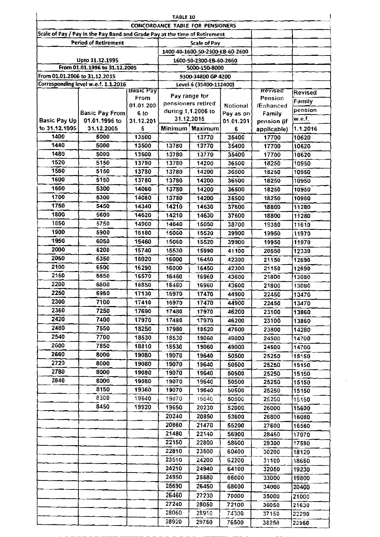|                               |                                                                            |                                         | <b>CONCORDANCE TABLE FOR PENSIONERS</b> | TABLE 10                        |           |                    |                |
|-------------------------------|----------------------------------------------------------------------------|-----------------------------------------|-----------------------------------------|---------------------------------|-----------|--------------------|----------------|
|                               | Scale of Pay / Pay in the Pay Band and Grade Pay at the time of Retirement |                                         |                                         |                                 |           |                    |                |
|                               | <b>Period of Retirement</b>                                                |                                         |                                         | Scale of Pay                    |           |                    |                |
|                               |                                                                            |                                         |                                         | 1400-40-1600-50-2300-EB-60-2600 |           |                    |                |
|                               | Upto 31.12.1995                                                            |                                         |                                         | 1600-50-2300-EB-60-2660         |           |                    |                |
|                               | From 01.01.1996 to 31.12.2005                                              |                                         |                                         | 5000-150-8000                   |           |                    |                |
| From 01.01.2006 to 31.12.2015 |                                                                            |                                         |                                         | 9300-34800 GP 4200              |           |                    |                |
|                               | Corresponding level w.e.f. 1.1.2016                                        |                                         |                                         | Level-6 (35400-112400)          |           |                    |                |
|                               |                                                                            | $Bas$ <sub><i>E</i></sub> $Pay$<br>From |                                         | Pay range for                   |           | Revised<br>Pension | <b>Revised</b> |
|                               |                                                                            | 01.01.200                               | pensioners retired                      |                                 | Notional  | /Enhanced          | Family         |
|                               | <b>Basic Pay From</b>                                                      | 6 <sub>to</sub>                         |                                         | during 1,1.2006 to              | Pay as on | Family             | pension        |
| <b>Basic Pay Up</b>           | 01.01.1996 to                                                              | 31.12.201                               |                                         | 31.12.2015                      | 01.01.201 | pension (if        | w.e.f.         |
| to 31.12.1995                 | 31.12.2005                                                                 | 5                                       |                                         | Minimum Maximum                 | 6         | applicable)        | 1.1.2016       |
| 1400                          | 5000                                                                       | 13500                                   |                                         | 13770                           | 35400     | 17700              | 10620          |
| 1440                          | 5000                                                                       | 13500                                   | 13780                                   | 13770                           | 35400     | 17700              | 10620          |
| 1480                          | 5000                                                                       | 13500                                   | 13780                                   | 13770                           | 35400     | 17700              | 10620          |
| 1520                          | 5150                                                                       | 13780                                   | 13780                                   | 14200                           | 36500     | 18250              | 10950          |
| 1560                          | 5150                                                                       | 13780                                   | 13780                                   | 14200                           | 36500     | 18250              | 10950          |
| 1600                          | 5150                                                                       | 13780                                   | 13780                                   | 14200                           | 36500     | 18250              | 10950          |
| 1650                          | 5300                                                                       | 14060                                   | 13780                                   | 14200                           | 36500     | 18250              | 10950          |
| 1700                          | 5300                                                                       | 14060                                   | 13780                                   | 14200                           | 36500     | 18250              | 10950          |
| 1750                          | 5450                                                                       | 14340                                   | 14210                                   | 14630                           | 37600     | 18800              | 11280          |
| 1800                          | 5600                                                                       | 14620                                   | 14210                                   | 14630                           | 37600     | 18800              | 11280          |
| 1850                          | 5750                                                                       | 14900                                   | 14640                                   | 15050                           | 38700     | 19350              | 11610          |
| 1900                          | 5900                                                                       | 15180                                   | 15060                                   | 15520                           | 39900     | 19950              | 11970          |
| 1950                          | 6050                                                                       | 15460                                   | 15060                                   | 15520                           | 39900     | 19950              | 11970          |
| 2000                          | 6200                                                                       | 15740                                   | 15530                                   | 15990                           | 41100     | 20550              | 12330          |
| 2050                          | 6350                                                                       | 16020                                   | 16000                                   | 16450                           | 42300     | 21150              | 12690          |
| 2100                          | 6500                                                                       | 16290                                   | 16000                                   | 16450                           | 42300     | 21150              | 12690          |
| 2150                          | 6650                                                                       | 16570                                   | 16460                                   | 16960                           | 43600     | 21800              | 13080          |
| 2200                          | 6800                                                                       | 16850                                   | 16460                                   | 16960                           | 43600     | 21800              | 13080          |
| 2250                          | 6950                                                                       | 17130                                   | 16970                                   | 17470                           | 44900     | 22450              | 13470          |
| 2300                          | 7100                                                                       | 17410                                   | 16970                                   | 17470                           | 44900     | 22450              | 13470          |
| 2360                          | 7250                                                                       | 17690                                   | 17480                                   | 17970                           | 46200     | 23100              | 13860          |
| 2420                          | 7400                                                                       | 17970                                   | 17480                                   | 17970                           | 46200     | 23100              | 13860          |
| 2480                          | 7550                                                                       | 18250                                   | 17980                                   | 18520                           | 47600     | 23800              | 14280          |
| 2540                          | 7700                                                                       | 18530                                   | 18530                                   | 19060                           | 49000     | 24500              | 14700          |
| 2600                          | 7850                                                                       | 18810                                   | 18530                                   | 19060                           | 49000     | 24500              | 14700          |
| 2660                          | 8000                                                                       | 19080                                   | 19070                                   | 19640                           | 50500     | 25250              | 15150          |
| 2720                          | 8000                                                                       | 19080                                   | 19070                                   | 19640                           | 50500     | 25250              | 15150          |
| 2780                          | 8000                                                                       | 19080                                   | 19070                                   | 19640                           | 50500     | 25250              | 15150          |
| 2840                          | 8000                                                                       | 19080                                   | 19070                                   | 19640                           | 50500     | 25250              | 15150          |
|                               | 8150                                                                       | 19360                                   | 19070                                   | 19640                           | 50500     | 25250              | 15150          |
|                               | 8300                                                                       | 19640                                   | 19070                                   | 19640                           | 50500     | 25250              | 15150          |
|                               | 8450                                                                       | 19920                                   | 19650                                   | 20230                           | 52000     | 26000              | 15600          |
|                               |                                                                            |                                         | 20240                                   | 20850                           | 53600     | 26800              | 16080          |
|                               |                                                                            |                                         | 20860                                   | 21470                           | 55200     | 27600              | 16560          |
|                               |                                                                            |                                         | 21480                                   | 22140                           | 56900     | 28450              | 17070          |
|                               |                                                                            |                                         | 22150                                   | 22800                           | 58600     | 29300              | 17580          |
|                               |                                                                            |                                         | 22810                                   | 23500                           | 60400     | 30200              | 18120          |
|                               |                                                                            |                                         | 23510                                   | 24200                           | 62200     | 31100              | 18660          |
|                               |                                                                            |                                         | 24210                                   | 24940                           | 64100     | 32050              | 19230          |
|                               |                                                                            |                                         | 24950                                   | 25680                           | 66000     | 33000              | 19800          |
|                               |                                                                            |                                         | 25690                                   | 26450                           | 68000     | 34000              | 20400          |
|                               |                                                                            |                                         | 26460                                   | 27230                           | 70000     | 35000              | 21000          |
|                               |                                                                            |                                         | 27240                                   | 28050                           | 72100     | 36050              | 21630          |
|                               |                                                                            |                                         | 28060                                   | 28910                           | 74300     | 37150              | 22290          |
|                               |                                                                            |                                         | 28920                                   | 29760                           | 76500     | 38250              | 22950          |

 $\mathcal{L}^{\text{max}}_{\text{max}}$ 

 $\sim$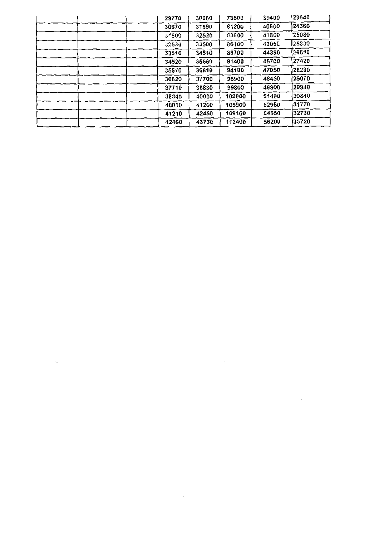| 29770 | 30660 | 78800  | 39400 | 23640 |
|-------|-------|--------|-------|-------|
| 30670 | 31590 | 81200  | 40600 | 24360 |
| 31600 | 32520 | 83600  | 41800 | 25080 |
| 32530 | 33500 | 86100  | 43050 | 25830 |
| 33510 | 34510 | 88700  | 44350 | 26610 |
| 34520 | 35560 | 91400  | 45700 | 27420 |
| 35570 | 36610 | 94100  | 47050 | 28230 |
| 36620 | 37700 | 96900  | 48450 | 29070 |
| 37710 | 38830 | 99800  | 49900 | 29940 |
| 38840 | 40000 | 102800 | 51400 | 30840 |
| 40010 | 41200 | 105900 | 52950 | 31770 |
| 41210 | 42450 | 109100 | 54550 | 32730 |
| 42460 | 43730 | 112400 | 56200 | 33720 |

 $\bar{\mathcal{A}}_k$ 

 $\cdot$ 

 $\sim$ 

 $\mathcal{L}^{(1)}$  .

 $\ddot{\phi}$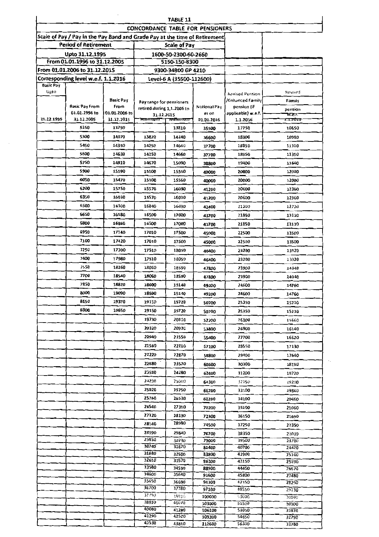|                   |                                                                            |               |                                                        | TABLE 11                 |                                         |                                            |                   |
|-------------------|----------------------------------------------------------------------------|---------------|--------------------------------------------------------|--------------------------|-----------------------------------------|--------------------------------------------|-------------------|
|                   |                                                                            |               |                                                        |                          | <b>CONCORDANCE TABLE FOR PENSIONERS</b> |                                            |                   |
|                   | Scale of Pay / Pay in the Pay Band and Grade Pay at the time of Retirement |               |                                                        |                          |                                         |                                            |                   |
|                   | <b>Period of Retirement</b>                                                |               |                                                        | <b>Scale of Pay</b>      |                                         |                                            |                   |
|                   | Upto 31.12.1995                                                            |               |                                                        | 1600-50-2300-60-2660     |                                         |                                            |                   |
|                   | From 01.01.1996 to 31.12.2005                                              |               |                                                        | 5150-150-8300            |                                         |                                            |                   |
|                   | From 01.01.2006 to 31.12.201S                                              |               |                                                        | 9300-34800 GP 4210       |                                         |                                            |                   |
|                   | Corresponding level w.e.f. 1.1.2016                                        |               |                                                        | Level-6 A (35500-112600) |                                         |                                            |                   |
| Basic Pay<br>Upto |                                                                            |               |                                                        |                          |                                         |                                            | Revised           |
|                   |                                                                            | Basic Pay     |                                                        |                          |                                         | <b>Revised Pension</b><br>/Enhanced Family |                   |
|                   | <b>Basic Pay From</b>                                                      | From          | Pay range for pensioners<br>retired during 1,1.2006 to |                          | Notional Pav                            | pension (if                                | Family            |
|                   | 01.01.1996 to                                                              | 01.01.2006 to | 31.12.2015                                             |                          | as on                                   | applicable) w.e.f.                         | pension<br>w.e.r. |
| 31.12.1995        | 31.12.2005                                                                 | 31.12.2015    | <b>MANUTARY</b>                                        | <b>Wid All Hill II</b>   | 01.01.2016                              | 1.1.2016                                   | 1.1.2010          |
|                   | 5150                                                                       | 13790         | $\overline{\phantom{a}}$                               | 13810                    | 35500                                   | 17750                                      | 10650             |
|                   | 5300                                                                       | 14070         | 13820                                                  | 14240                    | 36600                                   | 18300                                      | 10980             |
|                   | 5450                                                                       | 14350         | 14250                                                  | 14660                    | 37700                                   | 18850                                      | 11310             |
|                   | 5600                                                                       | 14630         | 14250                                                  | 14660                    | 37700                                   | 18850                                      | 11310             |
|                   | 5750                                                                       | 14910         | 14670                                                  | 15090                    | 38800                                   | 19400                                      | 11640             |
|                   | 5900                                                                       | 15190         | 15100                                                  | 15560                    | 40000                                   | 20000                                      | 12000             |
|                   | 6050                                                                       | 15470         | 15100                                                  | 15560                    | 40000                                   | 20000                                      | 12000             |
|                   | 6200                                                                       | 15750         | 15570                                                  | 16030                    | 41200                                   | 20600                                      | 12360             |
|                   | 6350                                                                       | 16030         | 15570                                                  | 16030                    | 41200                                   | 20600                                      | 12360             |
|                   | 6500                                                                       | 16300         | 16040                                                  | 16490                    | 42400                                   | 21200                                      | 12720             |
|                   | 6650                                                                       | 16580         | 16500                                                  | 17000                    | 43700                                   | 21850                                      | 13110             |
|                   | 6800                                                                       | 16860         | 16500                                                  | 17000                    | 43700                                   | 21850                                      | 13110             |
|                   | 6950                                                                       | 17140         | 17010                                                  | 17500                    | 45000                                   | 22500                                      | 13500             |
|                   | 7100                                                                       | 17420         | 17010                                                  | 17500                    | 45000                                   | 22500                                      | 13500             |
|                   | 7250                                                                       | 17700         | 17510                                                  | 18050                    | 46400                                   | 23200                                      | 13920             |
|                   | 7400                                                                       | 17980         | 17510                                                  | 18050                    | 46400                                   | 23200                                      | 13920             |
|                   | 7550                                                                       | 18260         | 18060                                                  | 18590                    | 47800                                   | 23900                                      | 14340             |
|                   | 7700                                                                       | 18540         | 18060                                                  | 18590                    | 47800                                   | 23900                                      | 14340             |
|                   | 7850                                                                       | 18820         | 18600                                                  | 19140                    | 49200                                   | 24600                                      | 14760             |
|                   | 8000                                                                       | 19090         | 18600                                                  | 19140                    | 49200                                   | 24600                                      | 14760             |
|                   | 8150                                                                       | 19370         | 19150                                                  | 19720                    | 50700                                   | 25350                                      | 15210             |
|                   | 8300                                                                       | 19650         | 19150                                                  | 19720                    | 50700                                   | 25350                                      | 15210             |
|                   |                                                                            |               | 19730                                                  | 20310                    | 52200                                   | 26100                                      | 15660             |
|                   |                                                                            |               | 20320                                                  | 20930                    | 53800                                   | 26900                                      | 16140             |
|                   |                                                                            |               | 20940                                                  | 21550                    | 55400                                   | 27700                                      | 16620             |
|                   |                                                                            |               | 21560                                                  | 22210                    |                                         | 28550                                      | 17130             |
|                   |                                                                            |               | 22220                                                  | 22870                    | 57100                                   |                                            |                   |
|                   |                                                                            |               | 22880                                                  |                          | 58800                                   | 29400                                      | 17640             |
|                   |                                                                            |               |                                                        | 23570                    | 60600                                   | 30300                                      | 18180             |
|                   |                                                                            |               | 23580                                                  | 24280                    | 62400                                   | 31200                                      | 18720             |
|                   |                                                                            |               | 24290                                                  | 25010                    | 64300                                   | 32150                                      | 19290             |
|                   |                                                                            |               | 25020<br>25760                                         | 25750                    | 66200                                   | 33100                                      | 19860             |
|                   |                                                                            |               |                                                        | 26530                    | 68200                                   | 34100                                      | 20460             |
|                   |                                                                            |               | 26540                                                  | 27310                    | 70200                                   | 35100                                      | 21060             |
|                   |                                                                            |               | 27320                                                  | 28130<br>28980           | 72300                                   | 36150                                      | 21690             |
|                   |                                                                            |               | 28140                                                  |                          | 74500                                   | 37250                                      | 22350             |
|                   |                                                                            |               | 28990<br>29850                                         | 29840<br>30730           | 76700                                   | 38350<br>39500                             | 23010             |
|                   |                                                                            |               | 30740                                                  | 31670                    | 79000<br>81400                          | 40700                                      | 23700<br>24420    |
|                   |                                                                            |               | 31680                                                  | 32600                    | 83800                                   | 41900                                      | 25140             |
|                   |                                                                            |               | 32610                                                  | 33570                    | 86300                                   | 43150                                      | 25890             |
|                   |                                                                            |               | 33580<br>34600                                         | 34590                    | 88900                                   | 44450                                      | 26670             |
|                   |                                                                            |               | 35650                                                  | 35640<br>36690           | 91600<br>94300                          | 45800<br>47150                             | 27480             |
|                   |                                                                            |               | 36700                                                  | 37780                    | 97100                                   | 48550                                      | 28290<br>29130    |
|                   |                                                                            |               | 37790                                                  | 18916                    | 100000                                  | 50000                                      | 30000             |
|                   |                                                                            |               | 38920                                                  | 40070                    | 103000                                  | \$1500                                     | 30900             |
|                   |                                                                            |               | 40080<br>41290                                         | 41280                    | 106100                                  | 53050                                      | 31830             |
|                   |                                                                            |               | 42530                                                  | 42520<br>43810           | 109300<br>112600                        | 54650<br>56300                             | 32790<br>33780    |
|                   |                                                                            |               |                                                        |                          |                                         |                                            |                   |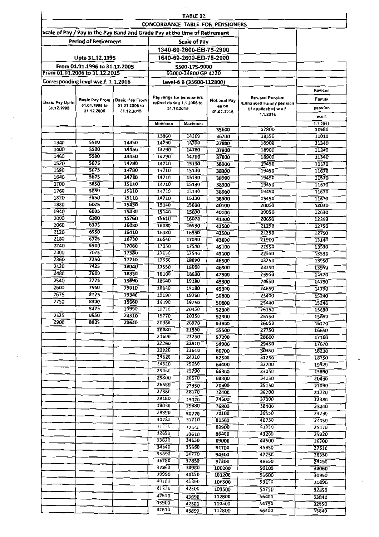|                 |                                                                            |                             |                                                        | TABLE 12                             | <b>CONCORDANCE TABLE FOR PENSIONERS</b> |                                                    |                |
|-----------------|----------------------------------------------------------------------------|-----------------------------|--------------------------------------------------------|--------------------------------------|-----------------------------------------|----------------------------------------------------|----------------|
|                 | Scale of Pay / Pay in the Pay Band and Grade Pay at the time of Retirement |                             |                                                        |                                      |                                         |                                                    |                |
|                 | <b>Period of Retirement</b>                                                |                             |                                                        | <b>Scale of Pay</b>                  |                                         |                                                    |                |
|                 |                                                                            |                             |                                                        | 1340-60-2600-EB-75-2900              |                                         |                                                    |                |
|                 |                                                                            |                             |                                                        | 1640-60-2600-EB-75-2900              |                                         |                                                    |                |
|                 | Upto 31.12.1995                                                            |                             |                                                        |                                      |                                         |                                                    |                |
|                 | From 01.01.1996 to 31.12.2005<br>From 01.01.2006 to 31.12.2015             |                             |                                                        | 5500-175-9000<br>93000-34800 GP 4220 |                                         |                                                    |                |
|                 |                                                                            |                             |                                                        |                                      |                                         |                                                    |                |
|                 | Corresponding level w.e.f. 1.1.2016                                        |                             |                                                        | Level-6 B (35600-112800)             |                                         |                                                    |                |
|                 |                                                                            |                             |                                                        |                                      |                                         |                                                    | Revised        |
| Basic Pay Up to | <b>Basic Pay From</b>                                                      | <b>Basic Pay From</b>       | Pay range for pensioners<br>retired during 1.1.2006 to |                                      | Notional Pay                            | <b>Revised Pension</b><br>/Enhanced Family pension | Family         |
| 31.12.1995      | 01.01.1996 to<br>31.12.2005                                                | 01.01.2006 to<br>31.12.2015 | 31.12.2015                                             |                                      | es on                                   | (if applicable) w.e.f.                             | pension        |
|                 |                                                                            |                             |                                                        |                                      | 01.01.2016                              | 1.1.2016                                           | w.e.f.         |
|                 |                                                                            |                             | Minimum                                                | Məximum                              |                                         |                                                    | 1.1.2016       |
|                 |                                                                            |                             |                                                        |                                      | 35600                                   | 17800                                              | 10680          |
|                 |                                                                            |                             | 13860                                                  | 14280                                | 36700                                   | 18350                                              | 11010          |
| 1340            | 5500                                                                       | 14450                       | 14290                                                  | 14700                                | 37800                                   | 18900                                              | 11340          |
| 1400            | 5500<br>5500                                                               | 14450<br>14450              | 14290                                                  | 14700                                | 37800                                   | 18900                                              | 11340          |
| 1460<br>1520    | 5675                                                                       | 14780                       | 14290<br>14710                                         | 14700                                | 37800                                   | 18900                                              | 11340          |
| 1580            | 5675                                                                       | 14780                       | 14710                                                  | 15130<br>15130                       | 38900<br>38900                          | 19450<br>19450                                     | 11670<br>11670 |
| 1640            | 5675                                                                       | 14780                       | 14710                                                  | 15130                                | 38900                                   | 19450                                              | 11670          |
| 1700            | 5850                                                                       | 15110                       | 14710                                                  | 15130                                | 38900                                   | 19450                                              | 11670          |
| 1760            | 5850                                                                       | 15110                       | 14710                                                  | 15130                                | 38900                                   | 19450                                              | 11670          |
| 1820            | 5850                                                                       | 15110                       | 14710                                                  | 15130                                | 38900                                   | 19450                                              | 11670          |
| 1880            | 6025                                                                       | 15430                       | 15140                                                  | 15600                                | 40100                                   | 20050                                              | 12030          |
| 1940            | 6025                                                                       | 15430                       | 15140                                                  | 15600                                | 40100                                   | 20050                                              | 12030          |
| 2000            | 6200                                                                       | 15760                       | 15610                                                  | 16070                                | 41300                                   | 20650                                              | 12390          |
| 2060            | 6375                                                                       | 16080                       | 16080                                                  | 16530                                | 42500                                   | 21250                                              | 12750          |
| 2120            | 6550                                                                       | 16410                       | 16080                                                  | 16530                                | 42500                                   | 21250                                              | 12750          |
| 2180            | 6725                                                                       | 16730                       | 16540                                                  | 17040                                | 43800                                   | 21900                                              | 13140          |
| 2240<br>2300    | 6900<br>7075                                                               | 17060<br>17380              | 17050                                                  | 17540                                | 45100                                   | 22550                                              | 13530          |
| 2360            | 7250                                                                       | 17710                       | 17656<br>17550                                         | 17540<br>18090                       | 45100                                   | 22550                                              | 13530          |
| 2420            | 7425                                                                       | 18040                       | 17550                                                  | 18090                                | 46500                                   | 23250                                              | 13950          |
| 2480            | 7600                                                                       | 18360                       | 18100                                                  | 18630                                | 46500<br>47900                          | 23250<br>23950                                     | 13950          |
| 2540            | 7775                                                                       | 18690                       | 18640                                                  | 19180                                | 49300                                   | 24650                                              | 14370<br>14790 |
| 2600            | 7950                                                                       | 19010                       | 18640                                                  | 19180                                | 49300                                   | 24650                                              | 14790          |
| 2675            | 8125                                                                       | 19340                       | 19190                                                  | 19760                                | 50800                                   | 25400                                              | 15240          |
| 2750            | 8300                                                                       | 19660                       | 19190                                                  | 19760                                | 50800                                   | 25400                                              | 15240          |
|                 | 8475                                                                       | 19990                       | 19770                                                  | 20350                                | 52300                                   | 26150                                              | 15690          |
| 2825            | 8650                                                                       | 20310                       | 19770                                                  | 20350                                | 52300                                   | 26150                                              | 15690          |
| 2900            | 8825                                                                       | 20640                       | 20360                                                  | 20970                                | 53900                                   | 26950                                              | 16170          |
|                 |                                                                            |                             | 20980                                                  | 21590                                | 55500                                   | 27750                                              | 16650          |
|                 |                                                                            |                             | 21600                                                  | 22250                                | 57200                                   | 28600                                              | 17160          |
|                 |                                                                            |                             | 22260                                                  | 22910                                | 58900                                   | 29450                                              | 17670          |
|                 |                                                                            |                             | 22920<br>23620                                         | 23610<br>24310                       | 60700                                   | 30350                                              | 18210          |
|                 |                                                                            |                             | 24320                                                  | 25050                                | 62500<br>64400                          | 31250<br>32200                                     | 18750<br>19320 |
|                 |                                                                            |                             | 25060                                                  | 25790                                | 66300                                   | 33150                                              | 19890          |
|                 |                                                                            |                             | 25800                                                  | 26570                                | 68300                                   | 34150                                              | 20490          |
|                 |                                                                            |                             | 26580                                                  | 27350                                | 70300                                   | 35150                                              | 21090          |
|                 |                                                                            |                             | 27360                                                  | 28170                                | 72400                                   | 36200                                              | 21720          |
|                 |                                                                            |                             | 28180                                                  | 29020                                | 74600                                   | 37300                                              | 22380          |
|                 |                                                                            |                             | 29030                                                  | 29880                                | 76800                                   | 38400                                              | 23040          |
|                 |                                                                            |                             | 29890                                                  | 30770                                | 79100                                   | 39550                                              | 23730          |
|                 |                                                                            |                             | 30780                                                  | 31710                                | 81500                                   | 40750                                              | 24450          |
|                 |                                                                            |                             | 33770                                                  | 32640                                | 83900                                   | 41950                                              | 25170          |
|                 |                                                                            |                             | 32650                                                  | 33610                                | 86400                                   | 43200                                              | 25920          |
|                 |                                                                            |                             | 33620                                                  | 34630                                | 89000                                   | 44500                                              | 26700          |
|                 |                                                                            |                             | 34640                                                  | 35680                                | 91700                                   | 45850                                              | 27510          |
|                 |                                                                            |                             | 35690<br>36780                                         | 36770<br>37850                       | 94500                                   | 47250                                              | 28350          |
|                 |                                                                            |                             | 37860                                                  | 38980                                | 97300<br>100200                         | 48650<br>50100                                     | 29190          |
|                 |                                                                            |                             | 38990                                                  | 40150                                | 103200                                  | 51600                                              | 30060<br>30960 |
|                 |                                                                            |                             | 40160                                                  | 41360                                | 106300                                  | 53150                                              | 31890          |
|                 |                                                                            |                             | 41370                                                  | 42600                                | 109500                                  | 54750                                              | 32850          |
|                 |                                                                            |                             | 42610                                                  | 43890                                | 112800                                  | 56400                                              | 33840          |
|                 |                                                                            |                             | 43900                                                  | 42600                                | 109500                                  | 54750                                              | 32850          |
|                 |                                                                            |                             | 42610                                                  | 43890                                | 112800                                  | 56400                                              | 33840          |
|                 |                                                                            |                             |                                                        |                                      |                                         |                                                    |                |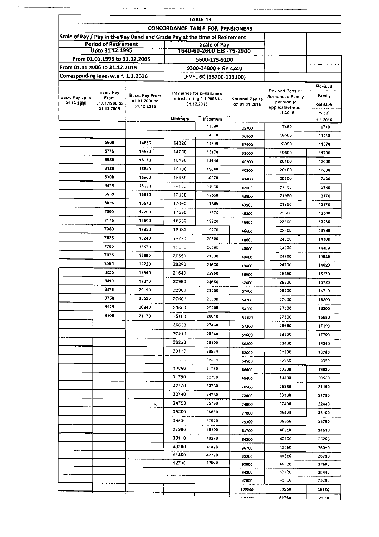|                                     |                                                |                                                                            |         | TABLE 13                                 |                                                   |                                   |                   |
|-------------------------------------|------------------------------------------------|----------------------------------------------------------------------------|---------|------------------------------------------|---------------------------------------------------|-----------------------------------|-------------------|
|                                     |                                                |                                                                            |         | CONCORDANCE TABLE FOR PENSIONERS         |                                                   |                                   |                   |
|                                     |                                                | Scale of Pay / Pay in the Pay Band and Grade Pay at the time of Retirement |         |                                          |                                                   |                                   |                   |
|                                     | <b>Period of Retirement</b><br>Upto 31.12.1995 |                                                                            |         | Scale of Pay<br>1640-60-2600 EB -75-2900 |                                                   |                                   |                   |
|                                     | From 01.01.1996 to 31.12.2005                  |                                                                            |         | 5600-175-9100                            |                                                   |                                   |                   |
| From 01.01.2006 to 31.12.2015       |                                                |                                                                            |         | 9300-34800 + GP 4240                     |                                                   |                                   |                   |
| Corresponding level w.e.f. 1.1.2016 |                                                |                                                                            |         | LEVEL 6C (35700-113100)                  |                                                   |                                   |                   |
|                                     |                                                |                                                                            |         |                                          |                                                   |                                   | Revised           |
|                                     | Basic Pay                                      | Basic Pay From                                                             |         | Pay range for pensioners.                |                                                   | Revised Pension                   | Family            |
| Basic Pay up to<br>31.12.2005       | From<br>01.01.1996 to                          | 01.01.2006 to                                                              |         | retired during 1,1.2006 to<br>31.12.2015 | <sup>8</sup> Notional Pay as<br>$-$ on 01.01.2016 | ← /Enhanced Family<br>pension (if |                   |
|                                     | 31,12,2005                                     | 31.12.2015                                                                 |         |                                          |                                                   | applicable) w.e.f.<br>1.1.2016    | pension<br>w.e.f. |
|                                     |                                                |                                                                            | Minimum | Maximum                                  |                                                   |                                   | 1.1.2016          |
|                                     |                                                |                                                                            |         | 13890                                    | 35700                                             | 17850                             | 10710             |
|                                     |                                                |                                                                            |         | 14310                                    | 36800                                             | 18400                             | 11040             |
|                                     | 5600                                           | 14660                                                                      | 14320   | 14740                                    | 37900                                             | 18950                             | 11370             |
|                                     | 5775                                           | 14990                                                                      | 14750   | 15170                                    | 39000                                             | 19500                             | 11700             |
|                                     | 5950                                           | 15310                                                                      | 15180   | 15640                                    | 40200                                             | 20100                             | 12060             |
|                                     | 6125                                           | 15640                                                                      | 15180   | 15640                                    | 40200                                             | 20100                             | 12060             |
|                                     | 6300                                           | 15960                                                                      | 15650   | 16570                                    | 41400                                             | 20700                             | 12420             |
|                                     | 6475                                           | 16290                                                                      | 経たりい    | 170SG                                    | 42600                                             | 21300                             | 12780             |
|                                     | 6650                                           | 16610                                                                      | 17090   | 17580                                    | 43900                                             | 21950                             | 13170             |
|                                     | 6825                                           | 16940                                                                      | 17090   | 17580                                    | 43900                                             | 21950                             | 13170             |
|                                     | 7000                                           | 17260                                                                      | 17590   | 18670                                    | 45200                                             | 22600                             | 13560             |
|                                     | 7175                                           | 17590                                                                      | 18680   | 19220                                    | 46600                                             | 23300                             | 13980             |
|                                     | 7350                                           | 17920                                                                      | 18680   | 19220                                    | 46600                                             | 23300                             | 13980             |
|                                     | 7525                                           | 18240                                                                      | 19230   | 20380                                    | 48000                                             | 24000                             | 1440D             |
|                                     | 7700                                           | 18570                                                                      | 1923c   | 20380                                    | 48000                                             | 24000                             | 144D0             |
|                                     | 7875                                           | 18890                                                                      | 20390   | 21630                                    | 49400                                             | 24700                             | 14820             |
|                                     | 8050                                           | 19220                                                                      | 20390   | 21630                                    | 49400                                             | 24700                             | 14820             |
|                                     | 8225                                           | 19540                                                                      | 21640   | 22950                                    | 50900                                             | 25450                             | 15270             |
|                                     | 8400                                           | 19870                                                                      | 22960   | 23650                                    | 52400                                             | 26200                             | 15720             |
|                                     | 8575                                           | 20190                                                                      | 22960   | 23650                                    | 52400                                             | 26200                             | 15720             |
|                                     | 8750                                           | 20520                                                                      | 23660   | 25090                                    | 54000                                             | 27600                             | 16200             |
|                                     | 8925                                           | 20840                                                                      | 23660   | 25090                                    | 54000                                             | 27000                             | 16200             |
|                                     | 9100                                           | 21170                                                                      | 25100   | 26610                                    | 55600                                             | 27800                             | 16680             |
|                                     |                                                |                                                                            | 26620   | 27430                                    | 57300                                             | 28650                             | 17190             |
|                                     |                                                |                                                                            | 27440   | 28240                                    | 59000                                             | 29500                             | 17700             |
|                                     |                                                |                                                                            | 28250   | 29100                                    | 60800                                             | 30400                             | 10240             |
|                                     |                                                |                                                                            | 29110   | 29960                                    | 62600                                             | 31300                             | 18780             |
|                                     |                                                |                                                                            | 1 J W 1 | 30659                                    | 64500                                             | 52250                             | 19350             |
|                                     |                                                |                                                                            | 30060   | 31780                                    | 66400                                             | 33200                             | 19920             |
|                                     |                                                |                                                                            | 31790   | 32760                                    | 68400                                             | 34200                             | 20520             |
|                                     |                                                |                                                                            | 32770   | 33730                                    | 70500                                             | 35250                             | 21150             |
|                                     |                                                |                                                                            | 33740   | 34740                                    | 72600                                             | 36300                             | 21780             |
|                                     |                                                | ↘                                                                          | 34750   | 35790                                    | 74800                                             | 37400                             | 22440             |
|                                     |                                                |                                                                            | 35600   | 36880                                    | 77000                                             | 38500                             | 23100             |
|                                     |                                                |                                                                            | 36890   | 37970                                    | 79300                                             | 39650                             | 23790             |
|                                     |                                                |                                                                            | 37980   | 39100                                    | 81700                                             | 40850                             | 24510             |
|                                     |                                                |                                                                            | 39110   | 40270                                    | 84200                                             | 42100                             | 25260             |
|                                     |                                                |                                                                            | 40230   | 41470                                    | 86700                                             | 43360                             | 26010             |
|                                     |                                                |                                                                            | 41480   | 42720                                    | 89300                                             | 44650                             | 26790             |
|                                     |                                                |                                                                            | 42730   | 44000                                    | 92000                                             | 46000                             | 27600             |
|                                     |                                                |                                                                            |         |                                          | 94800                                             | 47400                             | 28440             |
|                                     |                                                |                                                                            |         |                                          | 97600                                             | 45800                             | 29280             |
|                                     |                                                |                                                                            |         |                                          | 100500                                            | 50250                             | 30150             |
|                                     |                                                |                                                                            |         |                                          | <b>TOPEON</b>                                     | 51750                             | 31050             |

 $\frac{1}{2} \int_{0}^{2} \frac{1}{\sqrt{2}} \left( \frac{1}{2} \left( \frac{1}{2} \left( \frac{1}{2} \left( \frac{1}{2} \left( \frac{1}{2} \left( \frac{1}{2} \left( \frac{1}{2} \left( \frac{1}{2} \left( \frac{1}{2} \left( \frac{1}{2} \left( \frac{1}{2} \left( \frac{1}{2} \right) \right) - \frac{1}{2} \left( \frac{1}{2} \left( \frac{1}{2} \left( \frac{1}{2} \left( \frac{1}{2} \right) \right) - \frac{1}{2} \left( \frac{1$ 

. . . . .

 $\ddot{\phantom{a}}$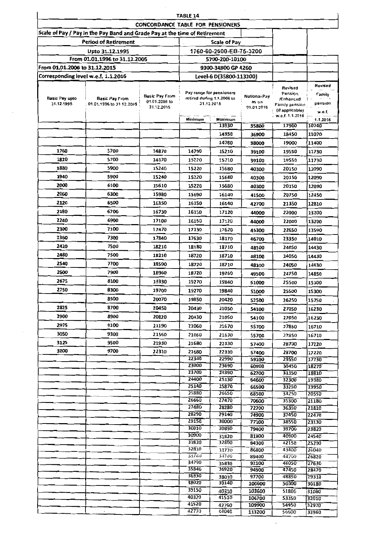|                                     |                                                                            |                                  | TABLE 14                                               |                         |                     |                      |                |
|-------------------------------------|----------------------------------------------------------------------------|----------------------------------|--------------------------------------------------------|-------------------------|---------------------|----------------------|----------------|
|                                     |                                                                            | CONCORDANCE TABLE FOR PENSIONERS |                                                        |                         |                     |                      |                |
|                                     | Scale of Pay / Pay in the Pay Band and Grade Pay at the time of Retirement |                                  |                                                        |                         |                     |                      |                |
|                                     | <b>Period of Retirement</b>                                                |                                  |                                                        | <b>Scale of Pay</b>     |                     |                      |                |
|                                     | Upto 31.12.1995                                                            |                                  |                                                        | 1760-60-2600-EB-75-3200 |                     |                      |                |
|                                     | From 01.01.1996 to 31.12.2005                                              |                                  |                                                        | 5700-200-10100          |                     |                      |                |
| From 01.01.2006 to 31.12.2015       |                                                                            |                                  |                                                        | 9300-34800 GP 4260      |                     |                      |                |
| Corresponding level w.e.f. 1.1.2016 |                                                                            |                                  |                                                        | Level-6 D(35800-113200) |                     |                      |                |
|                                     |                                                                            |                                  |                                                        |                         |                     | Revised              | Revised        |
| Basic Pay upto                      | <b>Basic Pay From</b>                                                      | <b>Basic Pay From</b>            | Pay range for pensioners<br>retired during 1,1.2006 to |                         | Notional Pay        | Pension<br>/Enhanced | Family         |
| 31.12.1995                          | 01.01.1996 to 31.12.2005                                                   | 01.01.2006 to<br>31.12.2015      |                                                        | 31.12.2015              | as on<br>01.01.2015 | Family pension .     | pension        |
|                                     |                                                                            |                                  |                                                        |                         |                     | (il applicable)      | w.e.f.         |
|                                     |                                                                            |                                  | Minimum                                                | Maximum                 |                     | . w.e.f. 1.1.2016    | 1.1.2016       |
|                                     |                                                                            |                                  |                                                        | 13930                   | 35800               | 17900                | 10740          |
|                                     |                                                                            |                                  |                                                        | 14350                   | 36900               | 18450                | 11070          |
|                                     |                                                                            |                                  |                                                        | 14780                   | 38000               | 19000                | 11400          |
| 1760                                | 5700                                                                       | 14870                            | 14790                                                  | 15210                   | 39100               | 19550                | 11730          |
| 1820                                | 5700                                                                       | 14870                            | 15220                                                  | 15210                   | 39100               | 19550                | 11730          |
| 1880                                | 5900                                                                       | 15240                            | 15220                                                  | 15680                   | 40300               | 20150                | 12090          |
| 1940                                | 5900                                                                       | 15240                            | 15220                                                  | 15680                   | 40300               | 20150                | 12090          |
| 2000                                | 6100                                                                       | 15610                            | 15220                                                  | 15680                   | 40300               | 20150                | 12090          |
| 2060                                | 6300                                                                       | 15980                            | 15690                                                  | 16140                   | 41500               | 20750                | 12450          |
| 2120                                | 6500                                                                       | 16350                            | 16150                                                  | 16140                   | 42700               | 21350                | 12810          |
| 2180                                | 6700                                                                       | 16730                            | 16150                                                  | 17120                   | 44000               | 22000                | 13200          |
| 2240                                | 6900                                                                       | 17100                            | 16150                                                  | 17120                   | 44000               | 22000                | 13200          |
| 2300                                | 7100                                                                       | 17470                            | 17130                                                  | 17620                   | 45300               | 22650                | 13590          |
| 2360                                | 7300                                                                       | 17840                            | 17630                                                  | 18170                   | 46700               | 23350                | 14010          |
| 2420                                | 7500                                                                       | 18210                            | 18180                                                  |                         |                     |                      |                |
| 2480                                | 7500                                                                       |                                  |                                                        | 18710                   | 48100               | 24050                | 14430          |
|                                     |                                                                            | 18210                            | 18720                                                  | 18710                   | 48100               | 24050                | 14430          |
| 2540                                | 7700                                                                       | 18590                            | 18720                                                  | 18710                   | 48100               | 24050                | 14430          |
| 2600                                | 7900                                                                       | 18960                            | 18720                                                  | 19260                   | 49500               | 24750                | 14850          |
| 2675                                | 8100                                                                       | 19330                            | 19270                                                  | 19840                   | 51000               | 25500                | 15300          |
| 2750                                | 8300                                                                       | 19700                            | 19270                                                  | 19840                   | 51000               | 25500                | 15300          |
|                                     | 8500                                                                       | 20070                            | 19850                                                  | 20420                   | 52500               | 26250                | 15750          |
| 2825                                | 8700                                                                       | 20450                            | 20430                                                  | 21050                   | 54100               | 27050                | 16230          |
| 2900                                | 8900                                                                       | 20820                            | 20430                                                  | 21050                   | 54100               | 27050                | 16230          |
| 2975                                | 9100                                                                       | 21190                            | 21060                                                  | 21670                   | 55700               | 27850                | 16710          |
| 3050                                | 9300                                                                       | 21560                            | 21060                                                  | 21670                   | 55700               | 27850                | 16710          |
| 3125                                | 9500                                                                       | 21930                            | 21680                                                  | 22330                   | 57400               | 28700                | 17220          |
| 3200                                | 9700                                                                       | 22310                            | 21680                                                  | 22330                   | 57400               | 28700                | 17220          |
|                                     |                                                                            |                                  | 22340                                                  | 22990                   | 59100               | 29550                | 17730          |
|                                     |                                                                            |                                  | 23000                                                  | 23690                   | 60900               | 30450                | 18270          |
|                                     |                                                                            |                                  | 23700<br>24400                                         | 24390<br>25130          | 62700<br>64600      | 31350<br>32300       | 18810<br>19380 |
|                                     |                                                                            |                                  | 25140                                                  | 25870                   | 66500               | 33250                | 19950          |
|                                     |                                                                            |                                  | 25880                                                  | 26650                   | 68500               | 34250                | 20550          |
|                                     |                                                                            |                                  | 26660                                                  | 27470                   | 70600               | 35300                | 21180          |
|                                     |                                                                            |                                  | 27480                                                  | 28280                   | 72700               | 36350                | 21810          |
|                                     |                                                                            |                                  | 28290<br>29150                                         | 29140<br>30000          | 74900               | 37450                | 22470          |
|                                     |                                                                            |                                  | 30010                                                  | 30890                   | 77100<br>79400      | 38550<br>39700       | 23130<br>23820 |
|                                     |                                                                            |                                  | 30900                                                  | 31820                   | 81800               | 40900                | 24540          |
|                                     |                                                                            |                                  | 31830                                                  | 32800                   | 84300               | 42150                | 25290          |
|                                     |                                                                            |                                  | 32810                                                  | 33770                   | 86800               | 43400                | 26040          |
|                                     |                                                                            |                                  | 33780<br>34790                                         | 34780                   | 89400               | 44700                | 26820          |
|                                     |                                                                            |                                  | 35840                                                  | 35830<br>36920          | 92100<br>94900      | 46050<br>47450       | 27630<br>28470 |
|                                     |                                                                            |                                  | 36930                                                  | 38010                   | 97700               | 48850                | 29310          |
|                                     |                                                                            |                                  | 38020                                                  | 39140                   | 100600              | 50300                | 30180          |
|                                     |                                                                            |                                  | 39150                                                  | 40310                   | 103600              | 51800                | 31080          |
|                                     |                                                                            |                                  | 40320                                                  | 41510                   | 106700              | 53350                | 32010          |
|                                     |                                                                            |                                  | 41520<br>42770                                         | 42760<br>44040          | 109900              | 54950                | 32970          |
|                                     |                                                                            |                                  |                                                        |                         | 113200              | 56600                | 33960          |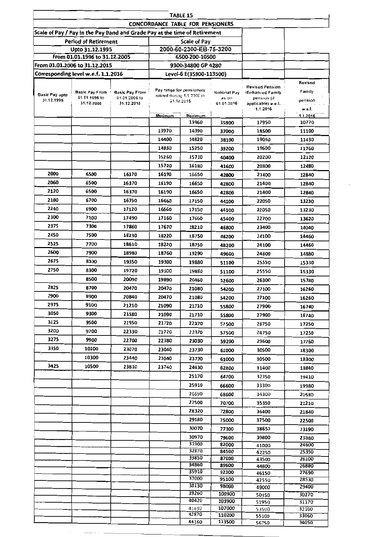|                                     | TABLE 15                                                                   |                                                      |                                      |                                                                      |                                     |                                                                                 |                              |  |  |  |  |
|-------------------------------------|----------------------------------------------------------------------------|------------------------------------------------------|--------------------------------------|----------------------------------------------------------------------|-------------------------------------|---------------------------------------------------------------------------------|------------------------------|--|--|--|--|
|                                     |                                                                            |                                                      |                                      | <b>CONCORDANCE TABLE FOR PENSIONERS</b>                              |                                     |                                                                                 |                              |  |  |  |  |
|                                     | Scale of Pay / Pay in the Pay Band and Grade Pay at the time of Retirement |                                                      |                                      |                                                                      |                                     |                                                                                 |                              |  |  |  |  |
|                                     | <b>Period of Retirement</b>                                                |                                                      |                                      | <b>Scale of Pay</b>                                                  |                                     |                                                                                 |                              |  |  |  |  |
|                                     | Upto 31.12.1995                                                            |                                                      |                                      | 2000-60-2300-EB-75-3200                                              |                                     |                                                                                 |                              |  |  |  |  |
|                                     | From 01.01.1996 to 31.12.2005                                              |                                                      |                                      | 6500-200-10500                                                       |                                     |                                                                                 |                              |  |  |  |  |
|                                     | From 01.01.2006 to 31.12.2015                                              |                                                      |                                      | 9300-34800 GP 4280                                                   |                                     |                                                                                 |                              |  |  |  |  |
|                                     | Corresponding level w.e.f. 1.1.2016                                        |                                                      |                                      | Level-6 E(35900-113500)                                              |                                     |                                                                                 |                              |  |  |  |  |
| <b>Basic Pay upto</b><br>31.12.1995 | Basic Pay From +<br>01.01.1996 to<br>31.12.2005                            | <b>Basic Pay From</b><br>01.01.2006 to<br>31.12.2015 |                                      | Pay range for pensioners<br>retired during 1,1 2000 to<br>31.12.2015 | Notional Pay<br>as on<br>01.01.2016 | <b>Revised Pension</b><br>/Enhanced Family<br>pension (if<br>applicable) w.e.f. | Revised<br>Family<br>pension |  |  |  |  |
|                                     |                                                                            |                                                      |                                      |                                                                      |                                     | 1.1.2016                                                                        | w.e.f.                       |  |  |  |  |
|                                     |                                                                            |                                                      | Maximum<br>Minimum<br>13960<br>35900 |                                                                      | 17950                               | 1.1.2016<br>10770                                                               |                              |  |  |  |  |
|                                     |                                                                            |                                                      | 13970                                | 14390                                                                | 37000                               | 18500                                                                           | 11100                        |  |  |  |  |
|                                     |                                                                            |                                                      | 14400                                | 14820                                                                | 38100                               | 19050                                                                           | 11430                        |  |  |  |  |
|                                     |                                                                            |                                                      | 14830                                | 15250                                                                | 39200                               | 19600                                                                           | 11760                        |  |  |  |  |
|                                     |                                                                            |                                                      | 15260                                | 15710                                                                | 40400                               | 20200                                                                           | 12120                        |  |  |  |  |
|                                     |                                                                            |                                                      | 15720                                | 16180                                                                | 41600                               | 20800                                                                           | 12480                        |  |  |  |  |
| 2000                                | 6500                                                                       | 16370                                                | 16190                                | 16650                                                                | 42800                               | 21400                                                                           | 12840                        |  |  |  |  |
| 2060                                | 6500                                                                       | 16370                                                | 16190                                | 16650                                                                | 42800                               | 21400                                                                           | 12840                        |  |  |  |  |
| 2120                                | 6500                                                                       | 16370                                                | 16190                                | 16650                                                                | 42800                               | 21400                                                                           | 12840                        |  |  |  |  |
| 2180                                | 6700                                                                       | 16750                                                | 16660                                | 17150                                                                | 44100                               | 22050                                                                           | 13230                        |  |  |  |  |
| 2240                                | 6900                                                                       | 17120                                                | 16660                                | 17150                                                                | 44100                               | 22050                                                                           | 13230                        |  |  |  |  |
| 2300                                | 7100                                                                       | 17490                                                | 17160                                | 17660                                                                | 45400                               | 22700                                                                           | 13620                        |  |  |  |  |
| 2375                                | 7300                                                                       | 17860                                                | 17670                                | 18210                                                                | 46800                               | 23400                                                                           | 14040                        |  |  |  |  |
| 2450                                | 7500                                                                       | 18230                                                | 18220                                | 18750                                                                | 48200                               | 24100                                                                           | 14460                        |  |  |  |  |
| 2525                                | 7700                                                                       | 18610                                                | 18220                                | 18750                                                                | 48200                               | 24100                                                                           | 14460                        |  |  |  |  |
| 2600                                | 7900                                                                       | 18980                                                | 18760                                | 19290                                                                | 49600                               | 24800                                                                           | 14880                        |  |  |  |  |
| 2675                                | 8100                                                                       | 19350                                                | 19300                                | 19880                                                                | 51100                               | 25550                                                                           | 15330                        |  |  |  |  |
| 2750                                | 8300                                                                       | 19720                                                | 19300                                | 19880                                                                |                                     | 25550                                                                           |                              |  |  |  |  |
|                                     | 8500                                                                       | 20090                                                | 19890                                | 20460                                                                | 51100                               | 26300                                                                           | 15330                        |  |  |  |  |
| 2825                                | 8700                                                                       | 20470                                                | 20470                                | 21080                                                                | 52600                               | 27100                                                                           | 15780                        |  |  |  |  |
| 2900                                | 8900                                                                       | 20840                                                | 20470                                | 21080                                                                | 54200                               | 27100                                                                           | 16260                        |  |  |  |  |
| 2975                                | 9100                                                                       | 21210                                                | 21090                                | 21710                                                                | 54200                               | 27900                                                                           | 16260                        |  |  |  |  |
| 3050                                | 9300                                                                       | 21580                                                | 21090                                | 21710                                                                | 55800                               | 27900                                                                           | 16740                        |  |  |  |  |
| 3125                                | 9500                                                                       | 21950                                                | 21720                                | 22370                                                                | 55800<br>57500                      | 28750                                                                           | 16740                        |  |  |  |  |
| 3200                                | 9700                                                                       | 22330                                                | 21720                                | 22370                                                                |                                     | 28750                                                                           | 17250                        |  |  |  |  |
| 3275                                | 9900                                                                       | 22700                                                | 22380                                | 23030                                                                | 57500                               | 29600                                                                           | 17250                        |  |  |  |  |
| 3350                                | 10100                                                                      | 23070                                                | 23040                                | 23730                                                                | 59200                               |                                                                                 | 17760                        |  |  |  |  |
|                                     | 10300                                                                      | 23440                                                | 23040                                | 23730                                                                | 61000                               | 30500                                                                           | 18300                        |  |  |  |  |
| 3425                                | 10500                                                                      | 23810                                                | 23740                                | 24430                                                                | 61000                               | 30500                                                                           | 18300                        |  |  |  |  |
|                                     |                                                                            |                                                      |                                      |                                                                      | 62800                               | 31400                                                                           | 18840                        |  |  |  |  |
|                                     |                                                                            |                                                      |                                      | 25170                                                                | 64700                               | 32350                                                                           | 19410                        |  |  |  |  |
|                                     |                                                                            |                                                      |                                      | 25910<br>26690                                                       | 66600                               | 33300                                                                           | 19980                        |  |  |  |  |
|                                     |                                                                            |                                                      |                                      | 27500                                                                | 68600                               | 34300                                                                           | 20580                        |  |  |  |  |
|                                     |                                                                            |                                                      |                                      | 28320                                                                | 70700                               | 35350                                                                           | 21210                        |  |  |  |  |
|                                     |                                                                            |                                                      |                                      | 29180                                                                | 72800                               | 36400<br>37500                                                                  | 21840                        |  |  |  |  |
|                                     |                                                                            |                                                      |                                      | 30070                                                                | 75000                               |                                                                                 | 22500                        |  |  |  |  |
|                                     |                                                                            |                                                      |                                      | 30970                                                                | 77300                               | 38650                                                                           | 23190                        |  |  |  |  |
|                                     |                                                                            |                                                      |                                      | 31900                                                                | 79600<br>82000                      | 39800<br>41000                                                                  | 23880<br>24600               |  |  |  |  |
|                                     |                                                                            |                                                      |                                      | 32870                                                                | 84500                               | 42250                                                                           | 25350                        |  |  |  |  |
|                                     |                                                                            |                                                      |                                      | 33850                                                                | 87000                               | 43500                                                                           | 26100                        |  |  |  |  |
|                                     |                                                                            |                                                      |                                      | 34860<br>35910                                                       | 89600                               | 44800                                                                           | 26880                        |  |  |  |  |
|                                     |                                                                            |                                                      |                                      | 37000                                                                | 92300<br>95100                      | 46150<br>47550                                                                  | 27690<br>28530               |  |  |  |  |
|                                     |                                                                            |                                                      |                                      | 38130                                                                | 98000                               | 49000                                                                           | 29400                        |  |  |  |  |
|                                     |                                                                            |                                                      |                                      | 39260                                                                | 100900                              | 50450                                                                           | 30270                        |  |  |  |  |
|                                     |                                                                            |                                                      |                                      | 40420                                                                | 103900                              | 51950                                                                           | 31170                        |  |  |  |  |
|                                     |                                                                            |                                                      |                                      | 41630<br>42870                                                       | 107000<br>110200                    | 53500                                                                           | 32100                        |  |  |  |  |
|                                     |                                                                            |                                                      |                                      | 44160                                                                | 113500                              | 55100<br>56750                                                                  | 33060<br>34050               |  |  |  |  |
|                                     |                                                                            |                                                      |                                      |                                                                      |                                     |                                                                                 |                              |  |  |  |  |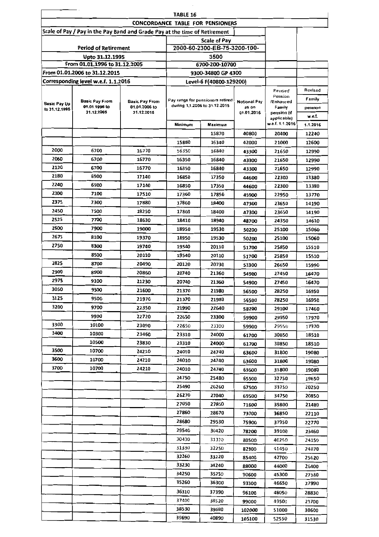| TABLE 16      |                                                                            |                             |                                  |                                  |                     |                       |          |  |  |  |
|---------------|----------------------------------------------------------------------------|-----------------------------|----------------------------------|----------------------------------|---------------------|-----------------------|----------|--|--|--|
|               |                                                                            |                             | CONCORDANCE TABLE FOR PENSIONERS |                                  |                     |                       |          |  |  |  |
|               | Scale of Pay / Pay in the Pay Band and Grade Pay at the time of Retirement |                             |                                  |                                  |                     |                       |          |  |  |  |
|               |                                                                            |                             |                                  | <b>Scale of Pay</b>              |                     |                       |          |  |  |  |
|               | <b>Period of Retirement</b>                                                |                             |                                  | 2000-60-2300-EB-75-3200-100-     |                     |                       |          |  |  |  |
|               | Upto 31.12.1995                                                            |                             |                                  | 3500                             |                     |                       |          |  |  |  |
|               | From 01.01.1996 to 31.12.2005                                              |                             |                                  | 6700-200-10700                   |                     |                       |          |  |  |  |
|               | From 01.01.2006 to 31.12.2015                                              |                             |                                  | 9300-34800 GP 4300               |                     |                       |          |  |  |  |
|               | Corresponding level w.e.f. 1.1.2016                                        |                             |                                  | Level-6 F(40800-129200)          |                     |                       |          |  |  |  |
|               |                                                                            |                             |                                  |                                  |                     | Revised<br>Pension    | Revised  |  |  |  |
| Basic Pay Up  | <b>Basic Pay From</b>                                                      | <b>Basic Pay From</b>       |                                  | Pay range for pensioners retired | Notional Pay        | /Enhanced             | Family   |  |  |  |
| to 31.12.1995 | 01.01.1996 to<br>31.12.2005                                                | 01.01.2006 to<br>31.12.2015 | during 1,1.2006 to 31.12.2015    |                                  | as on<br>01.01.2016 | Family<br>pension (if | peneion  |  |  |  |
|               |                                                                            |                             |                                  |                                  |                     | applicable)           | w.e.f.   |  |  |  |
|               |                                                                            |                             | Minimum                          | Maximum                          |                     | w.e.f. 1.1.2016       | 1.1.2016 |  |  |  |
|               |                                                                            |                             |                                  | 15870                            | 40800               | 20400                 | 12240    |  |  |  |
|               |                                                                            |                             | 15880                            | 16340                            | 42000               | 21000                 | 12600    |  |  |  |
| 2000          | 6700                                                                       | 16770                       | 16350                            | 16840                            | 43300               | 21650                 | 12990    |  |  |  |
| 2060          | 6700                                                                       | 16770                       | 16350                            | 16840                            | 43300               | 21650                 | 12990    |  |  |  |
| 2120          | 6700                                                                       | 16770                       | 16350                            | 16840                            | 43300               | 21650                 | 12990    |  |  |  |
| 2180          | 6900                                                                       | 17140                       | 16850                            | 17350                            | 44600               | 22300                 | 13380    |  |  |  |
| 2240          | 6900                                                                       | 17140                       | 16850                            | 17350                            | 44600               | 22300                 | 13380    |  |  |  |
| 2300          | 7100                                                                       | 17510                       | 17360                            | 17850                            | 45900               | 22950                 | 13770    |  |  |  |
| 2375          | 7300                                                                       | 17880                       | 17860                            | 18400                            | 47300               | 23650                 | 14190    |  |  |  |
| 2450          | 7500                                                                       | 18250                       | 17860                            | 18400                            | 47300               | 23650                 | 14190    |  |  |  |
| 2525          | 7700                                                                       | 18630                       | 18410                            | 18940                            | 48700               | 24350                 | 14610    |  |  |  |
| 2600          | 7900                                                                       | 19000                       | 18950                            | 19530                            | 50200               | 25100                 | 15060    |  |  |  |
| 2675          | 8100                                                                       | 19370                       | 18950                            | 19530                            | 50200               | 25100                 | 15060    |  |  |  |
| 2750          | 8300                                                                       | 19740                       | 19540<br>20110                   |                                  | 51700               | 25850                 | 15510    |  |  |  |
|               | 8500                                                                       | 20110                       | 19540                            | 20110                            |                     | 25850                 | 15510    |  |  |  |
| 2825          | 8700                                                                       | 20490                       | 20120<br>20730                   |                                  | 53300               | 26650                 | 15990    |  |  |  |
| 2900          | 8900                                                                       | 20860                       | 20740<br>21360                   |                                  | 54900               | 27450                 | 16470    |  |  |  |
| 2975          | 9100                                                                       | 21230                       | 20740                            | 21360                            | 54900               | 27450                 | 16470    |  |  |  |
| 3050          | 9300                                                                       | 21600                       | 21370                            | 21980                            | 56500               | 28250                 | 16950    |  |  |  |
| 3125          | 9500                                                                       | 21970                       | 21370                            | 21980                            | 56500               | 28250                 | 16950    |  |  |  |
| 3200          | 9700                                                                       | 22350                       | 21990                            | 22640                            | 58200               | 29100                 | 17460    |  |  |  |
|               | 9900                                                                       | 22720                       | 22650                            | 23300                            | 59900               | 29950                 | 17970    |  |  |  |
| 3300          | 10100                                                                      | 23090                       | 22650                            | 23300                            | 59900               | 29950                 | 17970    |  |  |  |
| 3400          | 10300                                                                      | 23460                       | 23310                            | 24000                            | 61700               | 30850                 | 18510    |  |  |  |
|               | 10500                                                                      | 23830                       | 23310                            | 24000                            | 61700               | 30850                 | 18510    |  |  |  |
| 3500          | 10700                                                                      | 24210                       | 24010                            | 24740                            | 63600               | 31800                 | 19080    |  |  |  |
| 3600          | 10700                                                                      | 24210                       | 24010                            | 24740                            | 63600               | 31800                 | 19080    |  |  |  |
| 3700          | 10700                                                                      | 24210                       | 24010                            | 24740                            | 63600               | 31800                 | 19080    |  |  |  |
|               |                                                                            |                             | 24750                            | 25480                            | 65500               | 32750                 | 19650    |  |  |  |
|               |                                                                            |                             | 25490                            | 26260                            | 67500               | 33750                 | 20250    |  |  |  |
|               |                                                                            |                             | 26270                            | 27040                            | 69500               | 34750                 | 20850    |  |  |  |
|               |                                                                            |                             | 27050                            | 27850                            | 71600               | 35800                 | 21480    |  |  |  |
|               |                                                                            |                             | 27860                            | 28670                            | 73700               | 36850                 | 22110    |  |  |  |
|               |                                                                            |                             | 28680                            | 29530                            | 75900               | 37950                 | 22770    |  |  |  |
|               |                                                                            |                             | 29540                            | 30420                            | 78200               | 39100                 | 23460    |  |  |  |
|               |                                                                            |                             | 30430                            | 31320                            | 80500               | 40250                 | 24150    |  |  |  |
|               |                                                                            |                             | 31330                            | 32250                            | 82900               | 41450                 | 24870    |  |  |  |
|               |                                                                            |                             | 32260                            | 33220                            |                     | 42700                 |          |  |  |  |
|               |                                                                            |                             | 33230                            | 34240                            | 85400               | 44000                 | 25620    |  |  |  |
|               |                                                                            |                             | 34250                            | 35250                            | 88000               |                       | 26400    |  |  |  |
|               |                                                                            |                             | 35260                            | 36300                            | 90600               | 45300                 | 27180    |  |  |  |
|               |                                                                            |                             |                                  |                                  | 93300               | 46650                 | 27990    |  |  |  |
|               |                                                                            |                             | 36310                            | 37390                            | 96100               | 48050                 | 28830    |  |  |  |
|               |                                                                            |                             | 37400                            | 38520                            | 99000               | 49500                 | 29700    |  |  |  |
|               |                                                                            |                             | 38530                            | 39680                            | 102000              | 51000                 | 30600    |  |  |  |
|               |                                                                            |                             | 39690                            | 40890                            | 105100              | 52550                 | 31530    |  |  |  |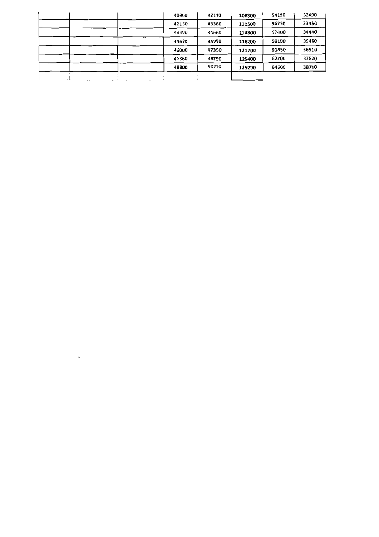| 40900 | 42140 | 108300 | 54150 | 32490 |
|-------|-------|--------|-------|-------|
| 42150 | 43380 | 111500 | 55750 | 33450 |
| 43390 | 44660 | 114800 | 57400 | 34440 |
| 44670 | 45990 | 118200 | 59100 | 35460 |
| 46000 | 47350 | 121700 | 60850 | 36510 |
| 47360 | 48790 | 125400 | 62700 | 37620 |
| 48800 | 50270 | 129200 | 64600 | 38760 |
|       |       |        |       |       |

 $\sim 0.001$ 

 $\mathcal{L}^{\text{max}}_{\text{max}}$ 

 $\mathcal{L}_{\text{max}}$  .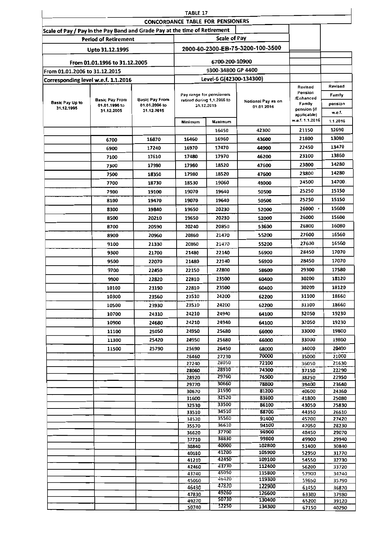|                                                                            |                               |                                        | TABLE 17                   |                         |                                  |                                |                |
|----------------------------------------------------------------------------|-------------------------------|----------------------------------------|----------------------------|-------------------------|----------------------------------|--------------------------------|----------------|
|                                                                            |                               | CONCORDANCE TABLE FOR PENSIONERS       |                            |                         |                                  |                                |                |
| Scale of Pay / Pay in the Pay Band and Grade Pay at the time of Retirement |                               |                                        |                            | <b>Scale of Pay</b>     |                                  |                                |                |
|                                                                            | <b>Period of Retirement</b>   |                                        |                            |                         |                                  |                                |                |
|                                                                            | Upto 31.12.1995               |                                        |                            |                         | 2000-60-2300-EB-75-3200-100-3500 |                                |                |
|                                                                            | From 01.01.1996 to 31.12.2005 |                                        |                            | 6700-200-10900          |                                  |                                |                |
| From 01.01.2006 to 31.12.2015                                              |                               |                                        |                            | 9300-34800 GP 4400      |                                  |                                |                |
| Corresponding level w.e.f. 1.1.2016                                        |                               |                                        |                            | Level-6 G(42300-134300) |                                  |                                | Revised        |
|                                                                            |                               |                                        | Pay range for pensioners   |                         |                                  | Revised<br>Pension             | Family         |
| Basic Pay Up to                                                            | <b>Basic Pay From</b>         | <b>Basic Pay From</b><br>01.01.2006 to | retired during 1,1.2006 to |                         | Notional Pay as on               | /Enhanced<br>Family            | pension        |
| 31.12.1995                                                                 | 01.01.1996 to<br>31.12.2005   | 31.12.2015                             | 31.12.2015                 |                         | 01.01.2016                       | pension (if                    | w.e.f.         |
|                                                                            |                               |                                        | Minîmum                    | Maximum                 |                                  | applicable)<br>w.e.f. 1.1.2016 | 1.1.2016       |
|                                                                            |                               |                                        |                            | 16450                   | 42300                            | 21150                          | 12690          |
|                                                                            | 6700                          | 16870                                  | 16460                      | 16960                   | 43600                            | 21800                          | 13080          |
|                                                                            | 6900                          | 17240                                  | 16970                      | 17470                   | 44900                            | 22450                          | 13470          |
|                                                                            | 7100                          | 17610                                  | 17480                      | 17970                   | 46200                            | 23100                          | 13860          |
|                                                                            | 7300                          | 17980                                  | 17980                      | 18520                   | 47600                            | 23800                          | 14280          |
|                                                                            | 7500                          | 18350                                  | 17980                      | 18520                   | 47600                            | 23800                          | 14280          |
|                                                                            | 7700                          | 18730                                  | 18530                      | 19060                   | 49000                            | 24500                          | 14700.         |
|                                                                            | 7900                          | 19100                                  | 19070                      | 19640                   | 50500                            | 25250                          | 15150          |
|                                                                            | 8100                          | 19470                                  | 19070                      | 19640                   | 50500                            | 25250                          | 15150          |
|                                                                            | 8300                          | 19840                                  | 19650                      | 20230                   | 52000                            | 26000                          | 15600          |
|                                                                            | 8500                          | 20210                                  | 19650                      | 20230                   | 52000                            | 26000                          | 15600          |
|                                                                            | 8700                          | 20590                                  | 20240                      | 20850                   | 53600                            | 26800                          | 16080          |
|                                                                            | 8900                          | 20960                                  | 20860                      | 21470                   | 55200                            | 27600                          | 16560          |
|                                                                            | 9100                          | 21330                                  | 20860                      | 21470                   | 55200                            | 27600                          | 16560          |
|                                                                            | 9300                          | 21700                                  | 21480                      | 22140                   | 56900                            | 28450                          | 17070          |
|                                                                            | 9500                          | 22070                                  | 21480                      | 22140                   | 56900                            | 28450                          | 17070          |
|                                                                            | 9700                          | 22450                                  | 22150                      | 22800                   | 58600                            | 29300                          | 17580          |
|                                                                            | 9900                          | 22820                                  | 22810                      | 23500                   | 60400                            | 30200                          | 18120          |
|                                                                            | 10100                         | 23190                                  | 22810                      | 23500                   | 60400                            | 30200                          | 18120          |
|                                                                            | 10300                         | 23560                                  | 23510                      | 24200                   | 62200                            | 31100                          | 18660          |
|                                                                            | 10500                         | 23930                                  | 23510                      | 24200                   | 62200                            | 31100                          | 18660          |
|                                                                            | 10700                         | 24310                                  | 24210                      | 24940                   | 64100                            | 32050                          | 19230          |
|                                                                            | 10900                         | 24680                                  | 24210                      | 24940                   | 64100                            | 32050                          | 19230          |
|                                                                            | 11100                         | 25050                                  | 24950                      | 25680                   | 66000                            | 33000                          | 19800          |
|                                                                            | 11300                         | 25420                                  | 24950                      | 25680                   | 66000                            | 33000                          | 19800          |
|                                                                            | 11500                         | 25790                                  | 25690                      | 26450                   | 68000                            | 34000                          | 20400          |
|                                                                            |                               |                                        | 26460<br>27240             | 27230<br>28050          | 70000<br>72100                   | 35000<br>36050                 | 21000<br>21630 |
|                                                                            |                               |                                        | 28060                      | 28910                   | 74300                            | 37150                          | 22290          |
|                                                                            |                               |                                        | 28920                      | 29760                   | 76500                            | 38250                          | 22950          |
|                                                                            |                               |                                        | 29770                      | 30660<br>31590          | 78800<br>81200                   | 39400                          | 23640          |
|                                                                            |                               |                                        | 30670<br>31600             | 32520                   | 83600                            | 40600<br>41800                 | 24360<br>25080 |
|                                                                            |                               |                                        | 32530                      | 33500                   | 86100                            | 43050                          | 25830          |
|                                                                            |                               |                                        | 33510                      | 34510                   | 88700                            | 44350                          | 26610          |
|                                                                            |                               |                                        | 34520<br>35570             | 35560<br>36610          | 91400<br>94100                   | 45700<br>47050                 | 27420<br>28230 |
|                                                                            |                               |                                        | 36620                      | 37700                   | 96900                            | 48450                          | 29070          |
|                                                                            |                               |                                        | 37710                      | 38830                   | 99800                            | 49900                          | 29940          |
|                                                                            |                               |                                        | 38840                      | 40000<br>41200          | 102800<br>105900                 | 51400                          | 30840          |
|                                                                            |                               |                                        | 40010<br>41210             | 42450                   | 109100                           | 52950<br>54550                 | 31770<br>32730 |
|                                                                            |                               |                                        | 42460                      | 43730                   | 112400                           | 56200                          | 33720          |
|                                                                            |                               |                                        | 43740                      | 45050<br>46420          | 115800<br>119300                 | 57900                          | 34740          |
|                                                                            |                               |                                        | 45060<br>46430             | 47820                   | 122900                           | 59650<br>61450                 | 35790<br>36870 |
|                                                                            |                               |                                        | 47830                      | 49260                   | 126600                           | 63300                          | 37980          |
|                                                                            |                               |                                        | 49270                      | 50730<br>52250          | 130400                           | 65200                          | 39120          |
|                                                                            |                               |                                        | 50740                      |                         | 134300                           | 67150                          | 40290          |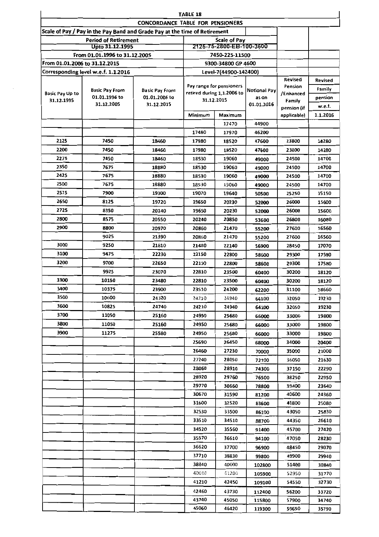|                               |                                                                            |                                         | TABLE 18                 |                                                 |              |                      |          |
|-------------------------------|----------------------------------------------------------------------------|-----------------------------------------|--------------------------|-------------------------------------------------|--------------|----------------------|----------|
|                               |                                                                            | <b>CONCORDANCE TABLE FOR PENSIONERS</b> |                          |                                                 |              |                      |          |
|                               | Scale of Pay / Pay in the Pay Band and Grade Pay at the time of Retirement |                                         |                          |                                                 |              |                      |          |
|                               | <b>Period of Retirement</b><br>Upto 31.12.1995                             |                                         |                          | <b>Scale of Pay</b><br>2125-75-2800-EB-100-3600 |              |                      |          |
|                               | From 01.01.1996 to 31.12.200S                                              |                                         |                          | 7450-225-11500                                  |              |                      |          |
| From 01.01.2006 to 31.12.2015 |                                                                            |                                         |                          | 9300-34800 GP 4600                              |              |                      |          |
|                               | Corresponding level w.e.f. 1.1.2016                                        |                                         |                          | Level-7(44900-142400)                           |              |                      |          |
|                               |                                                                            |                                         | Pay range for pensioners |                                                 |              | Revised              | Revised  |
| <b>Basic Pay Up to</b>        | <b>Basic Pay From</b>                                                      | <b>Basic Pay From</b>                   |                          | retired during 1,1.2006 to                      | Notional Pay | Pension<br>/Enhanced | Family   |
| 31.12.1995                    | 01.01.1996 to                                                              | 01.01.2006 to                           |                          | 31.12.2015                                      | as on        | Family               | pension  |
|                               | 31.12.2005                                                                 | 31.12.2015                              |                          |                                                 | 01.01.2016   | pension (if          | w.e.f.   |
|                               |                                                                            |                                         | Minimum                  | Maximum                                         |              | applicable)          | 1.1.2016 |
|                               |                                                                            |                                         |                          | 17470                                           | 44900        |                      |          |
|                               |                                                                            |                                         | 17480                    | 17970                                           | 46200        |                      |          |
| 2125                          | 7450                                                                       | 18460                                   | 17980                    | 18520                                           | 47600        | 23800                | 14280    |
| 2200                          | 7450                                                                       | 18460                                   | 17980                    | 18520                                           | 47600        | 23800                | 14280    |
| 2275                          | 7450                                                                       | 18460                                   | 18530                    | 19060                                           | 49000        | 24500                | 14700    |
| 2350                          | 7675                                                                       | 18880                                   | 18530                    | 19060                                           | 49000        | 24500                | 14700    |
| 2425                          | 7675                                                                       | 18880                                   | 18530                    | 19060                                           | 49000        | 24500                | 14700    |
| 2500                          | 7675                                                                       | 18880                                   | 18530                    | 19060                                           | 49000        | 24500                | 14700    |
| 2575                          | 7900                                                                       | 19300                                   | 19070                    | 19640                                           | 50500        | 25250                | 15150    |
| 2650                          | 8125                                                                       | 19720                                   | 19650                    | 20230                                           | 52000        | 26000                | 15600    |
| 2725                          | 8350                                                                       | 20140                                   | 19650                    | 20230                                           | 52000        | 26000                | 15600    |
| 2800                          | 8575                                                                       | 20550                                   | 20240                    | 20850                                           | 53600        | 26800                | 16080    |
| 2900                          | 8800                                                                       | 20970                                   | 20860<br>21470           |                                                 | 55200        | 27600                | 16560    |
|                               | 9025                                                                       | 21390                                   | 20860<br>21470           |                                                 | 55200        | 27600                | 16560    |
| 3000                          | 9250                                                                       | 21810                                   | 21480<br>22140           |                                                 | 56900        | 28450                | 17070    |
| 3100                          | 9475                                                                       | 22230                                   | 22150                    | 22800                                           | 58600        | 29300                | 17580    |
| 3200                          | 9700                                                                       | 22650                                   | 22150                    | 22800                                           | 58600        | 29300                | 17580    |
|                               | 9925                                                                       | 23070                                   | 22810                    | 23500                                           | 60400        | 30200                | 18120    |
| 3300                          | 10150                                                                      | 23480                                   | 22810                    | 23500                                           | 60400        | 30200                | 18120    |
| 3400                          | 10375                                                                      | 23900                                   | 23510                    | 24200                                           | 62200        | 31100                | 18660    |
| 3500                          | 10600                                                                      | 24320                                   | 24210                    | 24940                                           | 64100        | 32050                | 19230    |
| 3600                          | 10825                                                                      | 24740                                   | 24210                    | 24940                                           | 64100        | 32050                | 19230    |
| 3700                          | 11050                                                                      | 25160                                   | 24950                    | 25680                                           | 66000        | 33000                | 19800    |
| 3800                          | 11050                                                                      | 25160                                   | 24950                    | 25680                                           | 66000        | 33000                | 19800    |
| 3900                          | 11275                                                                      | 25580                                   | 24950                    | 25680                                           | 66000        | 33000                | 19800    |
|                               |                                                                            |                                         | 25690                    | 26450                                           | 68000        | 34000                | 20400    |
|                               |                                                                            |                                         | 26460                    | 27230                                           | 70000        | 35000                | 21000    |
|                               |                                                                            |                                         | 27240                    | 28050                                           | 72100        | 36050                | 21630    |
|                               |                                                                            |                                         | 28060                    | 28910                                           | 74300        | 37150                | 22290    |
|                               |                                                                            |                                         | 28920                    | 29760                                           | 76500        | 38250                | 22950    |
|                               |                                                                            |                                         | 29770                    | 30660                                           | 78800        | 39400                | 23640    |
|                               |                                                                            |                                         | 30670                    | 31590                                           | 81200        | 40600                | 24360    |
|                               |                                                                            |                                         | 31600                    | 32520                                           | 83600        | 41800                | 25080    |
|                               |                                                                            |                                         | 32530                    | 33500                                           | 86100        | 43050                | 25830    |
|                               |                                                                            |                                         | 33510                    | 34510                                           | 88700        | 44350                | 26610    |
|                               |                                                                            |                                         | 34520                    | 35560                                           | 91400        | 45700                | 27420    |
|                               |                                                                            |                                         | 35570                    | 36610                                           | 94100        | 47050                | 28230    |
|                               |                                                                            |                                         | 36620                    | 37700                                           | 96900        | 48450                | 29070    |
|                               |                                                                            |                                         | 37710                    | 38830                                           | 99800        | 49900                | 29940    |
|                               |                                                                            |                                         | 38840                    | 40000                                           | 102800       | 51400                | 30840    |
|                               |                                                                            |                                         | 40010                    | 41200                                           | 105900       | 52950                | 31770    |
|                               |                                                                            |                                         | 41210                    | 42450                                           | 109100       | 54550                | 32730    |
|                               |                                                                            |                                         | 42460                    | 43730                                           | 112400       | 56200                | 33720    |
|                               |                                                                            |                                         | 43740                    | 45050                                           | 115800       | 57900                | 34740    |
|                               |                                                                            |                                         | 45060                    | 46420                                           | 119300       | 59650                | 35790    |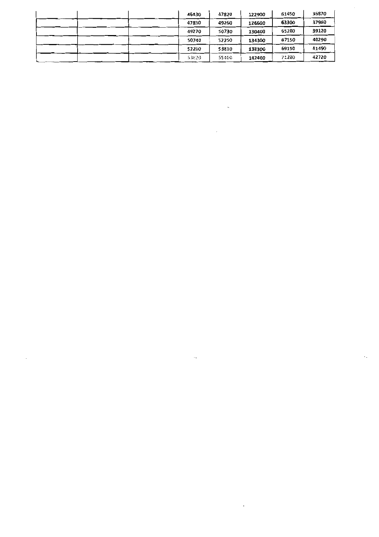| 46430 | 47820 | 122900 | 61450 | 36870 |
|-------|-------|--------|-------|-------|
| 47830 | 49260 | 126600 | 63300 | 37980 |
| 49270 | 50730 | 130400 | 65200 | 39120 |
| 50740 | 52250 | 134300 | 67150 | 40290 |
| 52260 | 53810 | 138300 | 69150 | 41490 |
| 53820 | 55400 | 142400 | 71200 | 42720 |

 $\ddot{\phantom{a}}$ 

 $\mathbf{x}^{(i)}$  .

 $\sim 10^6$ 

 $\cdot$  ,

 $\ddot{\phantom{0}}$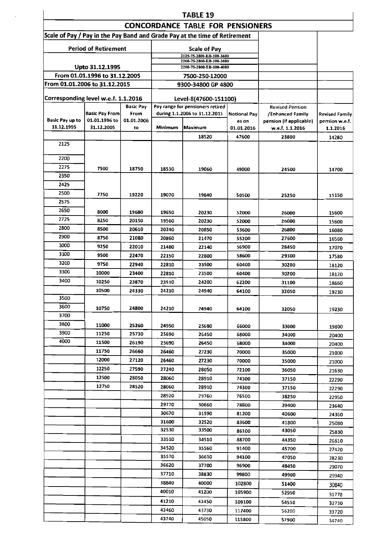|                                     | <b>TABLE 19</b>                 |                  |                                           |                                                                            |                                            |                            |                       |  |  |  |
|-------------------------------------|---------------------------------|------------------|-------------------------------------------|----------------------------------------------------------------------------|--------------------------------------------|----------------------------|-----------------------|--|--|--|
|                                     |                                 |                  |                                           | <b>CONCORDANCE TABLE FOR PENSIONERS</b>                                    |                                            |                            |                       |  |  |  |
|                                     |                                 |                  |                                           | Scale of Pay / Pay in the Pay Band and Grade Pay at the time of Retirement |                                            |                            |                       |  |  |  |
|                                     | <b>Period of Retirement</b>     |                  |                                           | <b>Scale of Pay</b><br>2125-75-2800-EB-100-3600                            |                                            |                            |                       |  |  |  |
|                                     |                                 |                  |                                           | 2200-75-2800-EB-100-3800                                                   |                                            |                            |                       |  |  |  |
|                                     | Upto 31.12.1995                 |                  |                                           | 2200-75-2800-EB-100-4000                                                   |                                            |                            |                       |  |  |  |
|                                     | From 01.01.1996 to 31.12.2005   |                  |                                           | 7500-250-12000                                                             |                                            |                            |                       |  |  |  |
| From 01.01.2006 to 31.12.2015       |                                 |                  |                                           | 9300-34800 GP 4800                                                         |                                            |                            |                       |  |  |  |
| Corresponding level w.e.f. 1.1.2016 |                                 |                  |                                           | Level-8(47600-151100)                                                      |                                            |                            |                       |  |  |  |
|                                     |                                 | <b>Basic Pay</b> |                                           | Pay range for pensioners retired                                           |                                            | <b>Revised Pension</b>     |                       |  |  |  |
| Basic Pay up to                     | Basic Pay From<br>01.01.1996 to | From             |                                           | during 1.1.2006 to 31.12.2015                                              | <b>Notional Pay</b>                        | /Enhanced Family           | <b>Revised Family</b> |  |  |  |
| 31.12.1995                          | 31.12.2005                      | 01.01.2006<br>to | as on<br>Minimum<br>Maximum<br>01.01.2016 |                                                                            | pension (if applicable)<br>w.e.f. 1.1.2016 | pension w.e.f.<br>1.1.2016 |                       |  |  |  |
|                                     |                                 |                  |                                           | 18520                                                                      | 47600                                      | 23800                      | 14280                 |  |  |  |
| 2125                                |                                 |                  |                                           |                                                                            |                                            |                            |                       |  |  |  |
|                                     |                                 |                  |                                           |                                                                            |                                            |                            |                       |  |  |  |
| 2200                                |                                 |                  |                                           |                                                                            |                                            |                            |                       |  |  |  |
| 2275                                | 7500                            | 18750            | 18530                                     | 19060                                                                      | 49000                                      | 24500                      | 14700                 |  |  |  |
| 2350                                |                                 |                  |                                           |                                                                            |                                            |                            |                       |  |  |  |
| 2425                                |                                 |                  |                                           |                                                                            |                                            |                            |                       |  |  |  |
| 2500<br>2575                        | 7750                            | 19220            | 19070                                     | 19640                                                                      | 50500                                      | 25250                      | 15150                 |  |  |  |
| 2650                                |                                 |                  |                                           |                                                                            |                                            |                            |                       |  |  |  |
| 2725                                | 8000<br>8250                    | 19680            | 19650                                     | 20230                                                                      | 52000                                      | 26000                      | 15600                 |  |  |  |
| 2800                                | 8500                            | 20150<br>20610   | 19560                                     | 20230                                                                      | 52000                                      | 26000                      | 15600                 |  |  |  |
| 2900                                | 8750                            | 21080            | 20240<br>20860                            | 20850<br>21470                                                             | 53600<br>55200                             | 26800                      | 16080                 |  |  |  |
| 3000                                | 9250                            | 22010            | 21480                                     | 22140                                                                      | 27600<br>28450                             | 16560                      |                       |  |  |  |
| 3100                                | 9500                            | 22470            | 22150                                     | 22800                                                                      | 29300                                      | 17070                      |                       |  |  |  |
| 3200                                | 9750                            | 22940            | 22810                                     | 58600<br>23500<br>60400                                                    |                                            | 30200                      | 17580<br>18120        |  |  |  |
| 3300                                | 10000                           | 23400            | 22810                                     | 23500                                                                      | 60400                                      | 30200                      | 18120                 |  |  |  |
| 3400                                | 10250                           | 23870            | 23510                                     | 24200                                                                      | 62200                                      | 31100                      | 18660                 |  |  |  |
|                                     | 10500                           | 24330            | 24210                                     | 24940                                                                      | 64100                                      | 32050                      | 19230                 |  |  |  |
| 3500                                |                                 |                  |                                           |                                                                            |                                            |                            |                       |  |  |  |
| 3600                                | 10750                           | 24800            | 24210                                     | 24940                                                                      | 64100                                      | 32050                      | 19230                 |  |  |  |
| 3700                                |                                 |                  |                                           |                                                                            |                                            |                            |                       |  |  |  |
| 3800                                | 11000                           | 25260            | 24950                                     | 25680                                                                      | 66000                                      | 33000                      | 19800                 |  |  |  |
| 3900                                | 11250                           | 25730            | 25690                                     | 26450                                                                      | 68000                                      | 34000                      | 20400                 |  |  |  |
| 4000                                | 11500                           | 26190            | 25690                                     | 26450                                                                      | 68000                                      | 34000                      | 20400                 |  |  |  |
|                                     | 11750                           | 26660            | 26460                                     | 27230                                                                      | 70000                                      | 35000                      | 21000                 |  |  |  |
|                                     | 12000                           | 27120            | 26460                                     | 27230                                                                      | 70000                                      | 35000                      | 21000                 |  |  |  |
|                                     | 12250                           | 27590            | 27240                                     | 28050                                                                      | 72100                                      | 36050                      | 21630                 |  |  |  |
|                                     | 12500                           | 28050            | 28060                                     | 28910                                                                      | 74300                                      | 37150                      | 22290                 |  |  |  |
|                                     | 12750                           | 28520            | 28060                                     | 28910                                                                      | 74300                                      | 37150                      | 22290                 |  |  |  |
|                                     |                                 |                  | 28920                                     | 29760                                                                      | 76500                                      | 38250                      | 22950                 |  |  |  |
|                                     |                                 |                  | 29770                                     | 30660                                                                      | 78800                                      | 39400                      | 23640                 |  |  |  |
|                                     |                                 |                  | 30670                                     | 31590                                                                      | 81200                                      | 40600                      | 24360                 |  |  |  |
|                                     |                                 |                  | 31600<br>32530                            | 32520                                                                      | 83600                                      | 41800                      | 25080                 |  |  |  |
|                                     |                                 |                  |                                           | 33500                                                                      | 86100                                      | 43050                      | 25830                 |  |  |  |
|                                     |                                 |                  | 33510                                     | 34510                                                                      | 88700                                      | 44350                      | 26610                 |  |  |  |
|                                     |                                 |                  | 34520<br>35570                            | 35560<br>36610                                                             | 91400                                      | 45700                      | 27420                 |  |  |  |
|                                     |                                 |                  | 36620                                     | 37700                                                                      | 94100<br>96900                             | 47050                      | 28230                 |  |  |  |
|                                     |                                 |                  | 37710                                     | 38830                                                                      | 99800                                      | 48450<br>49900             | 29070                 |  |  |  |
|                                     |                                 |                  | 38840                                     | 40000                                                                      | 102800                                     | 51400                      | 29940                 |  |  |  |
|                                     |                                 |                  | 40010                                     | 41200                                                                      | 105900                                     | 52950                      | 30840                 |  |  |  |
|                                     |                                 |                  | 41210                                     | 42450                                                                      | 109100                                     |                            | 31770                 |  |  |  |
|                                     |                                 |                  | 42460                                     | 43730                                                                      | 112400                                     | 54550<br>56200             | 32730                 |  |  |  |
|                                     |                                 |                  | 43740                                     | 45050                                                                      | 115800                                     | 57900                      | 33720<br>34740        |  |  |  |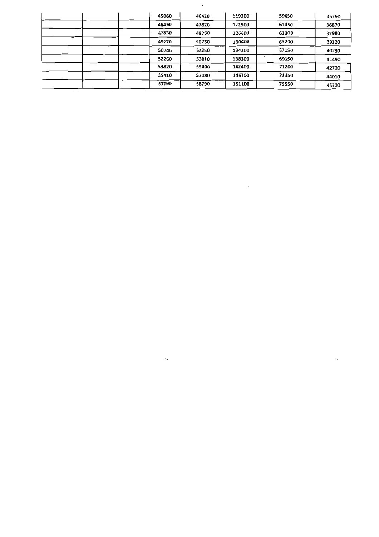| 45060 | 46420 | 119300 | 59650 | 35790 |
|-------|-------|--------|-------|-------|
| 46430 | 47820 | 122900 | 61450 | 36870 |
| 47830 | 49260 | 126600 | 63300 | 37980 |
| 49270 | 50730 | 130400 | 65200 | 39120 |
| 50740 | 52250 | 134300 | 67150 | 40290 |
| 52260 | 53810 | 138300 | 69150 | 41490 |
| 53820 | 55400 | 142400 | 71200 | 42720 |
| 55410 | 57080 | 146700 | 73350 | 44010 |
| 57090 | 58790 | 151100 | 75550 | 45330 |

 $\cdot$  ,

 $\sim$ 

 $\ddot{\phantom{a}}$  .

 $\label{eq:2.1} \mathcal{L}_{\mathcal{A}}(\mathcal{A}) = \mathcal{L}_{\mathcal{A}}(\mathcal{A}) = \mathcal{L}_{\mathcal{A}}(\mathcal{A})$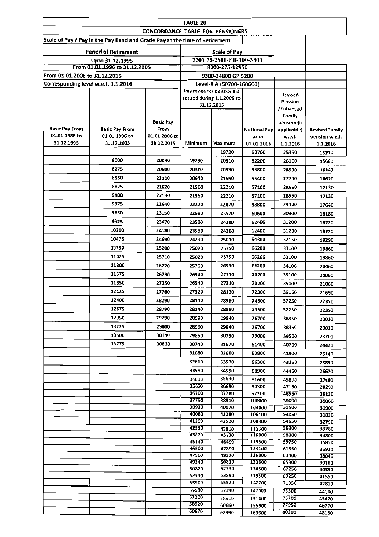|                                        |                                                                            |                                         | TABLE 20                 |                                                 |                      |                           |                            |
|----------------------------------------|----------------------------------------------------------------------------|-----------------------------------------|--------------------------|-------------------------------------------------|----------------------|---------------------------|----------------------------|
|                                        |                                                                            | <b>CONCORDANCE TABLE FOR PENSIONERS</b> |                          |                                                 |                      |                           |                            |
|                                        | Scale of Pay / Pay in the Pay Band and Grade Pay at the time of Retirement |                                         |                          |                                                 |                      |                           |                            |
|                                        |                                                                            |                                         |                          |                                                 |                      |                           |                            |
|                                        | <b>Period of Retirement</b>                                                |                                         |                          | <b>Scale of Pay</b><br>2200-75-2800-EB-100-3800 |                      |                           |                            |
|                                        | Upto 31.12.1995<br>From 01.01.1996 to 31.12.2005                           |                                         |                          | 8000-275-12950                                  |                      |                           |                            |
| From 01.01.2006 to 31.12.2015          |                                                                            |                                         |                          | 9300-34800 GP 5200                              |                      |                           |                            |
| Corresponding level w.e.f. 1.1.2016    |                                                                            |                                         |                          | Level-8 A (50700-160600)                        |                      |                           |                            |
|                                        |                                                                            |                                         | Pay range for pensioners |                                                 |                      |                           |                            |
|                                        |                                                                            |                                         |                          | retired during 1.1.2006 to                      |                      | <b>Revised</b><br>Pension |                            |
|                                        |                                                                            |                                         |                          | 31.12.2015                                      |                      | /Enhanced                 |                            |
|                                        |                                                                            |                                         |                          |                                                 |                      | Family                    |                            |
|                                        |                                                                            | <b>Basic Pay</b>                        |                          |                                                 |                      | pension (if               |                            |
| <b>Basic Pay From</b><br>01.01.1986 to | <b>Basic Pay From</b><br>01.01.1996 to                                     | From<br>01.01.2006 to                   |                          |                                                 | <b>Notional Payl</b> | applicable)               | Revised Family             |
| 31.12.1995                             | 31.12.2005                                                                 | 31.12.2015                              | Minimum                  | Maximum                                         | as on<br>01.01.2016  | w.e.f.<br>1.1.2016        | pension w.e.f.<br>1.1.2016 |
|                                        |                                                                            |                                         |                          | 19720                                           | 50700                | 25350                     | 15210                      |
|                                        | 8000                                                                       | 20030                                   | 19730                    | 20310                                           | 52200                | 26100                     | 15660                      |
|                                        | 8275                                                                       | 20600                                   | 20320                    | 20930                                           | 53800                | 26900                     | 16140                      |
|                                        | 8550                                                                       | 21110                                   | 20940                    | 21550                                           | 55400                | 27700                     | 16620                      |
|                                        | 8825                                                                       | 21620                                   | 21560                    | 22210                                           | 57100                | 28550                     |                            |
|                                        | 9100                                                                       | 22130                                   | 21560                    |                                                 |                      |                           | 17130                      |
|                                        | 9375                                                                       | 22640                                   | 22220                    | 22210<br>22870                                  | 57100<br>58800       | 28550                     | 17130                      |
|                                        | 9650                                                                       |                                         |                          |                                                 |                      | 29400                     | 17640                      |
|                                        | 9925                                                                       | 23150                                   | 22880                    | 23570                                           | 60600                | 30300                     | 18180                      |
|                                        |                                                                            | 23670                                   | 23580                    | 24280                                           | 62400                | 31200                     | 18720                      |
|                                        | 10200                                                                      | 24180                                   | 23580                    | 24280                                           | 62400                | 31200                     | 18720                      |
|                                        | 10475                                                                      | 24690                                   | 24290                    | 25010                                           | 64300                | 32150                     | 19290                      |
|                                        | 10750                                                                      | 25200                                   | 25020                    | 25750                                           | 66200                | 33100                     | 19860                      |
|                                        | 11025                                                                      | 25710                                   | 25020                    | 25750                                           | 66200                | 33100                     | 19860                      |
|                                        | 11300                                                                      | 26220                                   | 25760                    | 26530                                           | 68200                | 34100                     | 20460                      |
|                                        | 11575                                                                      | 26730                                   | 26540                    | 27310                                           | 70200                | 35100                     | 21060                      |
|                                        | 11850                                                                      | 27250                                   | 26540                    | 27310                                           | 70200                | 35100                     | 21060                      |
|                                        | 12125                                                                      | 27760                                   | 27320                    | 28130                                           | 72300                | 36150                     | 21690                      |
|                                        | 12400                                                                      | 28290                                   | 28140                    | 28980                                           | 74500                | 37250                     | 22350                      |
|                                        | 12675                                                                      | 28780                                   | 28140                    | 28980                                           | 74500                | 37250                     | 22350                      |
|                                        | 12950                                                                      | 29290                                   | 28990                    | 29840                                           | 76700                | 38350                     | 23010                      |
|                                        | 13225                                                                      | 29800                                   | 28990                    | 29840                                           | 76700                | 38350                     | 23010                      |
|                                        | 13500                                                                      | 30310                                   | 29850                    | 30730                                           | 79000                | 39500                     | 23700                      |
|                                        | 13775                                                                      | 30830                                   | 30740                    | 31670                                           | 81400                | 40700                     | 24420                      |
|                                        |                                                                            |                                         | 31680                    | 32600                                           | 83800                | 41900                     | 25140                      |
|                                        |                                                                            |                                         | 32610                    | 33570                                           | 86300                | 43150                     | 25890                      |
|                                        |                                                                            |                                         | 33580                    | 34590                                           | 88900                | 44450                     | 26670                      |
|                                        |                                                                            |                                         | 34600                    | 35640                                           | 91600                | 45800                     | 27480                      |
|                                        |                                                                            |                                         | 35650                    | 36690                                           | 94300                | 47150                     | 28290                      |
|                                        |                                                                            |                                         | 36700<br>37790           | 37780                                           | 97100                | 48550                     | 29130                      |
|                                        |                                                                            |                                         | 38920                    | 38910<br>40070                                  | 100000<br>103000     | 50000<br>51500            | 30000<br>30900             |
|                                        |                                                                            |                                         | 40080                    | 41280                                           | 106100               | 53050                     | 31830                      |
|                                        |                                                                            |                                         | 41290                    | 42520                                           | 109300               | 54650                     | 32790                      |
|                                        |                                                                            |                                         | 42530                    | 43810                                           | 112600               | 56300                     | 33780                      |
|                                        |                                                                            |                                         | 43820<br>45140           | 45130<br>46490                                  | 116000<br>119500     | 58000<br>59750            | 34800                      |
|                                        |                                                                            |                                         | 46500                    | 47890                                           | 123100               | 61550                     | 35850<br>36930             |
|                                        |                                                                            |                                         | 47900                    | 49330                                           | 126800               | 63400                     | 38040                      |
|                                        |                                                                            |                                         | 49340                    | 50810                                           | 130600               | 65300                     | 39180                      |
|                                        |                                                                            |                                         | 50820<br>52340           | 52330<br>53890                                  | 134500<br>138500     | 67250<br>69250            | 40350                      |
|                                        |                                                                            |                                         | 53900                    | 55520                                           | 142700               | 71350                     | 41550<br>42810             |
|                                        |                                                                            |                                         | 55530                    | 57190                                           | 147000               | 73500                     | 44100                      |
|                                        |                                                                            |                                         | 57200                    | 58910                                           | 151400               | 75700                     | 45420                      |
|                                        |                                                                            |                                         | 58920                    | 60660                                           | 155900               | 77950                     | 46770                      |
|                                        |                                                                            |                                         | 60670                    | 62490                                           | 160600               | 80300                     | 48180                      |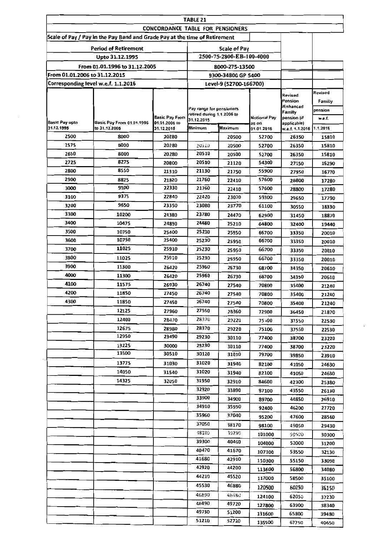|                               |                                                                            |                                  | <b>TABLE 21</b>                          |                          |                              |                            |          |
|-------------------------------|----------------------------------------------------------------------------|----------------------------------|------------------------------------------|--------------------------|------------------------------|----------------------------|----------|
|                               | Scale of Pay / Pay in the Pay Band and Grade Pay at the time of Retirement | CONCORDANCE TABLE FOR PENSIONERS |                                          |                          |                              |                            |          |
|                               |                                                                            |                                  |                                          |                          |                              |                            |          |
|                               | <b>Period of Retirement</b>                                                |                                  |                                          | Scale of Pay             |                              |                            |          |
|                               | Upto 31.12.1995                                                            |                                  |                                          | 2500-75-2800-EB-100-4000 |                              |                            |          |
|                               | From 01.01.1996 to 31.12.2005                                              |                                  |                                          | 8000-275-13500           |                              |                            |          |
| From 01.01.2006 to 31.12.2015 |                                                                            |                                  |                                          | 9300-34800 GP 5400       |                              |                            |          |
|                               | Corresponding level w.e.f. 1.1.2016                                        |                                  |                                          | Level-9 (52700-166700)   |                              |                            |          |
|                               |                                                                            |                                  |                                          |                          |                              | Revised                    | Revised  |
|                               |                                                                            |                                  |                                          |                          |                              | Pension<br>/Enhanced       | Familly  |
|                               |                                                                            |                                  | Pay range for pensioners                 |                          |                              | Familly                    | pension  |
| Basic Pay upto                | Basic Pay From 01.01.1996                                                  | Basic Pay From<br>01.01.2006 to  | retired during 1.1.2006 to<br>31.12.2015 |                          | <b>Notional Pay</b><br>as on | pension (if<br>applicable) | w.e.f.   |
| 31.12.1995                    | to 31.12.2005                                                              | 31.12.2015                       | Minimum                                  | Maximum                  | 01.01.2016                   | w.e.f. 1.1.2016            | 1.1.2016 |
| 2500                          | 8000                                                                       | 20280                            |                                          | 20500                    | 52700                        | 26350                      | 15810    |
| 2575                          | 8000                                                                       | 20280                            | 20510                                    | 20500                    | 52700                        | 26350                      | 15810    |
| 2650                          | 8000                                                                       | 20280                            | 20510                                    | 20500                    | 52700                        | 26350                      | 15810    |
| 2725                          | 8275                                                                       | 20800                            | 20510                                    | 21120                    | 54300                        | 27150                      | 16290    |
| 2800                          | 8550                                                                       | 21310                            | 21130                                    | 21750                    | 55900                        | 27950                      | 16770    |
| 2900                          | 8825                                                                       | 21820                            | 21760                                    | 22410                    | 57600                        | 28800                      | 17280    |
| 3000                          | 9100                                                                       | 22330                            | 21760                                    | 22410                    | 57600                        | 28800                      | 17280    |
| 3100                          | 9375                                                                       | 22840                            | 22420                                    | 23070                    | 59300                        | 29650                      | 17790    |
| 3200                          | 9650                                                                       | 23350                            | 23080                                    | 23770                    | 61100                        | 30550                      | 18330    |
| 3300                          | 10200                                                                      | 24380                            | 23780                                    | 24470                    | 62900                        | 31450                      | 18870    |
| 3400                          | 10475                                                                      | 24890                            | 24480                                    | 25210                    | 64800                        | 32400                      | 19440    |
| 3500                          | 10750                                                                      | 25400                            | 25230                                    | 25950                    | 66700                        | 33350                      | 20010    |
| 3600                          | 10750                                                                      | 25400                            | 25230                                    | 25950                    | 66700                        | 33350                      | 20010    |
| 3700                          | 11025                                                                      | 25910                            | 25230                                    | 25950                    | 66700                        | 33350                      | 20010    |
| 3800                          | 11025                                                                      | 25910                            | 25230                                    | 25950                    | 66700                        | 33350                      | 20010    |
| 3900                          | 11300                                                                      | 26420                            | 25960                                    | 26730                    | 68700                        | 34350                      | 20610    |
| 4000                          | 11300                                                                      | 26420                            | 25960                                    | 26730                    | 68700                        | 34350                      | 20610    |
| 4100                          | 11575                                                                      | 26930                            | 26740                                    | 27540                    | 70800                        | 35400                      | 21240    |
| 4200                          | 11850                                                                      | 27450                            | 26740                                    | 27540                    | 70800                        | 35400                      | 21240    |
| 4300                          | 11850                                                                      | 27450                            | 26740                                    | 27540                    | 70800                        | 35400                      | 21240    |
|                               | 12125                                                                      | 27960                            | 27550                                    | 28360                    | 72900                        | 36450                      | 21870    |
|                               | 12400                                                                      | 28470                            | 28370                                    | 29220                    | 75100                        | 37550                      | 22530    |
|                               | 12675                                                                      | 28980                            | 28370                                    | 29220                    | 75100                        | 37550                      |          |
|                               | 12950                                                                      | 29490                            | 29230                                    | 30110                    | 77400                        |                            | 22530    |
|                               | 13225                                                                      | 30000                            | 29230                                    | 30110                    | 77400                        | 38700                      | 23220    |
|                               | 13500                                                                      | 30510                            | 30120                                    | 31010                    | 79700                        | 38700                      | 23220    |
|                               | 13775                                                                      | 31030                            | 31020                                    |                          |                              | 39850                      | 23910    |
|                               | 14050                                                                      |                                  | 31020                                    | 31940                    | 82100                        | 41050                      | 24630    |
|                               | 14325                                                                      | 31540                            | 31950                                    | 31940                    | 82100                        | 41050                      | 24630    |
|                               |                                                                            | 32050                            | 32920                                    | 32910                    | 84600                        | 42300                      | 25380    |
|                               |                                                                            |                                  | 33900                                    | 33890                    | 87100                        | 43550                      | 26130    |
|                               |                                                                            |                                  |                                          | 34900                    | 89700                        | 44850                      | 26910    |
|                               |                                                                            |                                  | 34910                                    | 35950                    | 92400                        | 46200                      | 27720    |
|                               |                                                                            |                                  | 35960                                    | 37040                    | 95200                        | 47600                      | 28560    |
|                               |                                                                            |                                  | 37050                                    | 38170                    | 98100                        | 49050                      | 29430    |
|                               |                                                                            |                                  | 38180                                    | 39290                    | 101000                       | 50500                      | 30300    |
|                               |                                                                            |                                  | 39300                                    | 40460                    | 104000                       | 52000                      | 31200    |
|                               |                                                                            |                                  | 40470                                    | 41670                    | 107100                       | 53550                      | 32130    |
|                               |                                                                            |                                  | 41680                                    | 42910                    | 110300                       | 55150                      | 33090    |
|                               |                                                                            |                                  | 42920                                    | 44200                    | 113600                       | 56800                      | 34080    |
|                               |                                                                            |                                  | 44210                                    | 45520                    | 117000                       | 58500                      | 35100    |
|                               |                                                                            |                                  | 45530                                    | 46880                    | 120500                       | 60250                      | 36150    |
|                               |                                                                            |                                  | 46890                                    | 48480                    | 124100                       | 62050                      | 37230    |
|                               |                                                                            |                                  | 48490                                    | 49720                    | 127800                       | 63900                      | 38340    |
|                               |                                                                            |                                  | 49730                                    | 51200                    | 131600                       | 65800                      | 39480    |
|                               |                                                                            |                                  | 51210                                    | 52720                    | 135500                       | 67750                      | 40650    |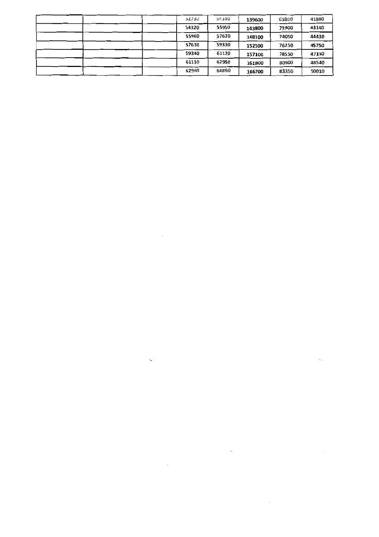| 52730 | 54310 | 139600 | 69800 | 41880 |
|-------|-------|--------|-------|-------|
| 54320 | 55950 | 143800 | 71900 | 43140 |
| 55960 | 57620 | 148100 | 74050 | 44430 |
| 57630 | 59330 | 152500 | 76250 | 45750 |
| 59340 | 61120 | 157100 | 78550 | 47130 |
| 61130 | 62950 | 161800 | 80900 | 48540 |
| 62960 | 64860 | 166700 | 83350 | 50010 |

 $\sim 10^{-1}$ 

 $\mathbb{Q}$ 

 $\sim$ 

 $\overline{\phantom{a}}$ 

 $\mathcal{L}^{\mathcal{L}}$ 

 $\sim$   $\sim$ 

 $\mathcal{L}^{\text{max}}_{\text{max}}$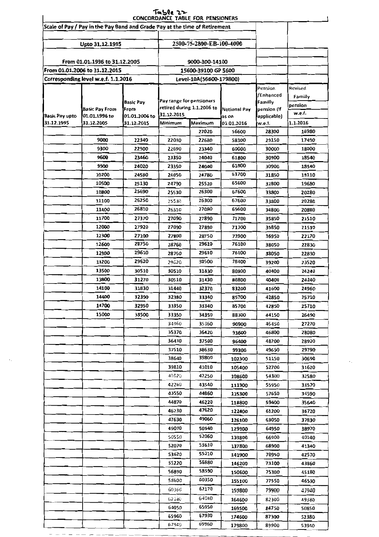|                       |                                                                            |                  | Table 22                                   | <b>CONCORDANCE TABLE FOR PENSIONERS</b> |             |              |          |
|-----------------------|----------------------------------------------------------------------------|------------------|--------------------------------------------|-----------------------------------------|-------------|--------------|----------|
|                       | Scale of Pay / Pay in the Pay Band and Grade Pay at the time of Retirement |                  |                                            |                                         |             |              |          |
|                       | Upto 31.12.1995                                                            |                  |                                            | 2500-75-2800-EB-100-4000                |             |              |          |
|                       | From 01.01.1996 to 31.12.2005                                              |                  |                                            | 9000-300-14100                          |             |              |          |
|                       | From 01.01.2006 to 31.12.2015                                              |                  |                                            | 15600-39100 GP 5600                     |             |              |          |
|                       | Corresponding level w.e.f. 1.1.2016                                        |                  |                                            |                                         |             |              |          |
|                       |                                                                            |                  |                                            | Level-10A(56600-179800)                 |             | Pension      | Revised  |
|                       |                                                                            |                  |                                            |                                         |             | /Enhanced    | Familly  |
|                       |                                                                            | <b>Basic Pay</b> | Pay range for pensioners                   |                                         |             | Familly      | pension  |
|                       | <b>Basic Pay From</b>                                                      | From             | retired during 1.1.2006 to<br>Notional Pay |                                         | pension (if | w.e.f.       |          |
| <b>Basic Pay upto</b> | 01.01.1996 to                                                              | 01.01.2006 to    | 31 12 2015<br>as on<br>Minimum<br>Maximum  |                                         |             | lapplicable) |          |
| 31.12.1995            | 31.12.2005                                                                 | 31.12.2015       |                                            |                                         | 01.01.2016  | w.e.f.       | 1.1.2016 |
|                       |                                                                            |                  |                                            | 22020                                   | 56600       | 28300        | 16980    |
|                       | 9000                                                                       | 22340            | 22030                                      | 22680                                   | 58300       | 29150        | 17490    |
|                       | 9300                                                                       | 22900            | 22690                                      | 23340                                   | 60000       | 30000        | 18000    |
|                       | 9600                                                                       | 23460            | 23350                                      | 24040                                   | 61800       | 30900        | 18540    |
|                       | 9900                                                                       | 24020            | 23350                                      | 24040                                   | 61800       | 30900        | 18540    |
|                       | 10200                                                                      | 24580            | 24050                                      | 24780                                   | 63700       | 31850        | 19110    |
|                       | 10500                                                                      | 25130            | 24790                                      | 25520                                   | 65600       | 32800        | 19680    |
|                       | 10800                                                                      | 25690            | 25530                                      | 26300                                   | 67600       | 33800        | 20280    |
|                       | 11100                                                                      | 26250            | 25530                                      | 26300                                   | 67600       | 33800        | 20280    |
|                       | 11400                                                                      | 26810            | 26310                                      | 27080                                   | 69600       | 34800        | 20880    |
|                       | 11700                                                                      | 27370            | 27090                                      | 27890                                   | 71700       | 35850        | 21510    |
|                       | 12000                                                                      | 27920            | 27090                                      | 27890                                   | 71700       | 35850        | 21510    |
|                       | 12300                                                                      | 27100            | 27800                                      | 28750                                   | 73900       | 36950        | 22170    |
|                       | 12600                                                                      | 28750            | 28760                                      | 29610                                   | 76100       | 38050        | 22830    |
|                       | 12900                                                                      | 29610            | 28760                                      | 29610                                   | 76100       | 38050        | 22830    |
|                       | 13200                                                                      | 29620            | 29620                                      | 30500                                   | 78400       | 39200        | 23520    |
|                       | 13500                                                                      | 30510            | 30510                                      | 31430                                   | 80800       | 40400        | 24240    |
|                       | 13800                                                                      | 31270            | 30510                                      | 31430                                   | 80800       | 40400        | 24240    |
|                       | 14100                                                                      | 31830            | 31440                                      | 32370                                   | 83200       | 41600        | 24960    |
|                       | 14400                                                                      | 32390            |                                            |                                         |             |              |          |
|                       |                                                                            |                  | 32380                                      | 33340                                   | 85700       | 42850        | 25710    |
|                       | 14700                                                                      | 32950            | 33350                                      | 33340                                   | 85700       | 42850        | 25710    |
|                       | 15000                                                                      | 33500            | 33350                                      | 34350                                   | 88300       | 44150        | 26490    |
|                       |                                                                            |                  | 34360                                      | 35360                                   | 90900       | 45450        | 27270    |
|                       |                                                                            |                  | 35370                                      | 36420                                   | 93600       | 46800        | 28080    |
|                       |                                                                            |                  | 36430                                      | 37500                                   | 96400       | 48200        | 28920    |
|                       |                                                                            |                  | 37510                                      | 38630                                   | 99300       | 49650        | 29790    |
|                       |                                                                            |                  | 38640                                      | 39800                                   | 102300      | 51150        | 30690    |
|                       |                                                                            |                  | 39810                                      | 41010                                   | 105400      | 52700        | 31620    |
|                       |                                                                            |                  | 41G20                                      | 42250                                   | 108600      | 54300        | 32580    |
|                       |                                                                            |                  | 42260                                      | 43540                                   | 111900      | 55950        | 33570    |
|                       |                                                                            |                  | 43550                                      | 44860                                   | 115300      | 57650        | 34590    |
|                       |                                                                            |                  | 44870                                      | 46220                                   | 118800      | 59400        | 35640    |
|                       |                                                                            |                  | 46230                                      | 47620                                   | 122400      | 61200        | 36720    |
|                       |                                                                            |                  | 47630                                      | 49060                                   | 126100      | 63050        | 37830    |
|                       |                                                                            |                  | 49070                                      | 50540                                   | 129900      | 64950        | 38970    |
|                       |                                                                            |                  | 50550                                      | 52060                                   | 133800      | 66900        | 40140    |
|                       |                                                                            |                  | 52070                                      | 53610                                   | 137800      | 68900        | 41340    |
|                       |                                                                            |                  | 53620                                      | 55210                                   | 141900      | 70950        | 42570    |
|                       |                                                                            |                  | 55220                                      | 56880                                   | 146200      | 73100        | 43860    |
|                       |                                                                            |                  | 56890                                      | 58590                                   | 150600      | 75300        | 45180    |
|                       |                                                                            |                  | 58600                                      | 60350                                   |             | 77550        | 46530    |
|                       |                                                                            |                  | 60360                                      | 62170                                   | 155100      |              |          |
|                       |                                                                            |                  |                                            |                                         | 159800      | 79900        | 47940    |
|                       |                                                                            |                  | 52180                                      | 64040                                   | 164600      | 82300        | 49380    |
|                       |                                                                            |                  | 64050                                      | 65950                                   | 169500      | 84750        | 50850    |
|                       |                                                                            |                  | 65960                                      | 67930                                   | 174600      | 87300        | 52380    |
|                       |                                                                            |                  | 67940                                      | 69960                                   | 179800      | 89900        | 53940    |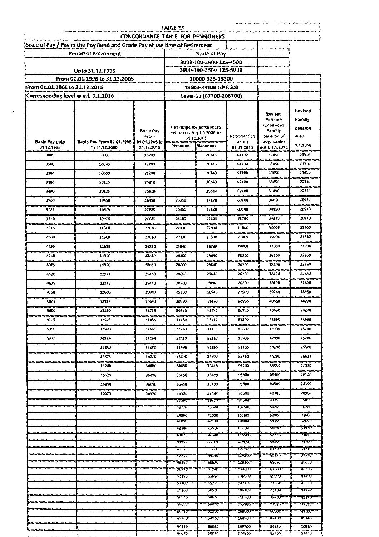|                                     |                                                                            |                                         | <b>IABLE 23</b>                                        |                         |                       |                                            |                               |
|-------------------------------------|----------------------------------------------------------------------------|-----------------------------------------|--------------------------------------------------------|-------------------------|-----------------------|--------------------------------------------|-------------------------------|
|                                     |                                                                            | <b>CONCORDANCE TABLE FOR PENSIONERS</b> |                                                        |                         |                       |                                            |                               |
|                                     | Scale of Pay / Pay in the Pay Band and Grade Pay at the time of Retirement |                                         |                                                        |                         |                       |                                            |                               |
|                                     | <b>Period of Retirement</b>                                                |                                         |                                                        | <b>Scale of Pav</b>     |                       |                                            |                               |
|                                     |                                                                            |                                         |                                                        | 3000-100-3500-125-4500  |                       |                                            |                               |
|                                     | Upto 31.12.1995                                                            |                                         |                                                        | 3000-100-3500-125-5000  |                       |                                            |                               |
|                                     | From 01.01.1996 to 31.12.2005                                              |                                         |                                                        | 10000-325-15200         |                       |                                            |                               |
| From 01.01.2006 to 31.12.2015       |                                                                            |                                         |                                                        | 15600-39100 GP 6600     |                       |                                            |                               |
| Corresponding level w.e.f. 1.1.2016 |                                                                            |                                         |                                                        | Level-11 (67700-208700) |                       |                                            |                               |
|                                     |                                                                            |                                         |                                                        |                         |                       |                                            |                               |
|                                     |                                                                            | <b>Basic Pay</b>                        | Pay range for pensioners<br>retired during 1.1.2006 to |                         |                       | Revised<br>Pension<br>/Enhanced<br>Familly | Revised<br>Familly<br>pension |
| <b>Basic Pay upto</b>               | Basic Pay From 01.01.1996                                                  | From<br>01.01.2006 to                   | 31.12.2015                                             |                         | Notional Pay<br>as on | pension (if<br>applicable)                 | w.e.f.                        |
| 31.12.1995                          | to 31.12.2005                                                              | 31.12.2015                              | Minimum                                                | Maximum                 | 01.01.2016            | w.e.f. 1.1.2016                            | 1.1.2016                      |
| 3000                                | 10000                                                                      | 25200                                   |                                                        | 26340                   | 67700                 | 33850                                      | 20310                         |
| 3100                                | 10000                                                                      | 25200                                   |                                                        | 26340                   | 67700                 | 13850                                      | 20310                         |
| 3200                                | 10000                                                                      | 25200                                   |                                                        | 26340                   | 67700                 | 33850                                      | 20310                         |
| 3300                                | 10325                                                                      | 25810                                   |                                                        | 26340                   | 67700                 | 33850                                      | 20310                         |
| 3400                                | 10325                                                                      | 25810                                   |                                                        | 26340                   | 67700                 | 33850                                      | 20310                         |
| 3500                                | 10650                                                                      | 26410                                   | 26350                                                  | 27120                   | 69700                 | 34850                                      | 20910                         |
|                                     |                                                                            |                                         |                                                        |                         |                       |                                            | 20910                         |
| 3625                                | 10975                                                                      | 27020                                   | 26350                                                  | 27120                   | 69700                 | 34850                                      |                               |
| 3750                                | 10975                                                                      | 27020                                   | 26350                                                  | 27120                   | 69700                 | 34850                                      | 20910                         |
| 3875                                | 11300                                                                      | 27620                                   | 27130                                                  | 27930                   | 71800                 | 35900                                      | 21540                         |
| 4000                                | 11300                                                                      | 27620                                   | 27130                                                  | 27930                   | 71800                 | 35900                                      | 21540                         |
| 4125                                | 11525                                                                      | 28230                                   | 27940                                                  | 28790                   | 74000                 | 37000                                      | 22200                         |
| 4250                                | 11950                                                                      | 28830                                   | 28800                                                  | 29640                   | 76200                 | 38100                                      | 22860                         |
| 4375                                | 11950                                                                      | 28830                                   | 28800                                                  | 29640                   | 76200                 | 38100                                      | 22860                         |
| 4500                                | 12275                                                                      | 29440                                   | 28800                                                  | 29640                   | 76200                 | 38100                                      | 22860                         |
|                                     |                                                                            |                                         |                                                        |                         |                       |                                            |                               |
| 4625                                | 12275                                                                      | 29440                                   | 28800                                                  | 29640                   | 76200                 | 38100                                      | 22860                         |
| 4750                                | 12600                                                                      | 30040                                   | 29650                                                  | 30540                   | 78500                 | 39250                                      | 23550                         |
| 4875                                | 12925                                                                      | 30650                                   | 30550                                                  | 31470                   | 80900                 | 40450                                      | 24270                         |
| 5000                                | 13250                                                                      | 31250                                   | 30550                                                  | 31470                   | 80900                 | 40450                                      | 24270                         |
| 5125                                | 13575                                                                      | 31850                                   | 31480                                                  | 32410                   | 83300                 | 41650                                      | 24990                         |
| 5250                                | 13900                                                                      | 32460                                   | 32420                                                  | 33380                   | 85800                 | 42900                                      | 25740                         |
| 5375                                | 14225                                                                      | 33060                                   | 32420                                                  | 33380                   | 85800                 | 42900                                      | 25740                         |
|                                     | 14550                                                                      | 33670                                   | 33390                                                  | 34390                   | 88400                 | 44200                                      | 26520                         |
|                                     |                                                                            |                                         |                                                        |                         |                       |                                            |                               |
|                                     | 14875                                                                      | 34270                                   | 33390                                                  | 34390                   | 88400                 | 44200                                      | 26520                         |
|                                     | 15200                                                                      | 34880                                   | 34400                                                  | 35440                   | 91100                 | 45550                                      | 27330                         |
|                                     | 15525                                                                      | 35480                                   | 35450                                                  | 36490                   | 93800                 | 46900                                      | 28140                         |
|                                     | 15850                                                                      | 36090                                   | 35450                                                  | 36490                   | 93800                 | 46900                                      | 28140                         |
|                                     | 16175                                                                      | 36690                                   | 36500                                                  | 37580                   | 96600                 | 43300                                      | 28980                         |
|                                     |                                                                            |                                         | 31590                                                  | 387 IU                  | 99500                 | 44150                                      | 79850                         |
|                                     |                                                                            |                                         | 38720                                                  | 39880                   | <b>102500</b>         | 51250                                      | 3075U                         |
|                                     |                                                                            |                                         | 39890<br>41090                                         | 41080<br>42330          | 105600<br>108800      | 52800<br>24400.                            | 31680<br>32640                |
|                                     |                                                                            |                                         | 4234U                                                  | 43610                   | 112100                | 20020                                      | 33630                         |
|                                     |                                                                            |                                         | 43620                                                  | 44940                   | 115500                | 57750                                      | 34650                         |
|                                     |                                                                            |                                         | 44950                                                  | 46300                   | 113000                | <b>28200</b>                               | 357URF                        |
|                                     |                                                                            |                                         | 49333<br>47710                                         | 477BJ<br>49140          | 177600<br>179300      | PI III)<br>93120                           | 30780<br>37890                |
|                                     |                                                                            |                                         | 49150                                                  | 50620                   | 130100                | <b>P2020</b>                               | 39030                         |
|                                     |                                                                            |                                         | 20930                                                  | 27140                   | 134000                | <b>PM00</b>                                | 40Z00                         |
|                                     |                                                                            |                                         | <b>22150</b>                                           | 23030                   | 138000                | <b>PAODD</b>                               | 4140U                         |
|                                     |                                                                            |                                         | <b>23100</b>                                           | 55290                   | 142100                | 11050                                      | 42630                         |
|                                     |                                                                            |                                         | 22300                                                  | <b>79802</b>            | 146400                | 13200                                      | 43920                         |
|                                     |                                                                            |                                         | 56970<br>28980                                         | 28910                   | <b>12080U</b>         | 15400                                      | 452AU                         |
|                                     |                                                                            |                                         | 617430                                                 | <b>60420</b><br>62250   | 155300<br>TPURKE      | 71650<br><b>ROODD</b>                      | 46590<br>42000                |
|                                     |                                                                            |                                         | <b>02200</b>                                           | 94120                   | 104800                | <b>BZ4UU</b>                               | 49440                         |
|                                     |                                                                            |                                         | 64130                                                  | 66030                   | 169700                | 84850                                      | 50910                         |
|                                     |                                                                            |                                         | 66040                                                  | 68010                   | 174800                | 87400                                      | 52440                         |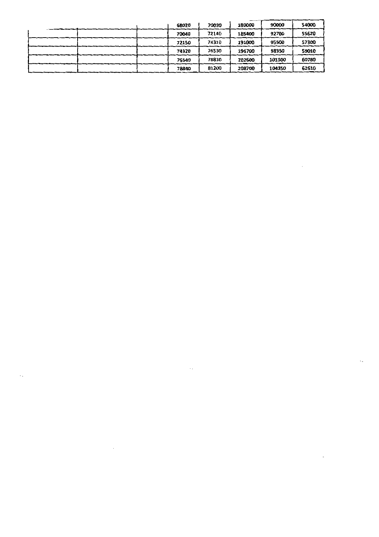| 68020 | 70030 | 180000 | 90000  | 54000 |
|-------|-------|--------|--------|-------|
| 70040 | 72140 | 185400 | 92700  | 55620 |
| 72150 | 74310 | 191000 | 95500  | 57300 |
| 74320 | 76530 | 196700 | 98350  | 59010 |
| 76540 | 78830 | 202600 | 101300 | 60780 |
| 78840 | 81200 | 208700 | 104350 | 62610 |

 $\ddotsc$ 

 $\sim 10$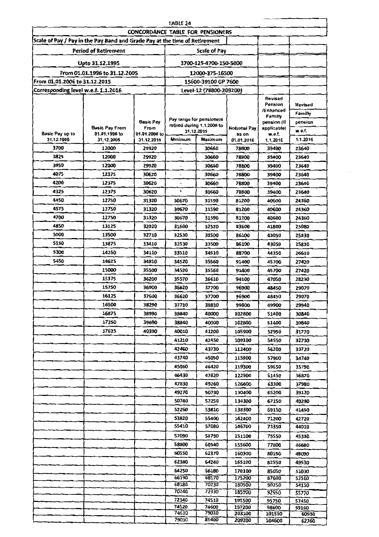|                                     |                                                                            |                                         | <b>TABLE 24</b> |                                        |                     |                            |                |
|-------------------------------------|----------------------------------------------------------------------------|-----------------------------------------|-----------------|----------------------------------------|---------------------|----------------------------|----------------|
|                                     |                                                                            | <b>CONCORDANCE TABLE FOR PENSIONERS</b> |                 |                                        |                     |                            |                |
|                                     | Scale of Pay / Pay in the Pay Band and Grade Pay at the time of Retirement |                                         |                 |                                        |                     |                            |                |
|                                     | <b>Period of Retirement</b>                                                |                                         |                 | <b>Scale of Pay</b>                    |                     |                            |                |
|                                     | Upto 31.12.1995                                                            |                                         |                 | 3700-125-4700-150-5000                 |                     |                            |                |
|                                     |                                                                            |                                         |                 |                                        |                     |                            |                |
| From 01.01.2006 to 31.12.2015       | From 01.01.1996 to 31.12.2005                                              |                                         |                 | 12000-375-16500<br>15600-39100 GP 7600 |                     |                            |                |
| Corresponding level w.e.f. 1.1.2016 |                                                                            |                                         |                 | Level-12 (78800-209200)                |                     |                            |                |
|                                     |                                                                            |                                         |                 |                                        |                     | Revised                    |                |
|                                     |                                                                            |                                         |                 |                                        |                     | Pension<br>/Enhanced       | Revised        |
|                                     |                                                                            |                                         |                 | Pay range for pensioners               |                     | Familly                    | Familly        |
|                                     | <b>Basic Pay From</b>                                                      | <b>Basic Pay</b><br>From                |                 | retired during 1.1.2006 to             | <b>Notional Pay</b> | pension (if<br>applicable) | pension        |
| Basic Pay up to                     | 01.01.1996 to                                                              | 01.01.2006 to                           |                 | 31.12.2015                             | as on               | w.e.f.                     | w.e.f.         |
| 31.12.1995<br>3700                  | 31.12.2005<br>12000                                                        | 31.12.2015                              | Minimum         | Maximum                                | 01.01.2016<br>78800 | 1.1.2016                   | 1.1.2016       |
| 3825                                | 12000                                                                      | 29920<br>29920                          |                 | 30660<br>30660                         | 78800               | 39400<br>39400             | 23640<br>23640 |
| 3950                                | 12000                                                                      | 29920                                   |                 | 30660                                  | 78800               | 39400                      | 23640          |
| 4075                                | 12375                                                                      | 30620                                   | $\overline{a}$  | 30660                                  | 78800               | 39400                      | 23640          |
| 4200                                | 12375                                                                      | 30620                                   |                 | 30660                                  | 78800               | 39400                      | 23640          |
| 4325                                | 12375                                                                      | 30620                                   | ÷.              | 30660                                  | 78800               | 39400                      | 23640          |
| 4450                                | 12750                                                                      | 31320                                   | 30670           | 31590                                  | 81200               | 40600                      | 24360          |
| 4575                                | 12750                                                                      | 31320                                   | 30670           | 31590                                  | 81200               | 40600                      | 24360          |
| 4700                                | 12750                                                                      | 31320                                   | 30670           | 31590                                  | 81200               | 40600                      | 24360          |
| 4850                                | 13125                                                                      | 32020                                   | 31600           | 32520                                  | 83600               | 41800                      | 25080          |
| 5000                                | 13500                                                                      | 32710                                   | 32530           | 33500                                  | 86100               | 43050                      | 25830          |
| 5150                                | 13875                                                                      | 33410                                   | 32530           | 33500                                  | 86100               | 43050                      | 25830          |
| 5300                                | 14250                                                                      | 34110                                   | 33510           | 34510                                  | 88700               | 44350                      | 26610          |
| 5450                                | 14625                                                                      | 34810                                   | 34520           | 35560                                  | 91400               | 45700                      | 27420          |
|                                     | 15000                                                                      | 35500                                   | 34520           | 35560                                  | 91400               | 45700                      | 27420          |
|                                     | 15375                                                                      | 36200                                   | 35570           | 36610                                  | 94100               | 47050                      | 28230          |
|                                     | 15750                                                                      | 36900                                   | 36620           | 37700                                  | 96900               | 48450                      | 29070          |
|                                     | 16125                                                                      | 37600                                   | 36620           | 37700                                  | 96900               | 48450                      | 29070          |
|                                     | 16500                                                                      | 38290                                   | 37710           | 38830                                  | 99800               | 49900                      | 29940          |
|                                     | 16875                                                                      | 38990                                   | 38840           | 40000                                  | 102800              | 51400                      | 30840          |
|                                     | 17250                                                                      | 39690                                   | 38840           | 40000                                  | 102800              | 51400                      | 30840          |
|                                     | 17625                                                                      | 40390                                   | 40010           | 41200                                  | 105900              | 52950                      | 31770          |
|                                     |                                                                            |                                         | 41210           | 42450                                  | 109100              | 54550                      | 32730          |
|                                     |                                                                            |                                         | 42460           | 43730                                  | 112400              | 56200                      | 33720          |
|                                     |                                                                            |                                         | 43740           | 45050                                  | 115800              | 57900                      | 34740          |
|                                     |                                                                            |                                         | 45060           | 46420                                  | 119300              | 59650                      | 35790          |
|                                     |                                                                            |                                         | 46430<br>47830  | 47820<br>49260                         | 122900              | 61450                      | 36870          |
|                                     |                                                                            |                                         | 49270           | 50730                                  | 126600<br>130400    | 63300<br>65200             | 37980<br>39120 |
|                                     |                                                                            |                                         | 50740           | 52250                                  | 134300              | 67150                      | 40290          |
|                                     |                                                                            |                                         | 52260           | 53810                                  | 138300              | 69150                      | 41490          |
|                                     |                                                                            |                                         | 53820           | 55400                                  | 142400              | 71200                      | 42720          |
|                                     |                                                                            |                                         | 55410           | 57080                                  | 146700              | 73350                      | 44010          |
|                                     |                                                                            |                                         | 57090           | 58790                                  | 151100              | 75550                      | 45330          |
|                                     |                                                                            |                                         | 58800           | 60540                                  | 155600              | 77800                      | 46680          |
|                                     |                                                                            |                                         | 60550           | 62370                                  | 160300              | 80150                      | 48090          |
|                                     |                                                                            |                                         | 62380           | 64240                                  | 165100              | 82550                      | 49530          |
|                                     |                                                                            |                                         | 64250           | 66180                                  | 170100              | 85050                      | 51030          |
|                                     |                                                                            |                                         | 66190           | 68170                                  | 175200              | 87600                      | 52560          |
|                                     |                                                                            |                                         | 68180<br>70240  | 70230<br>72330                         | 180500<br>185900    | 90250                      | 54150          |
|                                     |                                                                            |                                         | 72340           | 74510                                  | 191500              | 92950<br>95750             | 55770<br>57450 |
|                                     |                                                                            |                                         | 74520           | 74600                                  | 197200              | 98600                      | 59160          |
|                                     |                                                                            |                                         | 74610           | 79020                                  | 203100              | 101550                     | 60930          |
|                                     |                                                                            |                                         | 79030           | 81400                                  | 209200              | 104600                     | 62760          |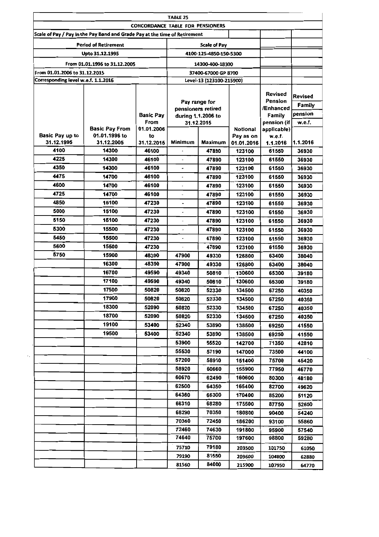| <b>TABLE 25</b>                     |                                                                            |                                         |         |                                                                                                                                                                                                                                                                                                                                                                                                                                                                                                                                                                                                                                                                                                                   |        |         |          |
|-------------------------------------|----------------------------------------------------------------------------|-----------------------------------------|---------|-------------------------------------------------------------------------------------------------------------------------------------------------------------------------------------------------------------------------------------------------------------------------------------------------------------------------------------------------------------------------------------------------------------------------------------------------------------------------------------------------------------------------------------------------------------------------------------------------------------------------------------------------------------------------------------------------------------------|--------|---------|----------|
|                                     |                                                                            | <b>CONCORDANCE TABLE FOR PENSIONERS</b> |         |                                                                                                                                                                                                                                                                                                                                                                                                                                                                                                                                                                                                                                                                                                                   |        |         |          |
|                                     | Scale of Pay / Pay in the Pay Band and Grade Pay at the time of Retirement |                                         |         |                                                                                                                                                                                                                                                                                                                                                                                                                                                                                                                                                                                                                                                                                                                   |        |         |          |
|                                     | <b>Period of Retirement</b>                                                |                                         |         | <b>Scale of Pay</b>                                                                                                                                                                                                                                                                                                                                                                                                                                                                                                                                                                                                                                                                                               |        |         |          |
|                                     | Upto 31.12.1995                                                            |                                         |         | 4100-125-4850-150-5300                                                                                                                                                                                                                                                                                                                                                                                                                                                                                                                                                                                                                                                                                            |        |         |          |
|                                     | From 01.01.1996 to 31.12.2005                                              |                                         |         | 14300-400-18300                                                                                                                                                                                                                                                                                                                                                                                                                                                                                                                                                                                                                                                                                                   |        |         |          |
| From 01.01.2006 to 31.12.2015       |                                                                            |                                         |         | 37400-67000 GP 8700                                                                                                                                                                                                                                                                                                                                                                                                                                                                                                                                                                                                                                                                                               |        |         |          |
| Corresponding level w.e.f. 1.1.2016 |                                                                            |                                         |         | Level-13 (123100-215900)                                                                                                                                                                                                                                                                                                                                                                                                                                                                                                                                                                                                                                                                                          |        |         |          |
|                                     |                                                                            |                                         |         |                                                                                                                                                                                                                                                                                                                                                                                                                                                                                                                                                                                                                                                                                                                   |        |         |          |
|                                     |                                                                            |                                         |         |                                                                                                                                                                                                                                                                                                                                                                                                                                                                                                                                                                                                                                                                                                                   |        | Revised | Revised  |
|                                     |                                                                            |                                         |         |                                                                                                                                                                                                                                                                                                                                                                                                                                                                                                                                                                                                                                                                                                                   |        |         | Family   |
|                                     |                                                                            | Basic Pay                               |         | Pension<br>Pay range for<br>/Enhanced<br>pensioners retired<br>Family<br>during 1.1.2006 to<br>pension (if<br>31.12.2015<br>applicable)<br><b>Notional</b><br>Pay as on<br>w.e.f.<br>Maximum<br>01.01.2016<br>1.1.2016<br>47890<br>123100<br>61550<br>47890<br>123100<br>61550<br>47890<br>61550<br>123100<br>47890<br>123100<br>61550<br>47890<br>123100<br>61550<br>47890<br>123100<br>61550<br>$\frac{1}{2}$<br>47890<br>123100<br>61550<br>$\ddot{\phantom{0}}$<br>47890<br>123100<br>61550<br>47890<br>123100<br>61550<br>47890<br>123100<br>61550<br>$\ddot{\phantom{a}}$<br>47890<br>123100<br>61550<br>47890<br>123100<br>61550<br>47900<br>49330<br>126800<br>63400<br>47900<br>49330<br>126800<br>63400 |        | pension |          |
|                                     |                                                                            | From                                    |         |                                                                                                                                                                                                                                                                                                                                                                                                                                                                                                                                                                                                                                                                                                                   |        |         | w.e.f.   |
| Basic Pay up to                     | <b>Basic Pay From</b><br>01.01.1996 to                                     | 01.01.2006<br>to                        |         |                                                                                                                                                                                                                                                                                                                                                                                                                                                                                                                                                                                                                                                                                                                   |        |         |          |
| 31.12.1995                          | 31.12.2005                                                                 | 31.12.2015                              | Minimum |                                                                                                                                                                                                                                                                                                                                                                                                                                                                                                                                                                                                                                                                                                                   |        |         | 1.1.2016 |
| 4100                                | 14300                                                                      | 46100                                   |         |                                                                                                                                                                                                                                                                                                                                                                                                                                                                                                                                                                                                                                                                                                                   |        |         | 36930    |
| 4225                                | 14300                                                                      | 46100                                   |         |                                                                                                                                                                                                                                                                                                                                                                                                                                                                                                                                                                                                                                                                                                                   |        |         | 36930    |
| 4350                                | 14300                                                                      | 46100                                   |         |                                                                                                                                                                                                                                                                                                                                                                                                                                                                                                                                                                                                                                                                                                                   |        |         | 36930    |
| 4475                                | 14700                                                                      | 46100                                   |         |                                                                                                                                                                                                                                                                                                                                                                                                                                                                                                                                                                                                                                                                                                                   |        |         | 36930    |
| 4600                                | 14700                                                                      | 46100                                   |         |                                                                                                                                                                                                                                                                                                                                                                                                                                                                                                                                                                                                                                                                                                                   |        |         | 36930    |
| 4725                                | 14700                                                                      | 46100                                   |         |                                                                                                                                                                                                                                                                                                                                                                                                                                                                                                                                                                                                                                                                                                                   |        |         | 36930    |
| 4850                                | 15100                                                                      | 47230                                   |         |                                                                                                                                                                                                                                                                                                                                                                                                                                                                                                                                                                                                                                                                                                                   |        |         | 36930    |
| 5000                                | 15100                                                                      | 47230                                   |         |                                                                                                                                                                                                                                                                                                                                                                                                                                                                                                                                                                                                                                                                                                                   |        |         | 36930    |
| 5150                                | 15100                                                                      | 47230                                   |         |                                                                                                                                                                                                                                                                                                                                                                                                                                                                                                                                                                                                                                                                                                                   |        |         | 36930    |
| 5300                                | 15500                                                                      | 47230                                   |         |                                                                                                                                                                                                                                                                                                                                                                                                                                                                                                                                                                                                                                                                                                                   |        |         | 36930    |
| 5450                                | 15500                                                                      | 47230                                   |         |                                                                                                                                                                                                                                                                                                                                                                                                                                                                                                                                                                                                                                                                                                                   |        |         | 36930    |
| 5600                                | 15500                                                                      | 47230                                   |         |                                                                                                                                                                                                                                                                                                                                                                                                                                                                                                                                                                                                                                                                                                                   |        |         | 36930    |
| 5750                                | 15900                                                                      | 48390                                   |         |                                                                                                                                                                                                                                                                                                                                                                                                                                                                                                                                                                                                                                                                                                                   |        |         | 38040    |
|                                     | 16300                                                                      | 48390                                   |         |                                                                                                                                                                                                                                                                                                                                                                                                                                                                                                                                                                                                                                                                                                                   |        |         | 38040    |
|                                     | 16700                                                                      | 49590                                   | 49340   | 50810                                                                                                                                                                                                                                                                                                                                                                                                                                                                                                                                                                                                                                                                                                             | 130600 | 65300   | 39180    |
|                                     | 17100                                                                      | 49590                                   | 49340   | 50810                                                                                                                                                                                                                                                                                                                                                                                                                                                                                                                                                                                                                                                                                                             | 130600 | 65300   | 39180    |
|                                     | 17500                                                                      | 50820                                   | 50820   | 52330                                                                                                                                                                                                                                                                                                                                                                                                                                                                                                                                                                                                                                                                                                             | 134500 | 67250   | 40350    |
|                                     | 17900                                                                      | 50820                                   | 50820   | 52330                                                                                                                                                                                                                                                                                                                                                                                                                                                                                                                                                                                                                                                                                                             | 134500 | 67250   | 40350    |
|                                     | 18300                                                                      | 52090                                   | 50820   | 52330                                                                                                                                                                                                                                                                                                                                                                                                                                                                                                                                                                                                                                                                                                             | 134500 | 67250   | 40350    |
|                                     | 18700                                                                      | 52090                                   | 50820   | 52330                                                                                                                                                                                                                                                                                                                                                                                                                                                                                                                                                                                                                                                                                                             | 134500 | 67250   | 40350    |
|                                     | 19100                                                                      | 53400                                   | 52340   | 53890                                                                                                                                                                                                                                                                                                                                                                                                                                                                                                                                                                                                                                                                                                             | 138500 | 69250   | 41550    |
|                                     | 19500                                                                      | 53400                                   | 52340   | 53890                                                                                                                                                                                                                                                                                                                                                                                                                                                                                                                                                                                                                                                                                                             | 138500 | 69250   | 41550    |
|                                     |                                                                            |                                         | 53900   | 55520                                                                                                                                                                                                                                                                                                                                                                                                                                                                                                                                                                                                                                                                                                             | 142700 | 71350   | 42810    |
|                                     |                                                                            |                                         | 55530   | 57190                                                                                                                                                                                                                                                                                                                                                                                                                                                                                                                                                                                                                                                                                                             | 147000 | 73500   | 44100    |
|                                     |                                                                            |                                         | 57200   | 58910                                                                                                                                                                                                                                                                                                                                                                                                                                                                                                                                                                                                                                                                                                             | 151400 | 75700   | 45420    |
|                                     |                                                                            |                                         | 58920   | 60660                                                                                                                                                                                                                                                                                                                                                                                                                                                                                                                                                                                                                                                                                                             | 155900 | 77950   | 46770    |
|                                     |                                                                            |                                         | 60670   | 62490                                                                                                                                                                                                                                                                                                                                                                                                                                                                                                                                                                                                                                                                                                             | 160600 | 80300   | 48180    |
|                                     |                                                                            |                                         | 62500   | 64350                                                                                                                                                                                                                                                                                                                                                                                                                                                                                                                                                                                                                                                                                                             | 165400 | 82700   | 49620    |
|                                     |                                                                            |                                         | 64360   | 66300                                                                                                                                                                                                                                                                                                                                                                                                                                                                                                                                                                                                                                                                                                             | 170400 | 85200   | 51120    |
|                                     |                                                                            |                                         | 66310   | 68280                                                                                                                                                                                                                                                                                                                                                                                                                                                                                                                                                                                                                                                                                                             | 175500 | 87750   | 52650    |
|                                     |                                                                            |                                         | 68290   | 70350                                                                                                                                                                                                                                                                                                                                                                                                                                                                                                                                                                                                                                                                                                             | 180800 | 90400   | 54240    |
|                                     |                                                                            |                                         | 70360   | 72450                                                                                                                                                                                                                                                                                                                                                                                                                                                                                                                                                                                                                                                                                                             | 186200 | 93100   | 55860    |
|                                     |                                                                            |                                         | 72460   | 74630                                                                                                                                                                                                                                                                                                                                                                                                                                                                                                                                                                                                                                                                                                             | 191800 | 95900   | 57540    |
|                                     |                                                                            |                                         | 74640   | 75700                                                                                                                                                                                                                                                                                                                                                                                                                                                                                                                                                                                                                                                                                                             | 197600 | 98800   | 59280    |
|                                     |                                                                            |                                         | 75710   | 79180                                                                                                                                                                                                                                                                                                                                                                                                                                                                                                                                                                                                                                                                                                             | 203500 | 101750  | 61050    |
|                                     |                                                                            |                                         | 79190   | 81550                                                                                                                                                                                                                                                                                                                                                                                                                                                                                                                                                                                                                                                                                                             | 209600 | 104800  | 62880    |
|                                     |                                                                            |                                         | 81560   | 84000                                                                                                                                                                                                                                                                                                                                                                                                                                                                                                                                                                                                                                                                                                             | 215900 | 107950  | 64770    |

 $\hat{\beta}$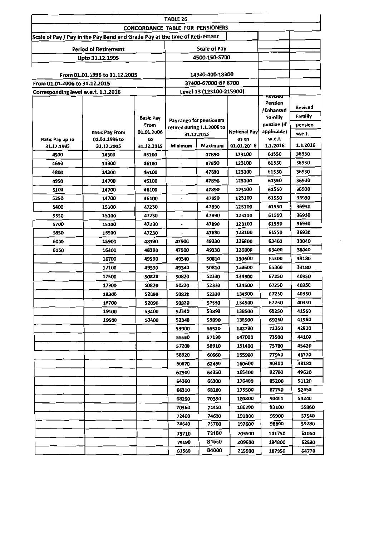|                                     |                                                                            |                                                 | TABLE 26                   |                     |                      |                        |          |
|-------------------------------------|----------------------------------------------------------------------------|-------------------------------------------------|----------------------------|---------------------|----------------------|------------------------|----------|
|                                     |                                                                            | <b>CONCORDANCE TABLE FOR PENSIONERS</b>         |                            |                     |                      |                        |          |
|                                     | Scale of Pay / Pay in the Pay Band and Grade Pay at the time of Retirement |                                                 |                            |                     |                      |                        |          |
|                                     | <b>Period of Retirement</b>                                                |                                                 |                            | <b>Scale of Pay</b> |                      |                        |          |
|                                     | Upto 31.12.1995                                                            |                                                 |                            | 4500-150-5700       |                      |                        |          |
|                                     |                                                                            |                                                 |                            |                     |                      |                        |          |
|                                     | From 01.01.1996 to 31.12.2005                                              |                                                 |                            | 14300-400-18300     |                      |                        |          |
| From 01.01.2006 to 31.12.2015       |                                                                            | 37400-67000 GP 8700<br>Level-13 (123100-215900) |                            |                     |                      |                        |          |
| Corresponding level w.e.f. 1.1.2016 |                                                                            |                                                 |                            |                     |                      | Revised                |          |
|                                     |                                                                            |                                                 |                            |                     |                      | Pension                | Revised  |
|                                     |                                                                            |                                                 |                            |                     |                      | /Enhanced              | Familly  |
|                                     |                                                                            | <b>Basic Pay</b><br>From                        | Pay range for pensioners   |                     |                      | Familly<br>pension (if | pension  |
|                                     | <b>Basic Pay From</b>                                                      | 01.01.2006                                      | retired during 1.1.2006 to | 31.12.2015          | <b>Notional Payl</b> | applicable)            | w.e.f.   |
| <b>Basic Pay up to</b>              | 01.01.1996 to                                                              | to                                              |                            |                     | as on                | w.e.f.                 |          |
| 31.12.1995                          | 31.12.2005                                                                 | 31.12.2015                                      | Minimum                    | Maximum             | 01.01.2016           | 1.1.2016               | 1.1.2016 |
| 4500                                | 14300                                                                      | 46100                                           |                            | 47890               | 123100               | 61550                  | 36930    |
| 4650                                | 14300                                                                      | 46100                                           |                            | 47890               | 123100               | 61550                  | 36930    |
| 4800                                | 14300                                                                      | 46100                                           |                            | 47890               | 123100               | 61550                  | 36930    |
| 4950                                | 14700                                                                      | 46100                                           | $\overline{\phantom{a}}$   | 47890               | 123100               | 61550                  | 36930    |
| 5100                                | 14700                                                                      | 46100                                           |                            | 47890               | 123100               | 61550                  | 36930    |
| 5250                                | 14700                                                                      | 46100                                           |                            | 47890               | 123100               | 61550                  | 36930    |
| 5400                                | 15100                                                                      | 47230                                           |                            | 47890               | 123100               | 61550                  | 36930    |
| 5550                                | 15100                                                                      | 47230                                           | ×                          | 47890               | 123100               | 61550                  | 36930    |
| 5700                                | 15100                                                                      | 47230                                           |                            | 47890               | 123100               | 61550                  | 36930    |
| 5850                                | 15500                                                                      | 47230                                           |                            | 47890               | 123100               | 61550                  | 36930    |
| 6000                                | 15900                                                                      | 48390                                           | 47900                      | 49330               | 126800               | 63400                  | 38040    |
| 6150                                | 16300                                                                      | 48390                                           | 47900                      | 49330               | 126800               | 63400                  | 38040    |
|                                     | 16700                                                                      | 49590                                           | 49340                      | 50810               | 130600               | 65300                  | 39180    |
|                                     | 17100                                                                      | 49590                                           | 49340                      | 50810               | 130600               | 65300                  | 39180    |
|                                     | 17500                                                                      | 50820                                           | 50820                      | 52330               | 134500               | 67250                  | 40350    |
|                                     | 17900                                                                      | 50820                                           | 50820                      | 52330               | 134500               | 67250                  | 40350    |
|                                     | 18300                                                                      | 52090                                           | 50820                      | 52330               | 134500               | 67250                  | 40350    |
|                                     | 18700                                                                      | 52090                                           | 50820                      | 52330               | 134500               | 67250                  | 40350    |
|                                     | 19100                                                                      | 53400                                           | 52340                      | 53890               | 138500               | 69250                  | 41550    |
|                                     | 19500                                                                      | 53400                                           | 52340                      | 53890               | 138500               | 69250                  | 41550    |
|                                     |                                                                            |                                                 | 53900                      | 55520               | 142700               | 71350                  | 42810    |
|                                     |                                                                            |                                                 | 55530                      | 57190               | 147000               | 73500                  | 44100    |
|                                     |                                                                            |                                                 | 57200                      | 58910               | 151400               | 75700                  | 45420    |
|                                     |                                                                            |                                                 | 58920                      | 60660               | 155900               | 77950                  | 46770    |
|                                     |                                                                            |                                                 | 60670                      | 62490               | 160600               | 80300                  | 48180    |
|                                     |                                                                            |                                                 | 62500                      | 64350               | 165400               | 82700                  | 49620    |
|                                     |                                                                            |                                                 | 64360                      | 66300               | 170400               | 85200                  | 51120    |
|                                     |                                                                            |                                                 | 66310                      | 68280               | 175500               | 87750                  | 52650    |
|                                     |                                                                            |                                                 | 68290                      | 70350               | 180800               | 90400                  | 54240    |
|                                     |                                                                            |                                                 | 70360                      | 72450               | 186200               | 93100                  | 55860    |
|                                     |                                                                            |                                                 | 72460                      | 74630               | 191800               | 95900                  | 57540    |
|                                     |                                                                            |                                                 | 74640                      | 75700               | 197600               | 98800                  | 59280    |
|                                     |                                                                            |                                                 | 75710                      | 79180               | 203500               | 101750                 | 61050    |
|                                     |                                                                            |                                                 | 79190                      | 81550               | 209600               | 104800                 | 62880    |
|                                     |                                                                            |                                                 | 81560                      | 84000               | 215900               | 107950                 | 64770    |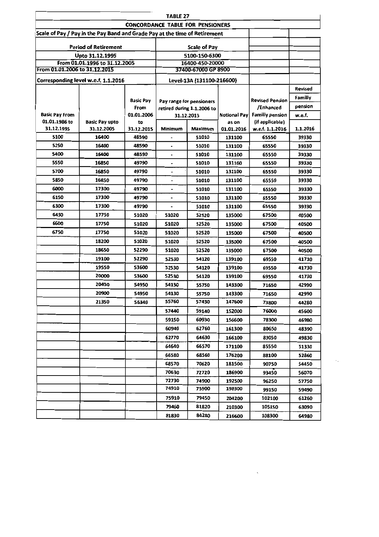|                               |                                                                            |                     | <b>TABLE 27</b>                  |                            |                      |                          |                   |
|-------------------------------|----------------------------------------------------------------------------|---------------------|----------------------------------|----------------------------|----------------------|--------------------------|-------------------|
|                               |                                                                            |                     | CONCORDANCE TABLE FOR PENSIONERS |                            |                      |                          |                   |
|                               | Scale of Pay / Pay in the Pay Band and Grade Pay at the time of Retirement |                     |                                  |                            |                      |                          |                   |
|                               | <b>Period of Retirement</b>                                                |                     |                                  | Scale of Pay               |                      |                          |                   |
|                               | Upto 31.12.1995                                                            |                     |                                  | 5100-150-6300              |                      |                          |                   |
|                               | From 01.01.1996 to 31.12.2005                                              |                     |                                  | 16400-450-20000            |                      |                          |                   |
| From 01.01.2006 to 31.12.2015 |                                                                            |                     |                                  | 37400-67000 GP 8900        |                      |                          |                   |
|                               | Corresponding level w.e.f. 1.1.2016                                        |                     |                                  | Level-13A (131100-216600)  |                      |                          |                   |
|                               |                                                                            |                     |                                  |                            |                      |                          | Revised           |
|                               |                                                                            | <b>Basic Pay</b>    |                                  | Pay range for pensioners   |                      | <b>Revised Pension</b>   | Familly           |
|                               |                                                                            | From                |                                  | retired during 1.1.2006 to |                      | /Enhanced                | pension           |
| Basic Pay From                |                                                                            | 01.01.2006          |                                  | 31.12.2015                 | Notional Pavl        | Familly pension          | w.e.f.            |
| 01.01.1986 to                 | <b>Basic Pay upto</b>                                                      | to                  | Minimum                          |                            | as on                | (if applicable)          |                   |
| 31.12.1995<br>5100            | 31.12.2005<br>16400                                                        | 31.12.2015<br>48590 |                                  | Maximum<br>51010           | 01.01.2016<br>131100 | w.e.f. 1.1.2016<br>65550 | 1.1.2016<br>39330 |
| 5250                          | 16400                                                                      | 48590               | $\ddot{\phantom{0}}$             | 51010                      | 131100               | 65550                    | 39330             |
| 5400                          | 16400                                                                      | 48590               |                                  | 51010                      | 131100               | 65550                    | 39330             |
| 5550                          | 16850                                                                      | 49790               | $\overline{\phantom{0}}$         | 51010                      | 131100               | 65550                    | 39330             |
| 5700                          | 16850                                                                      | 49790               | $\overline{\phantom{0}}$         | 51010                      | 131100               | 65550                    | 39330             |
| 5850                          | 16850                                                                      | 49790               | $\blacksquare$                   | 51010                      | 131100               | 65550                    | 39330             |
| 6000                          | 17300                                                                      | 49790               | $\blacksquare$                   | 51010                      | 131100               | 65550                    | 39330             |
| 6150                          | 17300                                                                      | 49790               |                                  | 51010                      | 131100               | 65550                    | 39330             |
| 6300                          | 17300                                                                      | 49790               | $\blacksquare$                   | 51010                      | 131100               | 65550                    | 39330             |
| 6450                          | 17750                                                                      | 51020               | 51020                            | 52520                      | 135000               | 67500                    | 40500             |
| 6600                          | 17750                                                                      | 51020               | 51020                            | 52520                      | 135000               | 67500                    | 40500             |
| 6750                          | 17750                                                                      | 51020               |                                  |                            |                      |                          |                   |
|                               | 18200                                                                      |                     | 51020                            | 52520                      | 135000               | 67500                    | 40500             |
|                               | 18650                                                                      | 51020<br>52290      | 51020<br>51020                   | 52520                      | 135000               | 67500                    | 40500             |
|                               | 19100                                                                      | 52290               |                                  | 52520                      | 135000               | 67500                    | 40500             |
|                               | 19550                                                                      |                     | 52530                            | 54120                      | 139100               | 69550                    | 41730             |
|                               | 20000                                                                      | 53600               | 52530                            | 54120                      | 139100               | 69550                    | 41730             |
|                               | 20450                                                                      | 53600<br>54950      | 52530                            | 54120                      | 139100               | 69550                    | 41730             |
|                               | 20900                                                                      |                     | 54130                            | 55750                      | 143300               | 71650                    | 42990             |
|                               |                                                                            | 54950               | 54130<br>55760                   | 55750<br>57430             | 143300<br>147600     | 71650                    | 42990             |
|                               | 21350                                                                      | 56340               |                                  |                            |                      | 73800                    | 44280             |
|                               |                                                                            |                     | 57440                            | 59140                      | 152000               | 76000                    | 45600             |
|                               |                                                                            |                     | 59150                            | 60930                      | 156600               | 78300                    | 46980             |
|                               |                                                                            |                     | 60940                            | 62760                      | 161300               | 80650                    | 48390             |
|                               |                                                                            |                     | 62770                            | 64630                      | 166100               | 83050                    | 49830             |
|                               |                                                                            |                     | 64640                            | 66570                      | 171100               | 85550                    | 51330             |
|                               |                                                                            |                     | 66580                            | 68560                      | 176200               | 88100                    | 52860             |
|                               |                                                                            |                     | 68570                            | 70620                      | 181500               | 90750                    | 54450             |
|                               |                                                                            |                     | 70630                            | 72720                      | 186900               | 93450                    | 56070             |
|                               |                                                                            |                     | 72730                            | 74900                      | 192500               | 96250                    | 57750             |
|                               |                                                                            |                     | 74910                            | 75900                      | 198300               | 99150                    | 59490             |
|                               |                                                                            |                     | 75910                            | 79450                      | 204200               | 102100                   | 61260             |
|                               |                                                                            |                     | 79460                            | 81820                      | 210300               | 105150                   | 63090             |
|                               |                                                                            |                     | 81830                            | 84280                      | 216600               | 108300                   | 64980             |

 $\ddot{\phantom{0}}$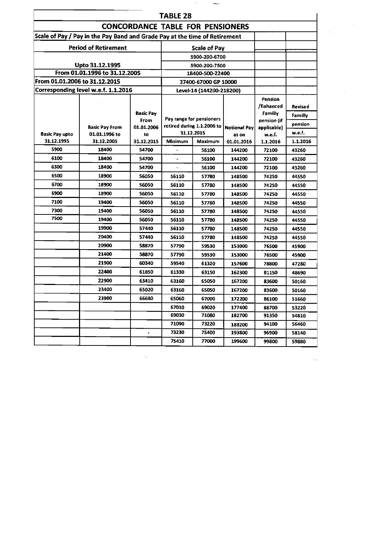|                                                                |                                                                            |                          | TABLE 28                                                                                                                                                                                                                                                                                                                                                                                                                                                                                                                                                                  |                      |                     |                                                       |                           |
|----------------------------------------------------------------|----------------------------------------------------------------------------|--------------------------|---------------------------------------------------------------------------------------------------------------------------------------------------------------------------------------------------------------------------------------------------------------------------------------------------------------------------------------------------------------------------------------------------------------------------------------------------------------------------------------------------------------------------------------------------------------------------|----------------------|---------------------|-------------------------------------------------------|---------------------------|
|                                                                |                                                                            |                          | <b>CONCORDANCE TABLE FOR PENSIONERS</b>                                                                                                                                                                                                                                                                                                                                                                                                                                                                                                                                   |                      |                     |                                                       |                           |
|                                                                | Scale of Pay / Pay in the Pay Band and Grade Pay at the time of Retirement |                          |                                                                                                                                                                                                                                                                                                                                                                                                                                                                                                                                                                           |                      |                     |                                                       |                           |
|                                                                | <b>Period of Retirement</b>                                                |                          |                                                                                                                                                                                                                                                                                                                                                                                                                                                                                                                                                                           | <b>Scale of Pay</b>  |                     |                                                       |                           |
|                                                                |                                                                            |                          |                                                                                                                                                                                                                                                                                                                                                                                                                                                                                                                                                                           | 5900-200-6700        |                     |                                                       |                           |
|                                                                | Upto 31.12.1995                                                            |                          |                                                                                                                                                                                                                                                                                                                                                                                                                                                                                                                                                                           | 5900-200-7500        |                     |                                                       |                           |
| From 01.01.1996 to 31.12.2005<br>From 01.01.2006 to 31.12.2015 |                                                                            |                          |                                                                                                                                                                                                                                                                                                                                                                                                                                                                                                                                                                           | 18400-500-22400      |                     |                                                       |                           |
|                                                                |                                                                            |                          |                                                                                                                                                                                                                                                                                                                                                                                                                                                                                                                                                                           | 37400-67000 GP 10000 |                     |                                                       |                           |
|                                                                | Corresponding level w.e.f. 1.1.2016                                        |                          | Level-14 (144200-218200)                                                                                                                                                                                                                                                                                                                                                                                                                                                                                                                                                  |                      |                     |                                                       |                           |
|                                                                |                                                                            | <b>Basic Pay</b><br>From |                                                                                                                                                                                                                                                                                                                                                                                                                                                                                                                                                                           |                      |                     | <b>Pension</b><br>/Enhanced<br>Familly<br>pension (if | <b>Revised</b><br>Familly |
|                                                                | <b>Basic Pay From</b>                                                      | 01.01.2006               |                                                                                                                                                                                                                                                                                                                                                                                                                                                                                                                                                                           |                      | <b>Notional Pay</b> | applicable)                                           | pension                   |
| <b>Basic Pay upto</b>                                          | 01.01.1996 to                                                              | to                       |                                                                                                                                                                                                                                                                                                                                                                                                                                                                                                                                                                           |                      | as on               | w.e.f.                                                | w.e.f.                    |
| 31.12.1995<br>5900                                             | 31.12.2005                                                                 | 31.12.2015               |                                                                                                                                                                                                                                                                                                                                                                                                                                                                                                                                                                           |                      |                     | 1.1.2016                                              | 1.1.2016                  |
| 6100                                                           | 18400<br>18400                                                             | 54700<br>54700           |                                                                                                                                                                                                                                                                                                                                                                                                                                                                                                                                                                           |                      |                     | 72100                                                 | 43260                     |
| 6300                                                           | 18400                                                                      | 54700                    |                                                                                                                                                                                                                                                                                                                                                                                                                                                                                                                                                                           |                      |                     | 72100                                                 | 43260                     |
| 6500                                                           | 18900                                                                      |                          |                                                                                                                                                                                                                                                                                                                                                                                                                                                                                                                                                                           |                      |                     | 72100                                                 | 43260                     |
| 6700                                                           |                                                                            | 56050                    |                                                                                                                                                                                                                                                                                                                                                                                                                                                                                                                                                                           |                      |                     | 74250                                                 | 44550                     |
| 6900                                                           | 18900<br>18900                                                             | 56050                    |                                                                                                                                                                                                                                                                                                                                                                                                                                                                                                                                                                           |                      |                     | 74250                                                 | 44550                     |
| 7100                                                           | 19400                                                                      | 56050                    | Pay range for pensioners<br>retired during 1.1.2006 to<br>31.12.2015<br>Minimum<br>Maximum<br>01.01.2016<br>144200<br>56100<br>56100<br>144200<br>144200<br>56100<br>56110<br>57780<br>148500<br>56110<br>57780<br>148500<br>56110<br>57780<br>148500<br>56110<br>57780<br>148500<br>56110<br>57780<br>148500<br>56110<br>57780<br>148500<br>56110<br>57780<br>148500<br>56110<br>57780<br>148500<br>57790<br>59530<br>153000<br>57790<br>59530<br>153000<br>59540<br>61320<br>157600<br>61330<br>63150<br>162300<br>63160<br>65050<br>167200<br>63160<br>65050<br>167200 |                      | 74250               | 44550                                                 |                           |
| 7300                                                           | 19400                                                                      | 56050<br>56050           |                                                                                                                                                                                                                                                                                                                                                                                                                                                                                                                                                                           |                      |                     | 74250                                                 | 44550                     |
| 7500                                                           | 19400                                                                      | 56050                    |                                                                                                                                                                                                                                                                                                                                                                                                                                                                                                                                                                           |                      |                     | 74250                                                 | 44550                     |
|                                                                | 19900                                                                      | 57440                    |                                                                                                                                                                                                                                                                                                                                                                                                                                                                                                                                                                           |                      |                     | 74250                                                 | 44550                     |
|                                                                | 20400                                                                      | 57440                    |                                                                                                                                                                                                                                                                                                                                                                                                                                                                                                                                                                           |                      |                     | 74250                                                 | 44550                     |
|                                                                | 20900                                                                      | 58870                    |                                                                                                                                                                                                                                                                                                                                                                                                                                                                                                                                                                           |                      |                     | 74250                                                 | 44550                     |
|                                                                | 21400                                                                      | 58870                    |                                                                                                                                                                                                                                                                                                                                                                                                                                                                                                                                                                           |                      |                     | 76500                                                 | 45900                     |
|                                                                | 21900                                                                      | 60340                    |                                                                                                                                                                                                                                                                                                                                                                                                                                                                                                                                                                           |                      |                     | 76500<br>78800                                        | 45900                     |
|                                                                | 22400                                                                      | 61850                    |                                                                                                                                                                                                                                                                                                                                                                                                                                                                                                                                                                           |                      |                     | 81150                                                 | 47280                     |
|                                                                | 22900                                                                      | 63410                    |                                                                                                                                                                                                                                                                                                                                                                                                                                                                                                                                                                           |                      |                     | 83600                                                 | 48690<br>50160            |
|                                                                | 23400                                                                      | 65020                    |                                                                                                                                                                                                                                                                                                                                                                                                                                                                                                                                                                           |                      |                     | 83600                                                 | 50160                     |
|                                                                | 23900                                                                      | 66680                    | 65060                                                                                                                                                                                                                                                                                                                                                                                                                                                                                                                                                                     | 67000                | 172200              | 86100                                                 | 51660                     |
|                                                                |                                                                            |                          | 67010                                                                                                                                                                                                                                                                                                                                                                                                                                                                                                                                                                     | 69020                | 177400              | 88700                                                 | 53220                     |
|                                                                |                                                                            |                          | 69030                                                                                                                                                                                                                                                                                                                                                                                                                                                                                                                                                                     | 71080                | 182700              | 91350                                                 | 54810                     |
|                                                                |                                                                            |                          | 71090                                                                                                                                                                                                                                                                                                                                                                                                                                                                                                                                                                     | 73220                | 188200              | 94100                                                 | 56460                     |
|                                                                |                                                                            | ,                        | 73230                                                                                                                                                                                                                                                                                                                                                                                                                                                                                                                                                                     | 75400                | 193800              | 96900                                                 | 58140                     |
|                                                                |                                                                            |                          | 75410                                                                                                                                                                                                                                                                                                                                                                                                                                                                                                                                                                     | 77000                | 199600              | 99800                                                 | 59880                     |
|                                                                |                                                                            |                          |                                                                                                                                                                                                                                                                                                                                                                                                                                                                                                                                                                           |                      |                     |                                                       |                           |

 $\label{eq:2.1} \frac{1}{\sqrt{2}}\int_{\mathbb{R}^3}\frac{1}{\sqrt{2}}\left(\frac{1}{\sqrt{2}}\right)^2\frac{1}{\sqrt{2}}\left(\frac{1}{\sqrt{2}}\right)^2\frac{1}{\sqrt{2}}\left(\frac{1}{\sqrt{2}}\right)^2\frac{1}{\sqrt{2}}\left(\frac{1}{\sqrt{2}}\right)^2\frac{1}{\sqrt{2}}\left(\frac{1}{\sqrt{2}}\right)^2\frac{1}{\sqrt{2}}\frac{1}{\sqrt{2}}\frac{1}{\sqrt{2}}\frac{1}{\sqrt{2}}\frac{1}{\sqrt{2}}\frac{1}{\sqrt{2}}$ 

 $\label{eq:2.1} \frac{1}{\sqrt{2}}\int_{\mathbb{R}^3}\frac{1}{\sqrt{2}}\left(\frac{1}{\sqrt{2}}\right)^2\frac{1}{\sqrt{2}}\left(\frac{1}{\sqrt{2}}\right)^2\frac{1}{\sqrt{2}}\left(\frac{1}{\sqrt{2}}\right)^2\frac{1}{\sqrt{2}}\left(\frac{1}{\sqrt{2}}\right)^2\frac{1}{\sqrt{2}}\left(\frac{1}{\sqrt{2}}\right)^2.$ 

 $\sigma_{\rm{max}}$